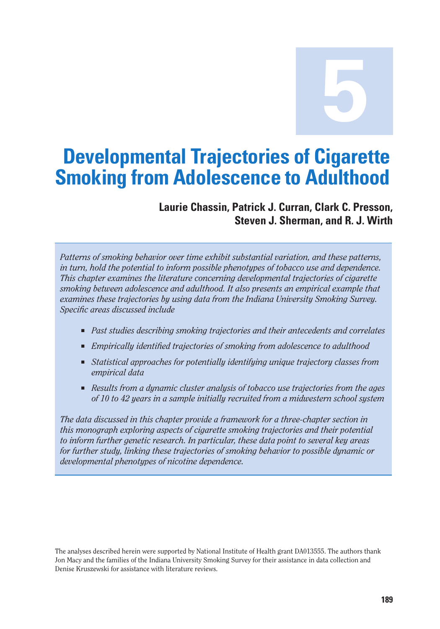**5**

# **Developmental Trajectories of Cigarette Smoking from Adolescence to Adulthood**

## **Laurie Chassin, Patrick J. Curran, Clark C. Presson, Steven J. Sherman, and R. J. Wirth**

*Patterns of smoking behavior over time exhibit substantial variation, and these patterns, in turn, hold the potential to inform possible phenotypes of tobacco use and dependence. This chapter examines the literature concerning developmental trajectories of cigarette smoking between adolescence and adulthood. It also presents an empirical example that examines these trajectories by using data from the Indiana University Smoking Survey. Specific areas discussed include* 

- Past studies describing smoking trajectories and their antecedents and correlates
- *Empirically identified trajectories of smoking from adolescence to adulthood*
- Statistical approaches for potentially identifying unique trajectory classes from *empirical data*
- *Results from a dynamic cluster analysis of tobacco use trajectories from the ages of 10 to 42 years in a sample initially recruited from a midwestern school system*

*The data discussed in this chapter provide a framework for a three-chapter section in this monograph exploring aspects of cigarette smoking trajectories and their potential to inform further genetic research. In particular, these data point to several key areas for further study, linking these trajectories of smoking behavior to possible dynamic or developmental phenotypes of nicotine dependence.* 

The analyses described herein were supported by National Institute of Health grant DA013555. The authors thank Jon Macy and the families of the Indiana University Smoking Survey for their assistance in data collection and Denise Kruszewski for assistance with literature reviews.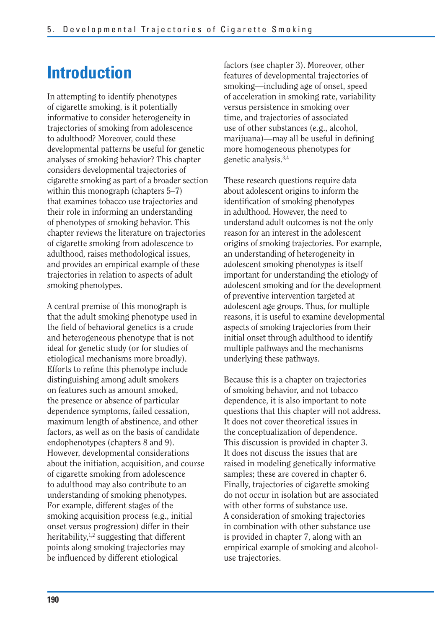# **Introduction**

In attempting to identify phenotypes of cigarette smoking, is it potentially informative to consider heterogeneity in trajectories of smoking from adolescence to adulthood? Moreover, could these developmental patterns be useful for genetic analyses of smoking behavior? This chapter considers developmental trajectories of cigarette smoking as part of a broader section within this monograph (chapters 5–7) that examines tobacco use trajectories and their role in informing an understanding of phenotypes of smoking behavior. This chapter reviews the literature on trajectories of cigarette smoking from adolescence to adulthood, raises methodological issues, and provides an empirical example of these trajectories in relation to aspects of adult smoking phenotypes.

A central premise of this monograph is that the adult smoking phenotype used in the field of behavioral genetics is a crude and heterogeneous phenotype that is not ideal for genetic study (or for studies of etiological mechanisms more broadly). Efforts to refine this phenotype include distinguishing among adult smokers on features such as amount smoked, the presence or absence of particular dependence symptoms, failed cessation, maximum length of abstinence, and other factors, as well as on the basis of candidate endophenotypes (chapters 8 and 9). However, developmental considerations about the initiation, acquisition, and course of cigarette smoking from adolescence to adulthood may also contribute to an understanding of smoking phenotypes. For example, different stages of the smoking acquisition process (e.g., initial onset versus progression) differ in their heritability,<sup>1,2</sup> suggesting that different points along smoking trajectories may be influenced by different etiological

factors (see chapter 3). Moreover, other features of developmental trajectories of smoking—including age of onset, speed of acceleration in smoking rate, variability versus persistence in smoking over time, and trajectories of associated use of other substances (e.g., alcohol, marijuana)—may all be useful in defining more homogeneous phenotypes for genetic analysis.3,4

These research questions require data about adolescent origins to inform the identification of smoking phenotypes in adulthood. However, the need to understand adult outcomes is not the only reason for an interest in the adolescent origins of smoking trajectories. For example, an understanding of heterogeneity in adolescent smoking phenotypes is itself important for understanding the etiology of adolescent smoking and for the development of preventive intervention targeted at adolescent age groups. Thus, for multiple reasons, it is useful to examine developmental aspects of smoking trajectories from their initial onset through adulthood to identify multiple pathways and the mechanisms underlying these pathways.

Because this is a chapter on trajectories of smoking behavior, and not tobacco dependence, it is also important to note questions that this chapter will not address. It does not cover theoretical issues in the conceptualization of dependence. This discussion is provided in chapter 3. It does not discuss the issues that are raised in modeling genetically informative samples; these are covered in chapter 6. Finally, trajectories of cigarette smoking do not occur in isolation but are associated with other forms of substance use. A consideration of smoking trajectories in combination with other substance use is provided in chapter 7, along with an empirical example of smoking and alcoholuse trajectories.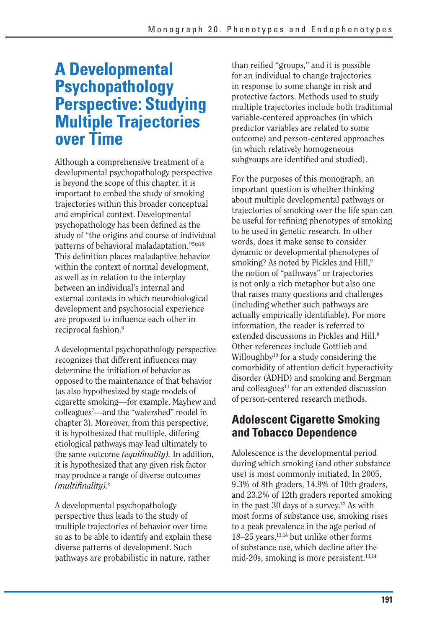# **A Developmental Psychopathology Perspective: Studying Multiple Trajectories over Time**

Although a comprehensive treatment of a developmental psychopathology perspective is beyond the scope of this chapter, it is important to embed the study of smoking trajectories within this broader conceptual and empirical context. Developmental psychopathology has been defined as the study of "the origins and course of individual patterns of behavioral maladaptation."5(p18) This definition places maladaptive behavior within the context of normal development, as well as in relation to the interplay between an individual's internal and external contexts in which neurobiological development and psychosocial experience are proposed to influence each other in reciprocal fashion.<sup>6</sup>

A developmental psychopathology perspective recognizes that different influences may determine the initiation of behavior as opposed to the maintenance of that behavior (as also hypothesized by stage models of cigarette smoking—for example, Mayhew and colleagues7 —and the "watershed" model in chapter 3). Moreover, from this perspective, it is hypothesized that multiple, differing etiological pathways may lead ultimately to the same outcome *(equifinality)*. In addition, it is hypothesized that any given risk factor may produce a range of diverse outcomes *(multifinality).*<sup>8</sup>

A developmental psychopathology perspective thus leads to the study of multiple trajectories of behavior over time so as to be able to identify and explain these diverse patterns of development. Such pathways are probabilistic in nature, rather

than reified "groups," and it is possible for an individual to change trajectories in response to some change in risk and protective factors. Methods used to study multiple trajectories include both traditional variable-centered approaches (in which predictor variables are related to some outcome) and person-centered approaches (in which relatively homogeneous subgroups are identified and studied).

For the purposes of this monograph, an important question is whether thinking about multiple developmental pathways or trajectories of smoking over the life span can be useful for refining phenotypes of smoking to be used in genetic research. In other words, does it make sense to consider dynamic or developmental phenotypes of smoking? As noted by Pickles and Hill,<sup>9</sup> the notion of "pathways" or trajectories is not only a rich metaphor but also one that raises many questions and challenges (including whether such pathways are actually empirically identifiable). For more information, the reader is referred to extended discussions in Pickles and Hill<sup>9</sup> Other references include Gottlieb and Willoughby<sup>10</sup> for a study considering the comorbidity of attention deficit hyperactivity disorder (ADHD) and smoking and Bergman and colleagues<sup>11</sup> for an extended discussion of person-centered research methods.

## **Adolescent Cigarette Smoking and Tobacco Dependence**

Adolescence is the developmental period during which smoking (and other substance use) is most commonly initiated. In 2005, 9.3% of 8th graders, 14.9% of 10th graders, and 23.2% of 12th graders reported smoking in the past 30 days of a survey.<sup>12</sup> As with most forms of substance use, smoking rises to a peak prevalence in the age period of 18–25 years,<sup>13,14</sup> but unlike other forms of substance use, which decline after the mid-20s, smoking is more persistent. $13,14$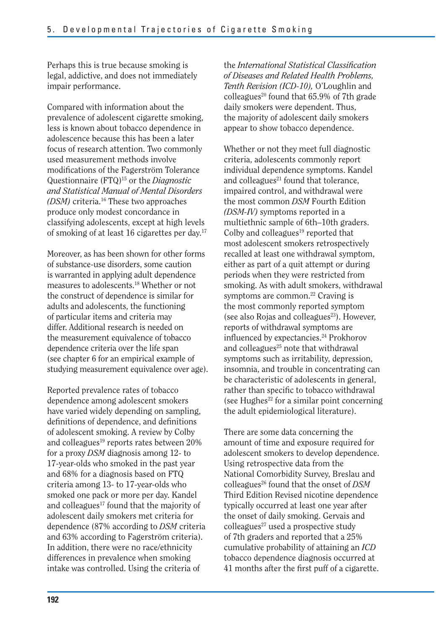Perhaps this is true because smoking is legal, addictive, and does not immediately impair performance.

Compared with information about the prevalence of adolescent cigarette smoking, less is known about tobacco dependence in adolescence because this has been a later focus of research attention. Two commonly used measurement methods involve modifications of the Fagerström Tolerance Questionnaire (FTQ)15 or the *Diagnostic and Statistical Manual of Mental Disorders (DSM)* criteria.16 These two approaches produce only modest concordance in classifying adolescents, except at high levels of smoking of at least 16 cigarettes per day.17

Moreover, as has been shown for other forms of substance-use disorders, some caution is warranted in applying adult dependence measures to adolescents.18 Whether or not the construct of dependence is similar for adults and adolescents, the functioning of particular items and criteria may differ. Additional research is needed on the measurement equivalence of tobacco dependence criteria over the life span (see chapter 6 for an empirical example of studying measurement equivalence over age).

Reported prevalence rates of tobacco dependence among adolescent smokers have varied widely depending on sampling, definitions of dependence, and definitions of adolescent smoking. A review by Colby and colleagues<sup>19</sup> reports rates between  $20\%$ for a proxy *DSM* diagnosis among 12- to 17-year-olds who smoked in the past year and 68% for a diagnosis based on FTQ criteria among 13- to 17-year-olds who smoked one pack or more per day. Kandel and colleagues<sup>17</sup> found that the majority of adolescent daily smokers met criteria for dependence (87% according to *DSM* criteria and 63% according to Fagerström criteria). In addition, there were no race/ethnicity differences in prevalence when smoking intake was controlled. Using the criteria of

the *International Statistical Classifi cation of Diseases and Related Health Problems, Tenth Revision (ICD-10),* O'Loughlin and colleagues<sup>20</sup> found that  $65.9\%$  of 7th grade daily smokers were dependent. Thus, the majority of adolescent daily smokers appear to show tobacco dependence.

Whether or not they meet full diagnostic criteria, adolescents commonly report individual dependence symptoms. Kandel and colleagues<sup>21</sup> found that tolerance, impaired control, and withdrawal were the most common *DSM* Fourth Edition *(DSM-IV)* symptoms reported in a multiethnic sample of 6th–10th graders. Colby and colleagues $19$  reported that most adolescent smokers retrospectively recalled at least one withdrawal symptom, either as part of a quit attempt or during periods when they were restricted from smoking. As with adult smokers, withdrawal symptoms are common.<sup>22</sup> Craving is the most commonly reported symptom (see also Rojas and colleagues<sup>23</sup>). However, reports of withdrawal symptoms are influenced by expectancies.<sup>24</sup> Prokhorov and colleagues $25$  note that withdrawal symptoms such as irritability, depression, insomnia, and trouble in concentrating can be characteristic of adolescents in general, rather than specific to tobacco withdrawal (see Hughes<sup>22</sup> for a similar point concerning the adult epidemiological literature).

There are some data concerning the amount of time and exposure required for adolescent smokers to develop dependence. Using retrospective data from the National Comorbidity Survey, Breslau and colleagues26 found that the onset of *DSM*  Third Edition Revised nicotine dependence typically occurred at least one year after the onset of daily smoking. Gervais and  $\text{colle}$ agues<sup>27</sup> used a prospective study of 7th graders and reported that a 25% cumulative probability of attaining an *ICD*  tobacco dependence diagnosis occurred at 41 months after the first puff of a cigarette.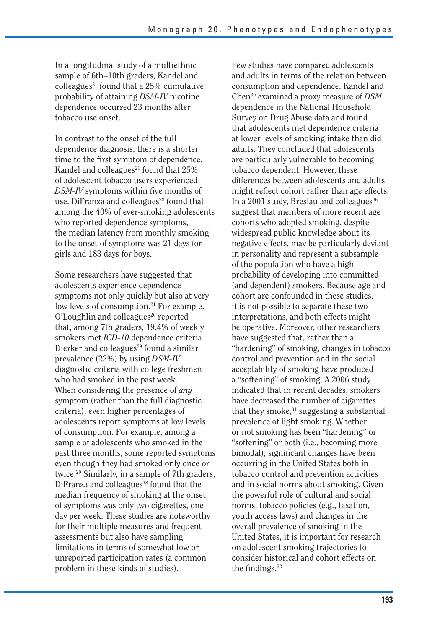In a longitudinal study of a multiethnic sample of 6th–10th graders, Kandel and colleagues<sup>21</sup> found that a  $25\%$  cumulative probability of attaining *DSM-IV* nicotine dependence occurred 23 months after tobacco use onset.

In contrast to the onset of the full dependence diagnosis, there is a shorter time to the first symptom of dependence. Kandel and colleagues $^{21}$  found that  $25\%$ of adolescent tobacco users experienced *DSM-IV* symptoms within five months of use. DiFranza and colleagues<sup>28</sup> found that among the 40% of ever-smoking adolescents who reported dependence symptoms, the median latency from monthly smoking to the onset of symptoms was 21 days for girls and 183 days for boys.

Some researchers have suggested that adolescents experience dependence symptoms not only quickly but also at very low levels of consumption.<sup>21</sup> For example,  $O'$ Loughlin and colleagues $^{20}$  reported that, among 7th graders, 19.4% of weekly smokers met *ICD-10* dependence criteria. Dierker and colleagues<sup>29</sup> found a similar prevalence (22%) by using *DSM-IV*  diagnostic criteria with college freshmen who had smoked in the past week. When considering the presence of *any*  symptom (rather than the full diagnostic criteria), even higher percentages of adolescents report symptoms at low levels of consumption. For example, among a sample of adolescents who smoked in the past three months, some reported symptoms even though they had smoked only once or twice.20 Similarly, in a sample of 7th graders, DiFranza and colleagues $^{28}$  found that the median frequency of smoking at the onset of symptoms was only two cigarettes, one day per week. These studies are noteworthy for their multiple measures and frequent assessments but also have sampling limitations in terms of somewhat low or unreported participation rates (a common problem in these kinds of studies).

Few studies have compared adolescents and adults in terms of the relation between consumption and dependence. Kandel and Chen30 examined a proxy measure of *DSM*  dependence in the National Household Survey on Drug Abuse data and found that adolescents met dependence criteria at lower levels of smoking intake than did adults. They concluded that adolescents are particularly vulnerable to becoming tobacco dependent. However, these differences between adolescents and adults might reflect cohort rather than age effects. In a 2001 study, Breslau and colleagues<sup>26</sup> suggest that members of more recent age cohorts who adopted smoking, despite widespread public knowledge about its negative effects, may be particularly deviant in personality and represent a subsample of the population who have a high probability of developing into committed (and dependent) smokers. Because age and cohort are confounded in these studies, it is not possible to separate these two interpretations, and both effects might be operative. Moreover, other researchers have suggested that, rather than a "hardening" of smoking, changes in tobacco control and prevention and in the social acceptability of smoking have produced a "softening" of smoking. A 2006 study indicated that in recent decades, smokers have decreased the number of cigarettes that they smoke,<sup>31</sup> suggesting a substantial prevalence of light smoking. Whether or not smoking has been "hardening" or "softening" or both (i.e., becoming more bimodal), significant changes have been occurring in the United States both in tobacco control and prevention activities and in social norms about smoking. Given the powerful role of cultural and social norms, tobacco policies (e.g., taxation, youth access laws) and changes in the overall prevalence of smoking in the United States, it is important for research on adolescent smoking trajectories to consider historical and cohort effects on the findings. $32$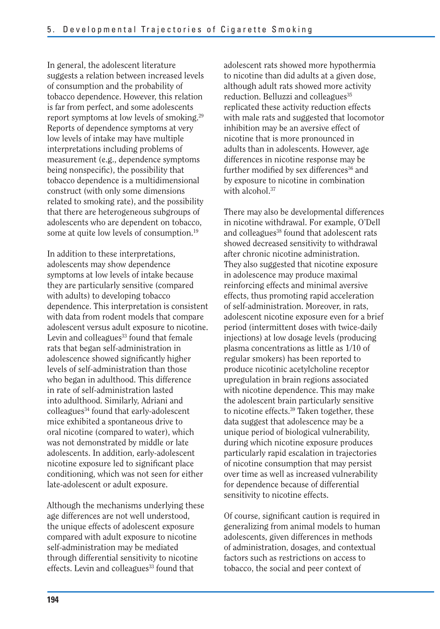In general, the adolescent literature suggests a relation between increased levels of consumption and the probability of tobacco dependence. However, this relation is far from perfect, and some adolescents report symptoms at low levels of smoking.29 Reports of dependence symptoms at very low levels of intake may have multiple interpretations including problems of measurement (e.g., dependence symptoms being nonspecific), the possibility that tobacco dependence is a multidimensional construct (with only some dimensions related to smoking rate), and the possibility that there are heterogeneous subgroups of adolescents who are dependent on tobacco, some at quite low levels of consumption.<sup>19</sup>

In addition to these interpretations, adolescents may show dependence symptoms at low levels of intake because they are particularly sensitive (compared with adults) to developing tobacco dependence. This interpretation is consistent with data from rodent models that compare adolescent versus adult exposure to nicotine. Levin and colleagues $33$  found that female rats that began self-administration in adolescence showed significantly higher levels of self-administration than those who began in adulthood. This difference in rate of self-administration lasted into adulthood. Similarly, Adriani and colleagues<sup>34</sup> found that early-adolescent mice exhibited a spontaneous drive to oral nicotine (compared to water), which was not demonstrated by middle or late adolescents. In addition, early-adolescent nicotine exposure led to significant place conditioning, which was not seen for either late-adolescent or adult exposure.

Although the mechanisms underlying these age differences are not well understood, the unique effects of adolescent exposure compared with adult exposure to nicotine self-administration may be mediated through differential sensitivity to nicotine effects. Levin and colleagues<sup>33</sup> found that

adolescent rats showed more hypothermia to nicotine than did adults at a given dose, although adult rats showed more activity reduction. Belluzzi and colleagues<sup>35</sup> replicated these activity reduction effects with male rats and suggested that locomotor inhibition may be an aversive effect of nicotine that is more pronounced in adults than in adolescents. However, age differences in nicotine response may be further modified by sex differences<sup>36</sup> and by exposure to nicotine in combination with alcohol.<sup>37</sup>

There may also be developmental differences in nicotine withdrawal. For example, O'Dell and colleagues<sup>38</sup> found that adolescent rats showed decreased sensitivity to withdrawal after chronic nicotine administration. They also suggested that nicotine exposure in adolescence may produce maximal reinforcing effects and minimal aversive effects, thus promoting rapid acceleration of self-administration. Moreover, in rats, adolescent nicotine exposure even for a brief period (intermittent doses with twice-daily injections) at low dosage levels (producing plasma concentrations as little as 1/10 of regular smokers) has been reported to produce nicotinic acetylcholine receptor upregulation in brain regions associated with nicotine dependence. This may make the adolescent brain particularly sensitive to nicotine effects.39 Taken together, these data suggest that adolescence may be a unique period of biological vulnerability, during which nicotine exposure produces particularly rapid escalation in trajectories of nicotine consumption that may persist over time as well as increased vulnerability for dependence because of differential sensitivity to nicotine effects.

Of course, significant caution is required in generalizing from animal models to human adolescents, given differences in methods of administration, dosages, and contextual factors such as restrictions on access to tobacco, the social and peer context of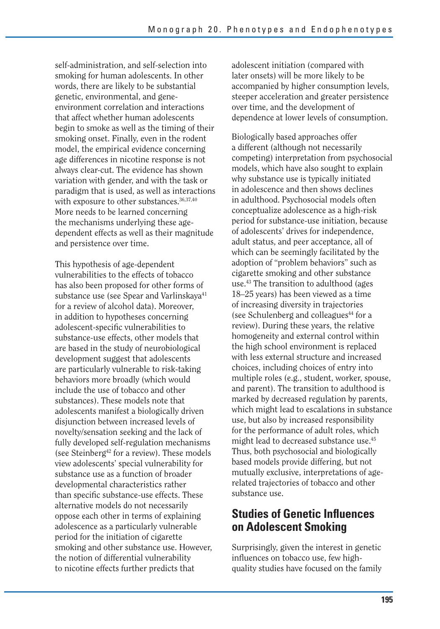self-administration, and self-selection into smoking for human adolescents. In other words, there are likely to be substantial genetic, environmental, and geneenvironment correlation and interactions that affect whether human adolescents begin to smoke as well as the timing of their smoking onset. Finally, even in the rodent model, the empirical evidence concerning age differences in nicotine response is not always clear-cut. The evidence has shown variation with gender, and with the task or paradigm that is used, as well as interactions with exposure to other substances.<sup>36,37,40</sup> More needs to be learned concerning the mechanisms underlying these agedependent effects as well as their magnitude and persistence over time.

This hypothesis of age-dependent vulnerabilities to the effects of tobacco has also been proposed for other forms of substance use (see Spear and Varlinskaya<sup>41</sup> for a review of alcohol data). Moreover, in addition to hypotheses concerning adolescent-specific vulnerabilities to substance-use effects, other models that are based in the study of neurobiological development suggest that adolescents are particularly vulnerable to risk-taking behaviors more broadly (which would include the use of tobacco and other substances). These models note that adolescents manifest a biologically driven disjunction between increased levels of novelty/sensation seeking and the lack of fully developed self-regulation mechanisms (see Steinberg<sup>42</sup> for a review). These models view adolescents' special vulnerability for substance use as a function of broader developmental characteristics rather than specific substance-use effects. These alternative models do not necessarily oppose each other in terms of explaining adolescence as a particularly vulnerable period for the initiation of cigarette smoking and other substance use. However, the notion of differential vulnerability to nicotine effects further predicts that

adolescent initiation (compared with later onsets) will be more likely to be accompanied by higher consumption levels, steeper acceleration and greater persistence over time, and the development of dependence at lower levels of consumption.

Biologically based approaches offer a different (although not necessarily competing) interpretation from psychosocial models, which have also sought to explain why substance use is typically initiated in adolescence and then shows declines in adulthood. Psychosocial models often conceptualize adolescence as a high-risk period for substance-use initiation, because of adolescents' drives for independence, adult status, and peer acceptance, all of which can be seemingly facilitated by the adoption of "problem behaviors" such as cigarette smoking and other substance use.43 The transition to adulthood (ages 18–25 years) has been viewed as a time of increasing diversity in trajectories (see Schulenberg and colleagues<sup>44</sup> for a review). During these years, the relative homogeneity and external control within the high school environment is replaced with less external structure and increased choices, including choices of entry into multiple roles (e.g., student, worker, spouse, and parent). The transition to adulthood is marked by decreased regulation by parents, which might lead to escalations in substance use, but also by increased responsibility for the performance of adult roles, which might lead to decreased substance use.45 Thus, both psychosocial and biologically based models provide differing, but not mutually exclusive, interpretations of agerelated trajectories of tobacco and other substance use.

## **Studies of Genetic Influences on Adolescent Smoking**

Surprisingly, given the interest in genetic influences on tobacco use, few highquality studies have focused on the family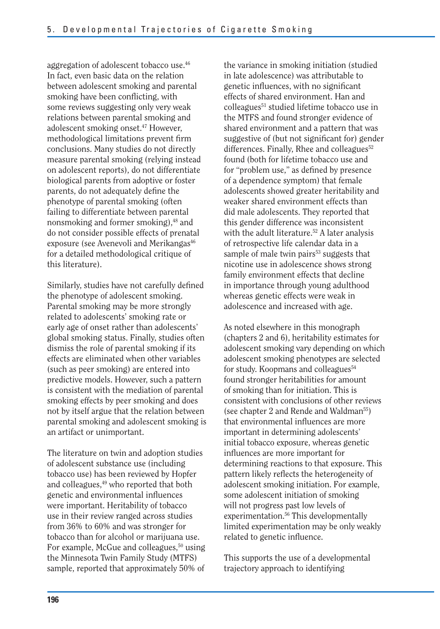aggregation of adolescent tobacco use.46 In fact, even basic data on the relation between adolescent smoking and parental smoking have been conflicting, with some reviews suggesting only very weak relations between parental smoking and adolescent smoking onset.47 However, methodological limitations prevent firm conclusions. Many studies do not directly measure parental smoking (relying instead on adolescent reports), do not differentiate biological parents from adoptive or foster parents, do not adequately define the phenotype of parental smoking (often failing to differentiate between parental nonsmoking and former smoking),<sup>48</sup> and do not consider possible effects of prenatal exposure (see Avenevoli and Merikangas<sup>46</sup> for a detailed methodological critique of this literature).

Similarly, studies have not carefully defined the phenotype of adolescent smoking. Parental smoking may be more strongly related to adolescents' smoking rate or early age of onset rather than adolescents' global smoking status. Finally, studies often dismiss the role of parental smoking if its effects are eliminated when other variables (such as peer smoking) are entered into predictive models. However, such a pattern is consistent with the mediation of parental smoking effects by peer smoking and does not by itself argue that the relation between parental smoking and adolescent smoking is an artifact or unimportant.

The literature on twin and adoption studies of adolescent substance use (including tobacco use) has been reviewed by Hopfer and colleagues,<sup>49</sup> who reported that both genetic and environmental influences were important. Heritability of tobacco use in their review ranged across studies from 36% to 60% and was stronger for tobacco than for alcohol or marijuana use. For example, McGue and colleagues, $50$  using the Minnesota Twin Family Study (MTFS) sample, reported that approximately 50% of

the variance in smoking initiation (studied in late adolescence) was attributable to genetic influences, with no significant effects of shared environment. Han and colleagues51 studied lifetime tobacco use in the MTFS and found stronger evidence of shared environment and a pattern that was suggestive of (but not significant for) gender differences. Finally, Rhee and colleagues $52$ found (both for lifetime tobacco use and for "problem use," as defined by presence of a dependence symptom) that female adolescents showed greater heritability and weaker shared environment effects than did male adolescents. They reported that this gender difference was inconsistent with the adult literature.<sup>52</sup> A later analysis of retrospective life calendar data in a sample of male twin pairs<sup>53</sup> suggests that nicotine use in adolescence shows strong family environment effects that decline in importance through young adulthood whereas genetic effects were weak in adolescence and increased with age.

As noted elsewhere in this monograph (chapters 2 and 6), heritability estimates for adolescent smoking vary depending on which adolescent smoking phenotypes are selected for study. Koopmans and colleagues<sup>54</sup> found stronger heritabilities for amount of smoking than for initiation. This is consistent with conclusions of other reviews (see chapter 2 and Rende and Waldman<sup>55</sup>) that environmental influences are more important in determining adolescents' initial tobacco exposure, whereas genetic influences are more important for determining reactions to that exposure. This pattern likely reflects the heterogeneity of adolescent smoking initiation. For example, some adolescent initiation of smoking will not progress past low levels of experimentation.<sup>56</sup> This developmentally limited experimentation may be only weakly related to genetic influence.

This supports the use of a developmental trajectory approach to identifying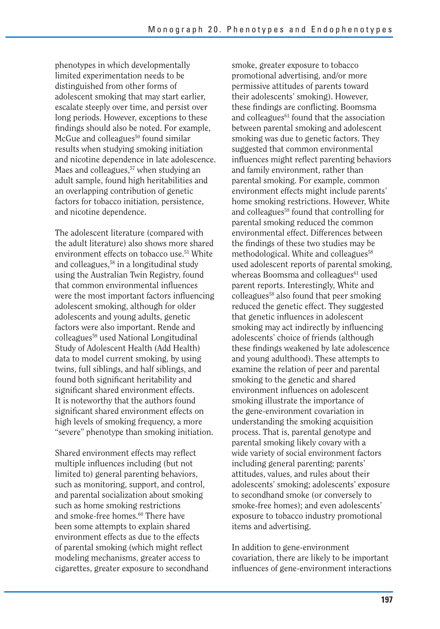phenotypes in which developmentally limited experimentation needs to be distinguished from other forms of adolescent smoking that may start earlier, escalate steeply over time, and persist over long periods. However, exceptions to these findings should also be noted. For example, McGue and colleagues<sup>50</sup> found similar results when studying smoking initiation and nicotine dependence in late adolescence. Maes and colleagues,<sup>57</sup> when studying an adult sample, found high heritabilities and an overlapping contribution of genetic factors for tobacco initiation, persistence, and nicotine dependence.

The adolescent literature (compared with the adult literature) also shows more shared environment effects on tobacco use.51 White and colleagues,58 in a longitudinal study using the Australian Twin Registry, found that common environmental influences were the most important factors influencing adolescent smoking, although for older adolescents and young adults, genetic factors were also important. Rende and colleagues59 used National Longitudinal Study of Adolescent Health (Add Health) data to model current smoking, by using twins, full siblings, and half siblings, and found both significant heritability and significant shared environment effects. It is noteworthy that the authors found significant shared environment effects on high levels of smoking frequency, a more "severe" phenotype than smoking initiation.

Shared environment effects may reflect multiple influences including (but not limited to) general parenting behaviors, such as monitoring, support, and control, and parental socialization about smoking such as home smoking restrictions and smoke-free homes.<sup>60</sup> There have been some attempts to explain shared environment effects as due to the effects of parental smoking (which might reflect modeling mechanisms, greater access to cigarettes, greater exposure to secondhand smoke, greater exposure to tobacco promotional advertising, and/or more permissive attitudes of parents toward their adolescents' smoking). However, these findings are conflicting. Boomsma and colleagues<sup>61</sup> found that the association between parental smoking and adolescent smoking was due to genetic factors. They suggested that common environmental influences might reflect parenting behaviors and family environment, rather than parental smoking. For example, common environment effects might include parents' home smoking restrictions. However, White and colleagues<sup>58</sup> found that controlling for parental smoking reduced the common environmental effect. Differences between the findings of these two studies may be methodological. White and colleagues<sup>58</sup> used adolescent reports of parental smoking, whereas Boomsma and colleagues<sup>61</sup> used parent reports. Interestingly, White and  $\text{colle}$  agues<sup>58</sup> also found that peer smoking reduced the genetic effect. They suggested that genetic influences in adolescent smoking may act indirectly by influencing adolescents' choice of friends (although these findings weakened by late adolescence and young adulthood). These attempts to examine the relation of peer and parental smoking to the genetic and shared environment influences on adolescent smoking illustrate the importance of the gene-environment covariation in understanding the smoking acquisition process. That is, parental genotype and parental smoking likely covary with a wide variety of social environment factors including general parenting; parents' attitudes, values, and rules about their adolescents' smoking; adolescents' exposure to secondhand smoke (or conversely to smoke-free homes); and even adolescents' exposure to tobacco industry promotional items and advertising.

In addition to gene-environment covariation, there are likely to be important influences of gene-environment interactions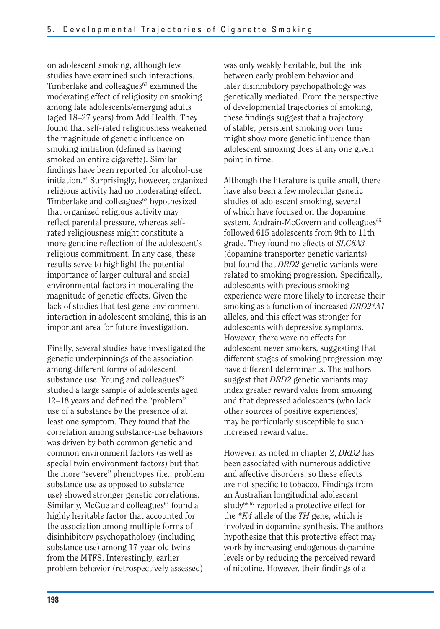on adolescent smoking, although few studies have examined such interactions. Timberlake and colleagues $62$  examined the moderating effect of religiosity on smoking among late adolescents/emerging adults (aged 18–27 years) from Add Health. They found that self-rated religiousness weakened the magnitude of genetic influence on smoking initiation (defined as having smoked an entire cigarette). Similar findings have been reported for alcohol-use initiation.54 Surprisingly, however, organized religious activity had no moderating effect. Timberlake and colleagues $62$  hypothesized that organized religious activity may reflect parental pressure, whereas selfrated religiousness might constitute a more genuine reflection of the adolescent's religious commitment. In any case, these results serve to highlight the potential importance of larger cultural and social environmental factors in moderating the magnitude of genetic effects. Given the lack of studies that test gene-environment interaction in adolescent smoking, this is an important area for future investigation.

Finally, several studies have investigated the genetic underpinnings of the association among different forms of adolescent substance use. Young and colleagues $63$ studied a large sample of adolescents aged 12–18 years and defined the "problem" use of a substance by the presence of at least one symptom. They found that the correlation among substance-use behaviors was driven by both common genetic and common environment factors (as well as special twin environment factors) but that the more "severe" phenotypes (i.e., problem substance use as opposed to substance use) showed stronger genetic correlations. Similarly, McGue and colleagues<sup>64</sup> found a highly heritable factor that accounted for the association among multiple forms of disinhibitory psychopathology (including substance use) among 17-year-old twins from the MTFS. Interestingly, earlier problem behavior (retrospectively assessed)

was only weakly heritable, but the link between early problem behavior and later disinhibitory psychopathology was genetically mediated. From the perspective of developmental trajectories of smoking, these findings suggest that a trajectory of stable, persistent smoking over time might show more genetic influence than adolescent smoking does at any one given point in time.

Although the literature is quite small, there have also been a few molecular genetic studies of adolescent smoking, several of which have focused on the dopamine system. Audrain-McGovern and colleagues<sup>65</sup> followed 615 adolescents from 9th to 11th grade. They found no effects of *SLC6A3*  (dopamine transporter genetic variants) but found that *DRD2* genetic variants were related to smoking progression. Specifically, adolescents with previous smoking experience were more likely to increase their smoking as a function of increased *DRD2\*A1*  alleles, and this effect was stronger for adolescents with depressive symptoms. However, there were no effects for adolescent never smokers, suggesting that different stages of smoking progression may have different determinants. The authors suggest that *DRD2* genetic variants may index greater reward value from smoking and that depressed adolescents (who lack other sources of positive experiences) may be particularly susceptible to such increased reward value.

However, as noted in chapter 2, *DRD2* has been associated with numerous addictive and affective disorders, so these effects are not specific to tobacco. Findings from an Australian longitudinal adolescent study<sup>66,67</sup> reported a protective effect for the *\*K4* allele of the *TH* gene, which is involved in dopamine synthesis. The authors hypothesize that this protective effect may work by increasing endogenous dopamine levels or by reducing the perceived reward of nicotine. However, their findings of a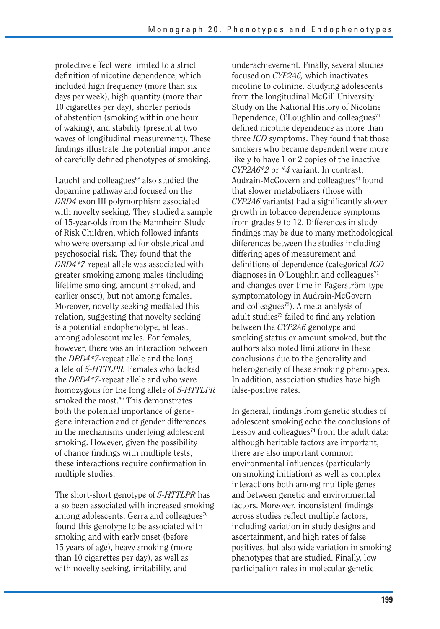protective effect were limited to a strict definition of nicotine dependence, which included high frequency (more than six days per week), high quantity (more than 10 cigarettes per day), shorter periods of abstention (smoking within one hour of waking), and stability (present at two waves of longitudinal measurement). These findings illustrate the potential importance of carefully defined phenotypes of smoking.

Laucht and colleagues $68$  also studied the dopamine pathway and focused on the *DRD4* exon III polymorphism associated with novelty seeking. They studied a sample of 15-year-olds from the Mannheim Study of Risk Children, which followed infants who were oversampled for obstetrical and psychosocial risk. They found that the *DRD4\*7-*repeat allele was associated with greater smoking among males (including lifetime smoking, amount smoked, and earlier onset), but not among females. Moreover, novelty seeking mediated this relation, suggesting that novelty seeking is a potential endophenotype, at least among adolescent males. For females, however, there was an interaction between the *DRD4\*7-*repeat allele and the long allele of *5-HTTLPR.* Females who lacked the *DRD4\*7-*repeat allele and who were homozygous for the long allele of *5-HTTLPR*  smoked the most.<sup>69</sup> This demonstrates both the potential importance of genegene interaction and of gender differences in the mechanisms underlying adolescent smoking. However, given the possibility of chance findings with multiple tests, these interactions require confirmation in multiple studies.

The short-short genotype of *5-HTTLPR* has also been associated with increased smoking among adolescents. Gerra and colleagues $70$ found this genotype to be associated with smoking and with early onset (before 15 years of age), heavy smoking (more than 10 cigarettes per day), as well as with novelty seeking, irritability, and

underachievement. Finally, several studies focused on *CYP2A6,* which inactivates nicotine to cotinine. Studying adolescents from the longitudinal McGill University Study on the National History of Nicotine Dependence,  $O'$ Loughlin and colleagues<sup> $71$ </sup> defined nicotine dependence as more than three *ICD* symptoms. They found that those smokers who became dependent were more likely to have 1 or 2 copies of the inactive *CYP2A6\*2* or *\*4* variant. In contrast, Audrain-McGovern and colleagues<sup>72</sup> found that slower metabolizers (those with *CYP2A6* variants) had a significantly slower growth in tobacco dependence symptoms from grades 9 to 12. Differences in study findings may be due to many methodological differences between the studies including differing ages of measurement and definitions of dependence (categorical *ICD*  diagnoses in O'Loughlin and colleagues $<sup>71</sup>$ </sup> and changes over time in Fagerström-type symptomatology in Audrain-McGovern and colleagues $72$ ). A meta-analysis of adult studies<sup>73</sup> failed to find any relation between the *CYP2A6* genotype and smoking status or amount smoked, but the authors also noted limitations in these conclusions due to the generality and heterogeneity of these smoking phenotypes. In addition, association studies have high false-positive rates.

In general, findings from genetic studies of adolescent smoking echo the conclusions of Lessov and colleagues<sup> $74$ </sup> from the adult data: although heritable factors are important, there are also important common environmental influences (particularly on smoking initiation) as well as complex interactions both among multiple genes and between genetic and environmental factors. Moreover, inconsistent findings across studies reflect multiple factors, including variation in study designs and ascertainment, and high rates of false positives, but also wide variation in smoking phenotypes that are studied. Finally, low participation rates in molecular genetic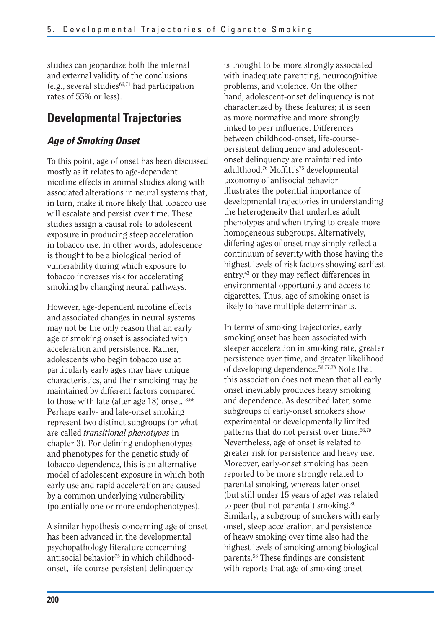studies can jeopardize both the internal and external validity of the conclusions (e.g., several studies $66,71$  had participation rates of 55% or less).

## **Developmental Trajectories**

## *Age of Smoking Onset*

To this point, age of onset has been discussed mostly as it relates to age-dependent nicotine effects in animal studies along with associated alterations in neural systems that, in turn, make it more likely that tobacco use will escalate and persist over time. These studies assign a causal role to adolescent exposure in producing steep acceleration in tobacco use. In other words, adolescence is thought to be a biological period of vulnerability during which exposure to tobacco increases risk for accelerating smoking by changing neural pathways.

However, age-dependent nicotine effects and associated changes in neural systems may not be the only reason that an early age of smoking onset is associated with acceleration and persistence. Rather, adolescents who begin tobacco use at particularly early ages may have unique characteristics, and their smoking may be maintained by different factors compared to those with late (after age 18) onset. $13,56$ Perhaps early- and late-onset smoking represent two distinct subgroups (or what are called *transitional phenotypes* in chapter 3). For defining endophenotypes and phenotypes for the genetic study of tobacco dependence, this is an alternative model of adolescent exposure in which both early use and rapid acceleration are caused by a common underlying vulnerability (potentially one or more endophenotypes).

A similar hypothesis concerning age of onset has been advanced in the developmental psychopathology literature concerning antisocial behavior<sup>75</sup> in which childhoodonset, life-course-persistent delinquency

is thought to be more strongly associated with inadequate parenting, neurocognitive problems, and violence. On the other hand, adolescent-onset delinquency is not characterized by these features; it is seen as more normative and more strongly linked to peer influence. Differences between childhood-onset, life-coursepersistent delinquency and adolescentonset delinquency are maintained into adulthood.<sup>76</sup> Moffitt's<sup>75</sup> developmental taxonomy of antisocial behavior illustrates the potential importance of developmental trajectories in understanding the heterogeneity that underlies adult phenotypes and when trying to create more homogeneous subgroups. Alternatively, differing ages of onset may simply reflect a continuum of severity with those having the highest levels of risk factors showing earliest entry,43 or they may reflect differences in environmental opportunity and access to cigarettes. Thus, age of smoking onset is likely to have multiple determinants.

In terms of smoking trajectories, early smoking onset has been associated with steeper acceleration in smoking rate, greater persistence over time, and greater likelihood of developing dependence.56,77,78 Note that this association does not mean that all early onset inevitably produces heavy smoking and dependence. As described later, some subgroups of early-onset smokers show experimental or developmentally limited patterns that do not persist over time.56,79 Nevertheless, age of onset is related to greater risk for persistence and heavy use. Moreover, early-onset smoking has been reported to be more strongly related to parental smoking, whereas later onset (but still under 15 years of age) was related to peer (but not parental) smoking.<sup>80</sup> Similarly, a subgroup of smokers with early onset, steep acceleration, and persistence of heavy smoking over time also had the highest levels of smoking among biological parents.56 These findings are consistent with reports that age of smoking onset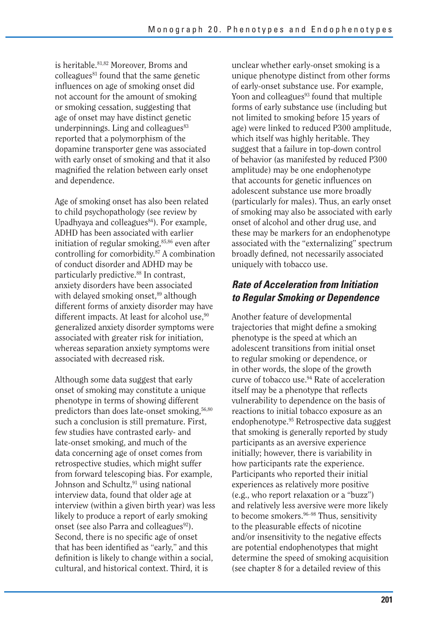is heritable.81,82 Moreover, Broms and  $\text{colle}$  agues<sup>81</sup> found that the same genetic influences on age of smoking onset did not account for the amount of smoking or smoking cessation, suggesting that age of onset may have distinct genetic underpinnings. Ling and colleagues $83$ reported that a polymorphism of the dopamine transporter gene was associated with early onset of smoking and that it also magnified the relation between early onset and dependence.

Age of smoking onset has also been related to child psychopathology (see review by Upadhyaya and colleagues $84$ ). For example, ADHD has been associated with earlier initiation of regular smoking, $85,86$  even after controlling for comorbidity.87 A combination of conduct disorder and ADHD may be particularly predictive.<sup>88</sup> In contrast, anxiety disorders have been associated with delayed smoking onset,<sup>89</sup> although different forms of anxiety disorder may have different impacts. At least for alcohol use, $90$ generalized anxiety disorder symptoms were associated with greater risk for initiation, whereas separation anxiety symptoms were associated with decreased risk.

Although some data suggest that early onset of smoking may constitute a unique phenotype in terms of showing different predictors than does late-onset smoking,56,80 such a conclusion is still premature. First, few studies have contrasted early- and late-onset smoking, and much of the data concerning age of onset comes from retrospective studies, which might suffer from forward telescoping bias. For example, Johnson and Schultz, <sup>91</sup> using national interview data, found that older age at interview (within a given birth year) was less likely to produce a report of early smoking onset (see also Parra and colleagues $92$ ). Second, there is no specific age of onset that has been identified as "early," and this definition is likely to change within a social, cultural, and historical context. Third, it is

unclear whether early-onset smoking is a unique phenotype distinct from other forms of early-onset substance use. For example, Yoon and colleagues $93$  found that multiple forms of early substance use (including but not limited to smoking before 15 years of age) were linked to reduced P300 amplitude, which itself was highly heritable. They suggest that a failure in top-down control of behavior (as manifested by reduced P300 amplitude) may be one endophenotype that accounts for genetic influences on adolescent substance use more broadly (particularly for males). Thus, an early onset of smoking may also be associated with early onset of alcohol and other drug use, and these may be markers for an endophenotype associated with the "externalizing" spectrum broadly defined, not necessarily associated uniquely with tobacco use.

## *Rate of Acceleration from Initiation to Regular Smoking or Dependence*

Another feature of developmental trajectories that might define a smoking phenotype is the speed at which an adolescent transitions from initial onset to regular smoking or dependence, or in other words, the slope of the growth curve of tobacco use.94 Rate of acceleration itself may be a phenotype that reflects vulnerability to dependence on the basis of reactions to initial tobacco exposure as an endophenotype.95 Retrospective data suggest that smoking is generally reported by study participants as an aversive experience initially; however, there is variability in how participants rate the experience. Participants who reported their initial experiences as relatively more positive (e.g., who report relaxation or a "buzz") and relatively less aversive were more likely to become smokers.96–98 Thus, sensitivity to the pleasurable effects of nicotine and/or insensitivity to the negative effects are potential endophenotypes that might determine the speed of smoking acquisition (see chapter 8 for a detailed review of this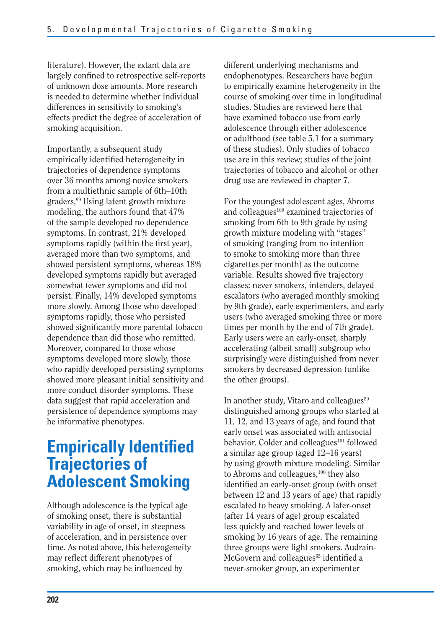literature). However, the extant data are largely confined to retrospective self-reports of unknown dose amounts. More research is needed to determine whether individual differences in sensitivity to smoking's effects predict the degree of acceleration of smoking acquisition.

Importantly, a subsequent study empirically identified heterogeneity in trajectories of dependence symptoms over 36 months among novice smokers from a multiethnic sample of 6th–10th graders,99 Using latent growth mixture modeling, the authors found that 47% of the sample developed no dependence symptoms. In contrast, 21% developed symptoms rapidly (within the first year), averaged more than two symptoms, and showed persistent symptoms, whereas 18% developed symptoms rapidly but averaged somewhat fewer symptoms and did not persist. Finally, 14% developed symptoms more slowly. Among those who developed symptoms rapidly, those who persisted showed significantly more parental tobacco dependence than did those who remitted. Moreover, compared to those whose symptoms developed more slowly, those who rapidly developed persisting symptoms showed more pleasant initial sensitivity and more conduct disorder symptoms. These data suggest that rapid acceleration and persistence of dependence symptoms may be informative phenotypes.

# **Empirically Identified Trajectories of Adolescent Smoking**

Although adolescence is the typical age of smoking onset, there is substantial variability in age of onset, in steepness of acceleration, and in persistence over time. As noted above, this heterogeneity may reflect different phenotypes of smoking, which may be influenced by

different underlying mechanisms and endophenotypes. Researchers have begun to empirically examine heterogeneity in the course of smoking over time in longitudinal studies. Studies are reviewed here that have examined tobacco use from early adolescence through either adolescence or adulthood (see table 5.1 for a summary of these studies). Only studies of tobacco use are in this review; studies of the joint trajectories of tobacco and alcohol or other drug use are reviewed in chapter 7.

For the youngest adolescent ages, Abroms and colleagues<sup>100</sup> examined trajectories of smoking from 6th to 9th grade by using growth mixture modeling with "stages" of smoking (ranging from no intention to smoke to smoking more than three cigarettes per month) as the outcome variable. Results showed five trajectory classes: never smokers, intenders, delayed escalators (who averaged monthly smoking by 9th grade), early experimenters, and early users (who averaged smoking three or more times per month by the end of 7th grade). Early users were an early-onset, sharply accelerating (albeit small) subgroup who surprisingly were distinguished from never smokers by decreased depression (unlike the other groups).

In another study, Vitaro and colleagues $80$ distinguished among groups who started at 11, 12, and 13 years of age, and found that early onset was associated with antisocial behavior. Colder and colleagues<sup>101</sup> followed a similar age group (aged 12–16 years) by using growth mixture modeling. Similar to Abroms and colleagues,<sup>100</sup> they also identified an early-onset group (with onset between 12 and 13 years of age) that rapidly escalated to heavy smoking. A later-onset (after 14 years of age) group escalated less quickly and reached lower levels of smoking by 16 years of age. The remaining three groups were light smokers. Audrain-McGovern and colleagues<sup>65</sup> identified a never-smoker group, an experimenter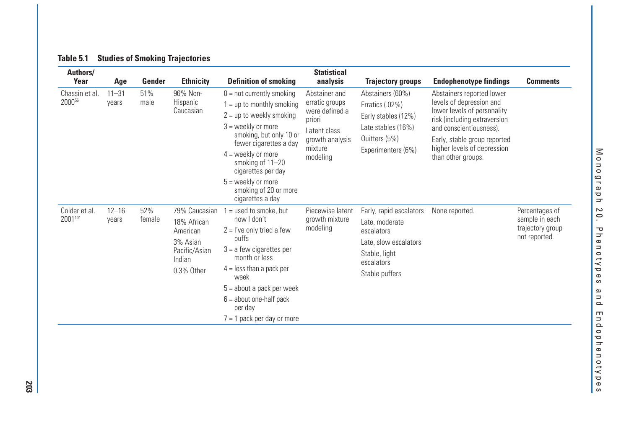| Authors/                             |                    |               |                                                                                               |                                                                                                                                                                                                                                                                                                | <b>Statistical</b>                                                                                                    |                                                                                                                                   |                                                                                                                                                                                                                                      |                                                                       |
|--------------------------------------|--------------------|---------------|-----------------------------------------------------------------------------------------------|------------------------------------------------------------------------------------------------------------------------------------------------------------------------------------------------------------------------------------------------------------------------------------------------|-----------------------------------------------------------------------------------------------------------------------|-----------------------------------------------------------------------------------------------------------------------------------|--------------------------------------------------------------------------------------------------------------------------------------------------------------------------------------------------------------------------------------|-----------------------------------------------------------------------|
| Year                                 | Age                | Gender        | <b>Ethnicity</b>                                                                              | <b>Definition of smoking</b>                                                                                                                                                                                                                                                                   | analysis                                                                                                              | <b>Trajectory groups</b>                                                                                                          | <b>Endophenotype findings</b>                                                                                                                                                                                                        | <b>Comments</b>                                                       |
| Chassin et al.<br>2000 <sup>56</sup> | $11 - 31$<br>years | 51%<br>male   | 96% Non-<br><b>Hispanic</b><br>Caucasian                                                      | $0 = not currently smoking$<br>$1 =$ up to monthly smoking<br>$2 = up to weekly smoking$<br>$3$ = weekly or more<br>smoking, but only 10 or<br>fewer cigarettes a day<br>$4 =$ weekly or more<br>smoking of 11-20<br>cigarettes per day<br>$5 =$ weekly or more<br>smoking of 20 or more       | Abstainer and<br>erratic groups<br>were defined a<br>priori<br>Latent class<br>growth analysis<br>mixture<br>modeling | Abstainers (60%)<br>Erratics (.02%)<br>Early stables (12%)<br>Late stables (16%)<br>Quitters (5%)<br>Experimenters (6%)           | Abstainers reported lower<br>levels of depression and<br>lower levels of personality<br>risk (including extraversion<br>and conscientiousness).<br>Early, stable group reported<br>higher levels of depression<br>than other groups. |                                                                       |
| Colder et al.<br>2001101             | $12 - 16$<br>years | 52%<br>female | 79% Caucasian<br>18% African<br>American<br>3% Asian<br>Pacific/Asian<br>Indian<br>0.3% Other | cigarettes a day<br>$=$ used to smoke, but<br>now I don't<br>$2 = l$ 've only tried a few<br>puffs<br>$3 = a few eigenettes per$<br>month or less<br>$4 =$ less than a pack per<br>week<br>$5 =$ about a pack per week<br>$6 =$ about one-half pack<br>per day<br>$7 = 1$ pack per day or more | Piecewise latent<br>growth mixture<br>modeling                                                                        | Early, rapid escalators<br>Late, moderate<br>escalators<br>Late, slow escalators<br>Stable, light<br>escalators<br>Stable puffers | None reported.                                                                                                                                                                                                                       | Percentages of<br>sample in each<br>trajectory group<br>not reported. |

#### **Table 5.1 Studies of Smoking Trajectories**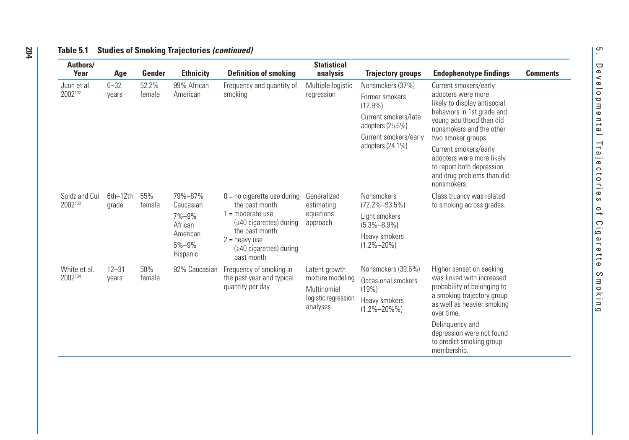| Authors/                 |                    |                 |                                                                                 |                                                                                                                                                                                      | <b>Statistical</b>                                                                  |                                                                                                                                           |                                                                                                                                                                                                                                                                                                                         |                 |
|--------------------------|--------------------|-----------------|---------------------------------------------------------------------------------|--------------------------------------------------------------------------------------------------------------------------------------------------------------------------------------|-------------------------------------------------------------------------------------|-------------------------------------------------------------------------------------------------------------------------------------------|-------------------------------------------------------------------------------------------------------------------------------------------------------------------------------------------------------------------------------------------------------------------------------------------------------------------------|-----------------|
| Year                     | Age                | Gender          | <b>Ethnicity</b>                                                                | <b>Definition of smoking</b>                                                                                                                                                         | analysis                                                                            | <b>Trajectory groups</b>                                                                                                                  | <b>Endophenotype findings</b>                                                                                                                                                                                                                                                                                           | <b>Comments</b> |
| Juon et al.<br>2002102   | $6 - 32$<br>vears  | 52.2%<br>female | 99% African<br>American                                                         | Frequency and quantity of<br>smoking                                                                                                                                                 | Multiple logistic<br>regression                                                     | Nonsmokers (37%)<br>Former smokers<br>$(12.9\%)$<br>Current smokers/late<br>adopters (25.6%)<br>Current smokers/early<br>adopters (24.1%) | Current smokers/early<br>adopters were more<br>likely to display antisocial<br>behaviors in 1st grade and<br>young adulthood than did<br>nonsmokers and the other<br>two smoker groups.<br>Current smokers/early<br>adopters were more likely<br>to report both depression<br>and drug problems than did<br>nonsmokers. |                 |
| Soldz and Cui<br>2002103 | 6th-12th<br>grade  | 55%<br>female   | 79%-87%<br>Caucasian<br>7%-9%<br>African<br>American<br>$6\% - 9\%$<br>Hispanic | $0 = no$ cigarette use during<br>the past month<br>$1 =$ moderate use<br>(≤40 cigarettes) during<br>the past month<br>$2 =$ heavy use<br>$(\geq 40$ cigarettes) during<br>past month | Generalized<br>estimating<br>equations<br>approach                                  | Nonsmokers<br>$(72.2\% - 93.5\%)$<br>Light smokers<br>$(5.3\% - 8.9\%)$<br>Heavy smokers<br>$(1.2\% - 20\%)$                              | Class truancy was related<br>to smoking across grades.                                                                                                                                                                                                                                                                  |                 |
| White et al.<br>2002104  | $12 - 31$<br>years | 50%<br>female   | 92% Caucasian                                                                   | Frequency of smoking in<br>the past year and typical<br>quantity per day                                                                                                             | Latent growth<br>mixture modeling<br>Multinomial<br>logistic regression<br>analyses | Nonsmokers (39.6%)<br>Occasional smokers<br>(19%)<br>Heavy smokers<br>$(1.2\% - 20\% \%)$                                                 | Higher sensation seeking<br>was linked with increased<br>probability of belonging to<br>a smoking trajectory group<br>as well as heavier smoking<br>over time.<br>Delinguency and<br>depression were not found<br>to predict smoking group<br>membership.                                                               |                 |

#### **Table 5.1 Studies of Smoking Trajectories** *(continued)*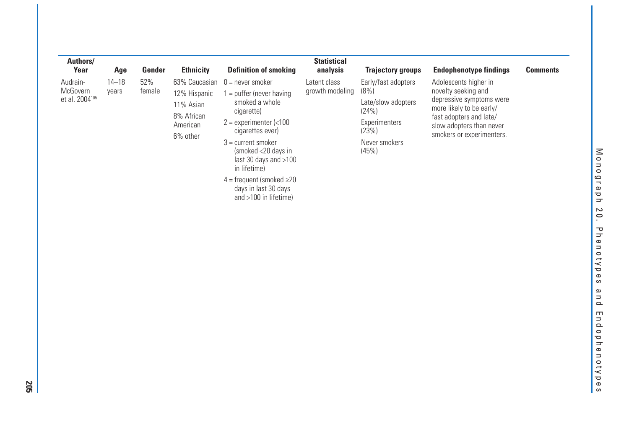| Authors/<br>Year                                   | Age                | Gender        | <b>Ethnicity</b>                                                | <b>Definition of smoking</b>                                                                                                                                                                                                                                                                                                     | <b>Statistical</b><br>analysis  | <b>Trajectory groups</b>                                                                                       | <b>Endophenotype findings</b>                                                                                                                                                            | <b>Comments</b> |
|----------------------------------------------------|--------------------|---------------|-----------------------------------------------------------------|----------------------------------------------------------------------------------------------------------------------------------------------------------------------------------------------------------------------------------------------------------------------------------------------------------------------------------|---------------------------------|----------------------------------------------------------------------------------------------------------------|------------------------------------------------------------------------------------------------------------------------------------------------------------------------------------------|-----------------|
| Audrain-<br>McGovern<br>et al. 2004 <sup>105</sup> | $14 - 18$<br>years | 52%<br>female | 12% Hispanic<br>11% Asian<br>8% African<br>American<br>6% other | $63\%$ Caucasian $0 =$ never smoker<br>$=$ puffer (never having<br>smoked a whole<br>cigarette)<br>$2$ = experimenter (<100<br>cigarettes ever)<br>$3 =$ current smoker<br>(smoked <20 days in<br>last 30 days and $>100$<br>in lifetime)<br>$4 =$ frequent (smoked $\geq 20$<br>days in last 30 days<br>and $>100$ in lifetime) | Latent class<br>growth modeling | Early/fast adopters<br>(8%)<br>Late/slow adopters<br>(24%)<br>Experimenters<br>(23%)<br>Never smokers<br>(45%) | Adolescents higher in<br>novelty seeking and<br>depressive symptoms were<br>more likely to be early/<br>fast adopters and late/<br>slow adopters than never<br>smokers or experimenters. |                 |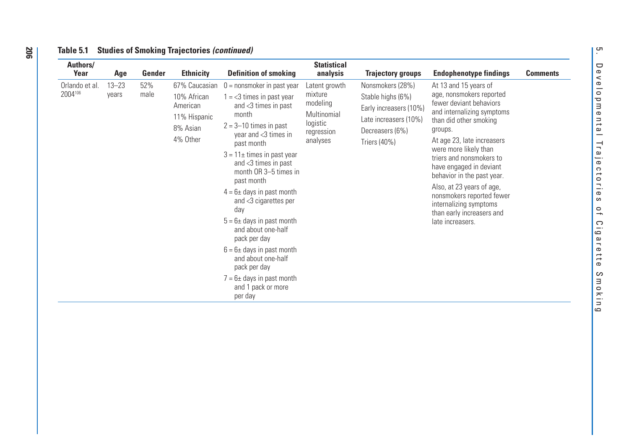| Authors/<br>Year          | Age                | Gender      | <b>Ethnicity</b>                                                                 | <b>Definition of smoking</b>                                                                                                                                                                                                                                                                                                                                                                                                                                                                                                                                | <b>Statistical</b><br>analysis                                                            | <b>Trajectory groups</b>                                                                                                    | <b>Endophenotype findings</b>                                                                                                                                                                                                                                                                                                                                                                                                    | <b>Comments</b> |
|---------------------------|--------------------|-------------|----------------------------------------------------------------------------------|-------------------------------------------------------------------------------------------------------------------------------------------------------------------------------------------------------------------------------------------------------------------------------------------------------------------------------------------------------------------------------------------------------------------------------------------------------------------------------------------------------------------------------------------------------------|-------------------------------------------------------------------------------------------|-----------------------------------------------------------------------------------------------------------------------------|----------------------------------------------------------------------------------------------------------------------------------------------------------------------------------------------------------------------------------------------------------------------------------------------------------------------------------------------------------------------------------------------------------------------------------|-----------------|
| Orlando et al.<br>2004106 | $13 - 23$<br>years | 52%<br>male | 67% Caucasian<br>10% African<br>American<br>11% Hispanic<br>8% Asian<br>4% Other | $0 =$ nonsmoker in past year<br>$1 = < 3$ times in past year<br>and <3 times in past<br>month<br>$2 = 3 - 10$ times in past<br>year and $<$ 3 times in<br>past month<br>$3 = 11 \pm$ times in past year<br>and <3 times in past<br>month OR 3-5 times in<br>past month<br>$4 = 6 \pm$ days in past month<br>and <3 cigarettes per<br>day<br>$5 = 6 \pm$ days in past month<br>and about one-half<br>pack per day<br>$6 = 6 \pm$ days in past month<br>and about one-half<br>pack per day<br>$7 = 6 \pm$ days in past month<br>and 1 pack or more<br>per day | Latent growth<br>mixture<br>modeling<br>Multinomial<br>logistic<br>regression<br>analyses | Nonsmokers (28%)<br>Stable highs (6%)<br>Early increasers (10%)<br>Late increasers (10%)<br>Decreasers (6%)<br>Triers (40%) | At 13 and 15 years of<br>age, nonsmokers reported<br>fewer deviant behaviors<br>and internalizing symptoms<br>than did other smoking<br>groups.<br>At age 23, late increasers<br>were more likely than<br>triers and nonsmokers to<br>have engaged in deviant<br>behavior in the past year.<br>Also, at 23 years of age,<br>nonsmokers reported fewer<br>internalizing symptoms<br>than early increasers and<br>late increasers. |                 |

#### **Table 5.1 Studies of Smoking Trajectories** *(continued)*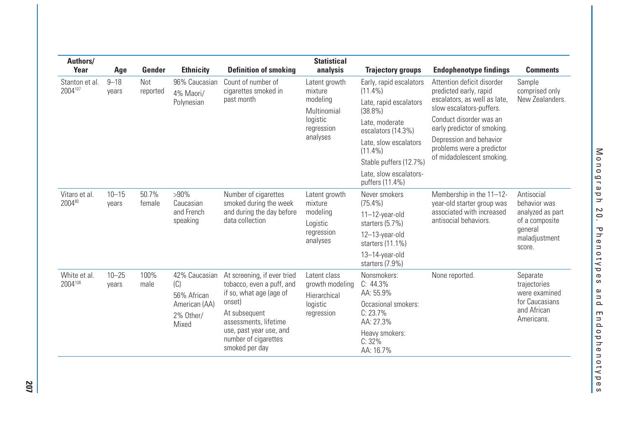| Authors/<br>Year          | Age                | Gender           | <b>Ethnicity</b>                                                           | <b>Definition of smoking</b>                                                                                                                                                                                 | <b>Statistical</b><br>analysis                                                            | <b>Trajectory groups</b>                                                                                                                                                                                                            | <b>Endophenotype findings</b>                                                                                                                                                                                                                                   | <b>Comments</b>                                                                                        |
|---------------------------|--------------------|------------------|----------------------------------------------------------------------------|--------------------------------------------------------------------------------------------------------------------------------------------------------------------------------------------------------------|-------------------------------------------------------------------------------------------|-------------------------------------------------------------------------------------------------------------------------------------------------------------------------------------------------------------------------------------|-----------------------------------------------------------------------------------------------------------------------------------------------------------------------------------------------------------------------------------------------------------------|--------------------------------------------------------------------------------------------------------|
| Stanton et al.<br>2004107 | $9 - 18$<br>years  | Not.<br>reported | 96% Caucasian<br>4% Maori/<br>Polynesian                                   | Count of number of<br>cigarettes smoked in<br>past month                                                                                                                                                     | Latent growth<br>mixture<br>modeling<br>Multinomial<br>logistic<br>regression<br>analyses | Early, rapid escalators<br>$(11.4\%)$<br>Late, rapid escalators<br>$(38.8\%)$<br>Late, moderate<br>escalators (14.3%)<br>Late, slow escalators<br>$(11.4\%)$<br>Stable puffers (12.7%)<br>Late, slow escalators-<br>puffers (11.4%) | Attention deficit disorder<br>predicted early, rapid<br>escalators, as well as late,<br>slow escalators-puffers.<br>Conduct disorder was an<br>early predictor of smoking.<br>Depression and behavior<br>problems were a predictor<br>of midadolescent smoking. | Sample<br>comprised only<br>New Zealanders.                                                            |
| Vitaro et al.<br>200480   | $10 - 15$<br>years | 50.7%<br>female  | $>90\%$<br>Caucasian<br>and French<br>speaking                             | Number of cigarettes<br>smoked during the week<br>and during the day before<br>data collection                                                                                                               | Latent growth<br>mixture<br>modeling<br>Logistic<br>regression<br>analyses                | Never smokers<br>$(75.4\%)$<br>11-12-year-old<br>starters (5.7%)<br>12-13-year-old<br>starters (11.1%)<br>13-14-year-old<br>starters (7.9%)                                                                                         | Membership in the 11-12-<br>year-old starter group was<br>associated with increased<br>antisocial behaviors.                                                                                                                                                    | Antisocial<br>behavior was<br>analyzed as part<br>of a composite<br>qeneral<br>maladjustment<br>score. |
| White et al.<br>2004108   | $10 - 25$<br>vears | 100%<br>male     | 42% Caucasian<br>(C)<br>56% African<br>American (AA)<br>2% Other/<br>Mixed | At screening, if ever tried<br>tobacco, even a puff, and<br>if so, what age (age of<br>onset)<br>At subsequent<br>assessments, lifetime<br>use, past year use, and<br>number of cigarettes<br>smoked per day | Latent class<br>growth modeling<br>Hierarchical<br>logistic<br>regression                 | Nonsmokers:<br>C: 44.3%<br>AA: 55.9%<br>Occasional smokers:<br>C: 23.7%<br>AA: 27.3%<br>Heavy smokers:<br>C: 32%<br>AA: 16.7%                                                                                                       | None reported.                                                                                                                                                                                                                                                  | Separate<br>trajectories<br>were examined<br>for Caucasians<br>and African<br>Americans.               |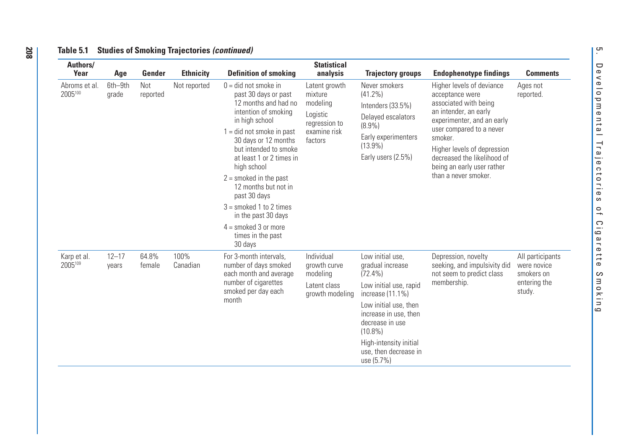| Authors/<br>Year         | Age                | Gender          | <b>Ethnicity</b> | <b>Definition of smoking</b>                                                                                                                                                                                                                                                                                                                                                                                       | <b>Statistical</b><br>analysis                                                               | <b>Trajectory groups</b>                                                                                                                                                                                                                             | <b>Endophenotype findings</b>                                                                                                                                                                                                                                                           | <b>Comments</b>                                                         |
|--------------------------|--------------------|-----------------|------------------|--------------------------------------------------------------------------------------------------------------------------------------------------------------------------------------------------------------------------------------------------------------------------------------------------------------------------------------------------------------------------------------------------------------------|----------------------------------------------------------------------------------------------|------------------------------------------------------------------------------------------------------------------------------------------------------------------------------------------------------------------------------------------------------|-----------------------------------------------------------------------------------------------------------------------------------------------------------------------------------------------------------------------------------------------------------------------------------------|-------------------------------------------------------------------------|
| Abroms et al.<br>2005100 | 6th-9th<br>grade   | Not<br>reported | Not reported     | $0 =$ did not smoke in<br>past 30 days or past<br>12 months and had no<br>intention of smoking<br>in high school<br>$1 =$ did not smoke in past<br>30 days or 12 months<br>but intended to smoke<br>at least 1 or 2 times in<br>high school<br>$2 =$ smoked in the past<br>12 months but not in<br>past 30 days<br>$3 =$ smoked 1 to 2 times<br>in the past 30 days<br>$4 =$ smoked 3 or more<br>times in the past | Latent growth<br>mixture<br>modeling<br>Logistic<br>regression to<br>examine risk<br>factors | Never smokers<br>$(41.2\%)$<br>Intenders (33.5%)<br>Delayed escalators<br>$(8.9\%)$<br>Early experimenters<br>$(13.9\%)$<br>Early users (2.5%)                                                                                                       | Higher levels of deviance<br>acceptance were<br>associated with being<br>an intender, an early<br>experimenter, and an early<br>user compared to a never<br>smoker.<br>Higher levels of depression<br>decreased the likelihood of<br>being an early user rather<br>than a never smoker. | Ages not<br>reported.                                                   |
| Karp et al.<br>2005109   | $12 - 17$<br>years | 64.8%<br>female | 100%<br>Canadian | 30 days<br>For 3-month intervals,<br>number of days smoked<br>each month and average<br>number of cigarettes<br>smoked per day each<br>month                                                                                                                                                                                                                                                                       | Individual<br>growth curve<br>modeling<br>Latent class<br>growth modeling                    | Low initial use.<br>gradual increase<br>$(72.4\%)$<br>Low initial use, rapid<br>increase (11.1%)<br>Low initial use, then<br>increase in use, then<br>decrease in use<br>$(10.8\%)$<br>High-intensity initial<br>use, then decrease in<br>use (5.7%) | Depression, novelty<br>seeking, and impulsivity did<br>not seem to predict class<br>membership.                                                                                                                                                                                         | All participants<br>were novice<br>smokers on<br>entering the<br>study. |

5. Developmental Trajectories of Cigarette Smoking

 $\overline{a}$ 

Cigarette

Smoking

Trajectories

rب.  $\qquad \qquad \Box$ 

evelopmental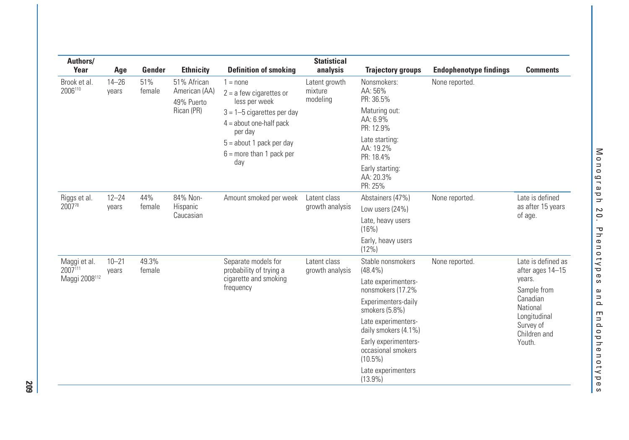| Authors/<br>Year        | Age                | Gender          | <b>Ethnicity</b>                           | <b>Definition of smoking</b>                                           | <b>Statistical</b><br>analysis       | <b>Trajectory groups</b>                                 | <b>Endophenotype findings</b> | <b>Comments</b>                           |
|-------------------------|--------------------|-----------------|--------------------------------------------|------------------------------------------------------------------------|--------------------------------------|----------------------------------------------------------|-------------------------------|-------------------------------------------|
| Brook et al.<br>2006110 | $14 - 26$<br>vears | 51%<br>female   | 51% African<br>American (AA)<br>49% Puerto | $1 = none$<br>$2 = a few \; cu$<br>less per week                       | Latent growth<br>mixture<br>modeling | Nonsmokers:<br>AA: 56%<br>PR: 36.5%                      | None reported.                |                                           |
|                         |                    |                 | Rican (PR)                                 | $3 = 1 - 5$ cigarettes per day<br>$4 =$ about one-half pack<br>per day |                                      | Maturing out:<br>AA: 6.9%<br>PR: 12.9%                   |                               |                                           |
|                         |                    |                 |                                            | $5 =$ about 1 pack per day<br>$6 =$ more than 1 pack per               |                                      | Late starting:<br>AA: 19.2%<br>PR: 18.4%                 |                               |                                           |
|                         |                    |                 |                                            | day                                                                    |                                      | Early starting:<br>AA: 20.3%<br>PR: 25%                  |                               |                                           |
| Riggs et al.            | $12 - 24$          | 44%             | 84% Non-                                   | Amount smoked per week                                                 | Latent class                         | Abstainers (47%)                                         | None reported.                | Late is defined                           |
| 200778                  | years              | female          | Hispanic<br>Caucasian                      |                                                                        | growth analysis                      | Low users (24%)                                          |                               | as after 15 years<br>of age.              |
|                         |                    |                 |                                            | (16%)                                                                  |                                      | Late, heavy users                                        |                               |                                           |
|                         |                    |                 |                                            |                                                                        |                                      | Early, heavy users<br>(12%)                              |                               |                                           |
| Maggi et al.<br>2007111 | $10 - 21$<br>years | 49.3%<br>female |                                            | Separate models for<br>probability of trying a                         | Latent class<br>growth analysis      | Stable nonsmokers<br>$(48.4\%)$                          | None reported.                | Late is defined as<br>after ages 14-15    |
| Maggi 2008112           |                    |                 |                                            | cigarette and smoking<br>frequency                                     |                                      | Late experimenters-<br>nonsmokers (17.2%                 |                               | years.<br>Sample from                     |
|                         |                    |                 |                                            |                                                                        |                                      | Experimenters-daily<br>smokers (5.8%)                    |                               | Canadian<br>National                      |
|                         |                    |                 |                                            |                                                                        |                                      | Late experimenters-<br>daily smokers (4.1%)              |                               | Longitudinal<br>Survey of<br>Children and |
|                         |                    |                 |                                            |                                                                        |                                      | Early experimenters-<br>occasional smokers<br>$(10.5\%)$ |                               | Youth.                                    |
|                         |                    |                 |                                            |                                                                        |                                      | Late experimenters<br>$(13.9\%)$                         |                               |                                           |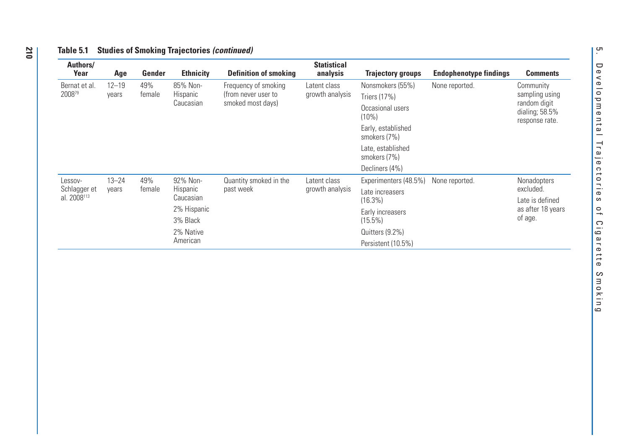| Authors/<br>Year                        | Age                | Gender        | <b>Ethnicity</b>                             | <b>Definition of smoking</b>                | <b>Statistical</b><br>analysis  | <b>Trajectory groups</b>           | <b>Endophenotype findings</b> | <b>Comments</b>                |
|-----------------------------------------|--------------------|---------------|----------------------------------------------|---------------------------------------------|---------------------------------|------------------------------------|-------------------------------|--------------------------------|
| Bernat et al.<br>200879                 | $12 - 19$<br>years | 49%<br>female | 85% Non-<br>Hispanic                         | Frequency of smoking<br>(from never user to | Latent class<br>growth analysis | Nonsmokers (55%)<br>Triers (17%)   | None reported.                | Community<br>sampling using    |
|                                         |                    |               | Caucasian                                    | smoked most days)                           |                                 | Occasional users<br>(10%)          |                               | random digit<br>dialing; 58.5% |
|                                         |                    |               |                                              |                                             |                                 | Early, established<br>smokers (7%) |                               | response rate.                 |
|                                         |                    |               |                                              |                                             |                                 | Late, established<br>smokers (7%)  |                               |                                |
|                                         |                    |               |                                              |                                             |                                 | Decliners (4%)                     |                               |                                |
| Lessov-                                 | $13 - 24$          | 49%           | 92% Non-                                     | Quantity smoked in the                      | Latent class                    | Experimenters (48.5%)              | None reported.                | <b>Nonadopters</b>             |
| Schlagger et<br>al. 2008 <sup>113</sup> | years              |               | Hispanic<br>past week<br>female<br>Caucasian | growth analysis                             | Late increasers<br>$(16.3\%)$   |                                    | excluded.<br>Late is defined  |                                |
|                                         |                    |               | 2% Hispanic<br>3% Black                      |                                             |                                 | Early increasers<br>$(15.5\%)$     |                               | as after 18 years<br>of age.   |
|                                         |                    |               | 2% Native                                    |                                             |                                 | Quitters (9.2%)                    |                               |                                |
|                                         |                    |               | American                                     |                                             |                                 | Persistent (10.5%)                 |                               |                                |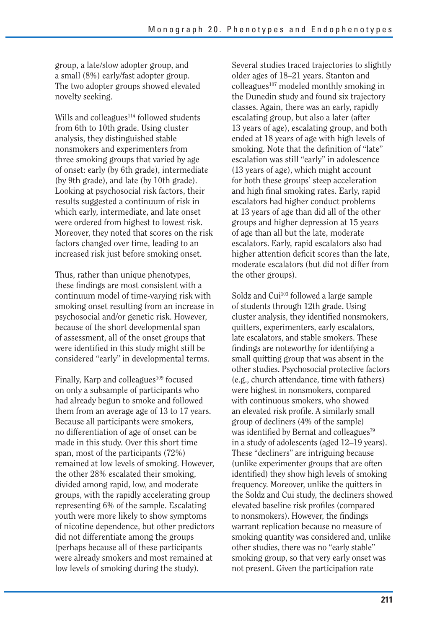group, a late/slow adopter group, and a small (8%) early/fast adopter group. The two adopter groups showed elevated novelty seeking.

Wills and colleagues $114$  followed students from 6th to 10th grade. Using cluster analysis, they distinguished stable nonsmokers and experimenters from three smoking groups that varied by age of onset: early (by 6th grade), intermediate (by 9th grade), and late (by 10th grade). Looking at psychosocial risk factors, their results suggested a continuum of risk in which early, intermediate, and late onset were ordered from highest to lowest risk. Moreover, they noted that scores on the risk factors changed over time, leading to an increased risk just before smoking onset.

Thus, rather than unique phenotypes, these findings are most consistent with a continuum model of time-varying risk with smoking onset resulting from an increase in psychosocial and/or genetic risk. However, because of the short developmental span of assessment, all of the onset groups that were identified in this study might still be considered "early" in developmental terms.

Finally, Karp and colleagues<sup>109</sup> focused on only a subsample of participants who had already begun to smoke and followed them from an average age of 13 to 17 years. Because all participants were smokers, no differentiation of age of onset can be made in this study. Over this short time span, most of the participants (72%) remained at low levels of smoking. However, the other 28% escalated their smoking, divided among rapid, low, and moderate groups, with the rapidly accelerating group representing 6% of the sample. Escalating youth were more likely to show symptoms of nicotine dependence, but other predictors did not differentiate among the groups (perhaps because all of these participants were already smokers and most remained at low levels of smoking during the study).

Several studies traced trajectories to slightly older ages of 18–21 years. Stanton and colleagues<sup>107</sup> modeled monthly smoking in the Dunedin study and found six trajectory classes. Again, there was an early, rapidly escalating group, but also a later (after 13 years of age), escalating group, and both ended at 18 years of age with high levels of smoking. Note that the definition of "late" escalation was still "early" in adolescence (13 years of age), which might account for both these groups' steep acceleration and high final smoking rates. Early, rapid escalators had higher conduct problems at 13 years of age than did all of the other groups and higher depression at 15 years of age than all but the late, moderate escalators. Early, rapid escalators also had higher attention deficit scores than the late, moderate escalators (but did not differ from the other groups).

Soldz and Cui<sup>103</sup> followed a large sample of students through 12th grade. Using cluster analysis, they identified nonsmokers, quitters, experimenters, early escalators, late escalators, and stable smokers. These findings are noteworthy for identifying a small quitting group that was absent in the other studies. Psychosocial protective factors (e.g., church attendance, time with fathers) were highest in nonsmokers, compared with continuous smokers, who showed an elevated risk profile. A similarly small group of decliners (4% of the sample) was identified by Bernat and colleagues<sup>79</sup> in a study of adolescents (aged 12–19 years). These "decliners" are intriguing because (unlike experimenter groups that are often identified) they show high levels of smoking frequency. Moreover, unlike the quitters in the Soldz and Cui study, the decliners showed elevated baseline risk profiles (compared to nonsmokers). However, the findings warrant replication because no measure of smoking quantity was considered and, unlike other studies, there was no "early stable" smoking group, so that very early onset was not present. Given the participation rate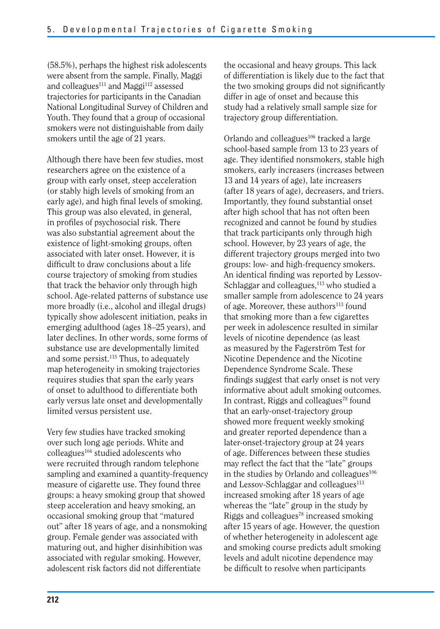(58.5%), perhaps the highest risk adolescents were absent from the sample. Finally, Maggi and colleagues<sup>111</sup> and Maggi<sup>112</sup> assessed trajectories for participants in the Canadian National Longitudinal Survey of Children and Youth. They found that a group of occasional smokers were not distinguishable from daily smokers until the age of 21 years.

Although there have been few studies, most researchers agree on the existence of a group with early onset, steep acceleration (or stably high levels of smoking from an early age), and high final levels of smoking. This group was also elevated, in general, in profiles of psychosocial risk. There was also substantial agreement about the existence of light-smoking groups, often associated with later onset. However, it is difficult to draw conclusions about a life course trajectory of smoking from studies that track the behavior only through high school. Age-related patterns of substance use more broadly (i.e., alcohol and illegal drugs) typically show adolescent initiation, peaks in emerging adulthood (ages 18–25 years), and later declines. In other words, some forms of substance use are developmentally limited and some persist.<sup>115</sup> Thus, to adequately map heterogeneity in smoking trajectories requires studies that span the early years of onset to adulthood to differentiate both early versus late onset and developmentally limited versus persistent use.

Very few studies have tracked smoking over such long age periods. White and colleagues<sup>104</sup> studied adolescents who were recruited through random telephone sampling and examined a quantity-frequency measure of cigarette use. They found three groups: a heavy smoking group that showed steep acceleration and heavy smoking, an occasional smoking group that "matured out" after 18 years of age, and a nonsmoking group. Female gender was associated with maturing out, and higher disinhibition was associated with regular smoking. However, adolescent risk factors did not differentiate

the occasional and heavy groups. This lack of differentiation is likely due to the fact that the two smoking groups did not significantly differ in age of onset and because this study had a relatively small sample size for trajectory group differentiation.

Orlando and colleagues $106$  tracked a large school-based sample from 13 to 23 years of age. They identified nonsmokers, stable high smokers, early increasers (increases between 13 and 14 years of age), late increasers (after 18 years of age), decreasers, and triers. Importantly, they found substantial onset after high school that has not often been recognized and cannot be found by studies that track participants only through high school. However, by 23 years of age, the different trajectory groups merged into two groups: low- and high-frequency smokers. An identical finding was reported by Lessov-Schlaggar and colleagues,<sup>113</sup> who studied a smaller sample from adolescence to 24 years of age. Moreover, these authors<sup>113</sup> found that smoking more than a few cigarettes per week in adolescence resulted in similar levels of nicotine dependence (as least as measured by the Fagerström Test for Nicotine Dependence and the Nicotine Dependence Syndrome Scale. These findings suggest that early onset is not very informative about adult smoking outcomes. In contrast, Riggs and colleagues<sup>78</sup> found that an early-onset-trajectory group showed more frequent weekly smoking and greater reported dependence than a later-onset-trajectory group at 24 years of age. Differences between these studies may reflect the fact that the "late" groups in the studies by Orlando and colleagues $106$ and Lessov-Schlaggar and colleagues<sup>113</sup> increased smoking after 18 years of age whereas the "late" group in the study by Riggs and colleagues78 increased smoking after 15 years of age. However, the question of whether heterogeneity in adolescent age and smoking course predicts adult smoking levels and adult nicotine dependence may be difficult to resolve when participants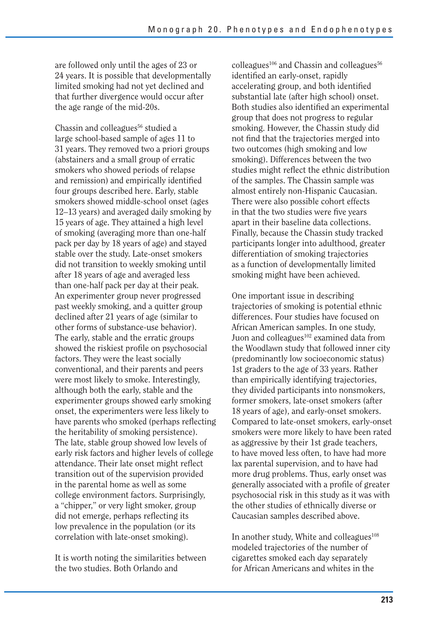are followed only until the ages of 23 or 24 years. It is possible that developmentally limited smoking had not yet declined and that further divergence would occur after the age range of the mid-20s.

Chassin and colleagues<sup>56</sup> studied a large school-based sample of ages 11 to 31 years. They removed two a priori groups (abstainers and a small group of erratic smokers who showed periods of relapse and remission) and empirically identified four groups described here. Early, stable smokers showed middle-school onset (ages 12–13 years) and averaged daily smoking by 15 years of age. They attained a high level of smoking (averaging more than one-half pack per day by 18 years of age) and stayed stable over the study. Late-onset smokers did not transition to weekly smoking until after 18 years of age and averaged less than one-half pack per day at their peak. An experimenter group never progressed past weekly smoking, and a quitter group declined after 21 years of age (similar to other forms of substance-use behavior). The early, stable and the erratic groups showed the riskiest profile on psychosocial factors. They were the least socially conventional, and their parents and peers were most likely to smoke. Interestingly, although both the early, stable and the experimenter groups showed early smoking onset, the experimenters were less likely to have parents who smoked (perhaps reflecting the heritability of smoking persistence). The late, stable group showed low levels of early risk factors and higher levels of college attendance. Their late onset might reflect transition out of the supervision provided in the parental home as well as some college environment factors. Surprisingly, a "chipper," or very light smoker, group did not emerge, perhaps reflecting its low prevalence in the population (or its correlation with late-onset smoking).

It is worth noting the similarities between the two studies. Both Orlando and

 $\text{colleagues}^{106}$  and Chassin and colleagues<sup>56</sup> identified an early-onset, rapidly accelerating group, and both identified substantial late (after high school) onset. Both studies also identified an experimental group that does not progress to regular smoking. However, the Chassin study did not find that the trajectories merged into two outcomes (high smoking and low smoking). Differences between the two studies might reflect the ethnic distribution of the samples. The Chassin sample was almost entirely non-Hispanic Caucasian. There were also possible cohort effects in that the two studies were five years apart in their baseline data collections. Finally, because the Chassin study tracked participants longer into adulthood, greater differentiation of smoking trajectories as a function of developmentally limited smoking might have been achieved.

One important issue in describing trajectories of smoking is potential ethnic differences. Four studies have focused on African American samples. In one study, Juon and colleagues<sup>102</sup> examined data from the Woodlawn study that followed inner city (predominantly low socioeconomic status) 1st graders to the age of 33 years. Rather than empirically identifying trajectories, they divided participants into nonsmokers, former smokers, late-onset smokers (after 18 years of age), and early-onset smokers. Compared to late-onset smokers, early-onset smokers were more likely to have been rated as aggressive by their 1st grade teachers, to have moved less often, to have had more lax parental supervision, and to have had more drug problems. Thus, early onset was generally associated with a profile of greater psychosocial risk in this study as it was with the other studies of ethnically diverse or Caucasian samples described above.

In another study, White and colleagues $108$ modeled trajectories of the number of cigarettes smoked each day separately for African Americans and whites in the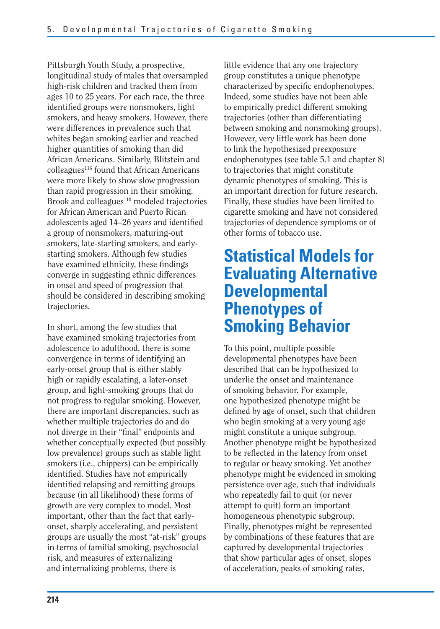Pittsburgh Youth Study, a prospective, longitudinal study of males that oversampled high-risk children and tracked them from ages 10 to 25 years. For each race, the three identified groups were nonsmokers, light smokers, and heavy smokers. However, there were differences in prevalence such that whites began smoking earlier and reached higher quantities of smoking than did African Americans. Similarly, Blitstein and  $\text{collea}$ gues<sup>116</sup> found that African Americans were more likely to show slow progression than rapid progression in their smoking. Brook and colleagues<sup>110</sup> modeled trajectories for African American and Puerto Rican adolescents aged 14–26 years and identified a group of nonsmokers, maturing-out smokers, late-starting smokers, and earlystarting smokers. Although few studies have examined ethnicity, these findings converge in suggesting ethnic differences in onset and speed of progression that should be considered in describing smoking trajectories.

In short, among the few studies that have examined smoking trajectories from adolescence to adulthood, there is some convergence in terms of identifying an early-onset group that is either stably high or rapidly escalating, a later-onset group, and light-smoking groups that do not progress to regular smoking. However, there are important discrepancies, such as whether multiple trajectories do and do not diverge in their "final" endpoints and whether conceptually expected (but possibly low prevalence) groups such as stable light smokers (i.e., chippers) can be empirically identified. Studies have not empirically identified relapsing and remitting groups because (in all likelihood) these forms of growth are very complex to model. Most important, other than the fact that earlyonset, sharply accelerating, and persistent groups are usually the most "at-risk" groups in terms of familial smoking, psychosocial risk, and measures of externalizing and internalizing problems, there is

little evidence that any one trajectory group constitutes a unique phenotype characterized by specific endophenotypes. Indeed, some studies have not been able to empirically predict different smoking trajectories (other than differentiating between smoking and nonsmoking groups). However, very little work has been done to link the hypothesized preexposure endophenotypes (see table 5.1 and chapter 8) to trajectories that might constitute dynamic phenotypes of smoking. This is an important direction for future research. Finally, these studies have been limited to cigarette smoking and have not considered trajectories of dependence symptoms or of other forms of tobacco use.

# **Statistical Models for Evaluating Alternative Developmental Phenotypes of Smoking Behavior**

To this point, multiple possible developmental phenotypes have been described that can be hypothesized to underlie the onset and maintenance of smoking behavior. For example, one hypothesized phenotype might be defined by age of onset, such that children who begin smoking at a very young age might constitute a unique subgroup. Another phenotype might be hypothesized to be reflected in the latency from onset to regular or heavy smoking. Yet another phenotype might be evidenced in smoking persistence over age, such that individuals who repeatedly fail to quit (or never attempt to quit) form an important homogeneous phenotypic subgroup. Finally, phenotypes might be represented by combinations of these features that are captured by developmental trajectories that show particular ages of onset, slopes of acceleration, peaks of smoking rates,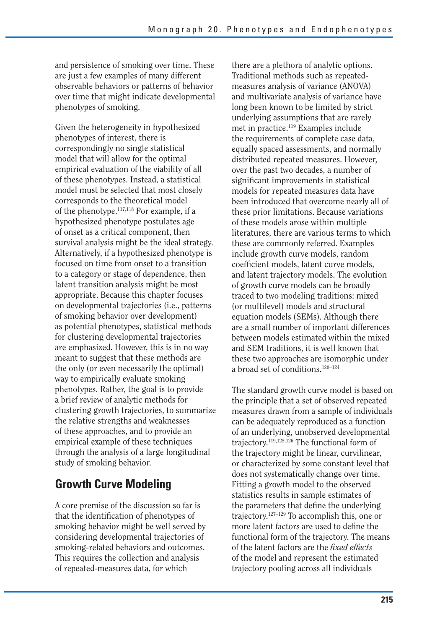and persistence of smoking over time. These are just a few examples of many different observable behaviors or patterns of behavior over time that might indicate developmental phenotypes of smoking.

Given the heterogeneity in hypothesized phenotypes of interest, there is correspondingly no single statistical model that will allow for the optimal empirical evaluation of the viability of all of these phenotypes. Instead, a statistical model must be selected that most closely corresponds to the theoretical model of the phenotype.117,118 For example, if a hypothesized phenotype postulates age of onset as a critical component, then survival analysis might be the ideal strategy. Alternatively, if a hypothesized phenotype is focused on time from onset to a transition to a category or stage of dependence, then latent transition analysis might be most appropriate. Because this chapter focuses on developmental trajectories (i.e., patterns of smoking behavior over development) as potential phenotypes, statistical methods for clustering developmental trajectories are emphasized. However, this is in no way meant to suggest that these methods are the only (or even necessarily the optimal) way to empirically evaluate smoking phenotypes. Rather, the goal is to provide a brief review of analytic methods for clustering growth trajectories, to summarize the relative strengths and weaknesses of these approaches, and to provide an empirical example of these techniques through the analysis of a large longitudinal study of smoking behavior.

## **Growth Curve Modeling**

A core premise of the discussion so far is that the identification of phenotypes of smoking behavior might be well served by considering developmental trajectories of smoking-related behaviors and outcomes. This requires the collection and analysis of repeated-measures data, for which

there are a plethora of analytic options. Traditional methods such as repeatedmeasures analysis of variance (ANOVA) and multivariate analysis of variance have long been known to be limited by strict underlying assumptions that are rarely met in practice.119 Examples include the requirements of complete case data, equally spaced assessments, and normally distributed repeated measures. However, over the past two decades, a number of significant improvements in statistical models for repeated measures data have been introduced that overcome nearly all of these prior limitations. Because variations of these models arose within multiple literatures, there are various terms to which these are commonly referred. Examples include growth curve models, random coefficient models, latent curve models, and latent trajectory models. The evolution of growth curve models can be broadly traced to two modeling traditions: mixed (or multilevel) models and structural equation models (SEMs). Although there are a small number of important differences between models estimated within the mixed and SEM traditions, it is well known that these two approaches are isomorphic under a broad set of conditions.120–124

The standard growth curve model is based on the principle that a set of observed repeated measures drawn from a sample of individuals can be adequately reproduced as a function of an underlying, unobserved developmental trajectory.119,125,126 The functional form of the trajectory might be linear, curvilinear, or characterized by some constant level that does not systematically change over time. Fitting a growth model to the observed statistics results in sample estimates of the parameters that define the underlying trajectory.127–129 To accomplish this, one or more latent factors are used to define the functional form of the trajectory. The means of the latent factors are the *fi xed effects*  of the model and represent the estimated trajectory pooling across all individuals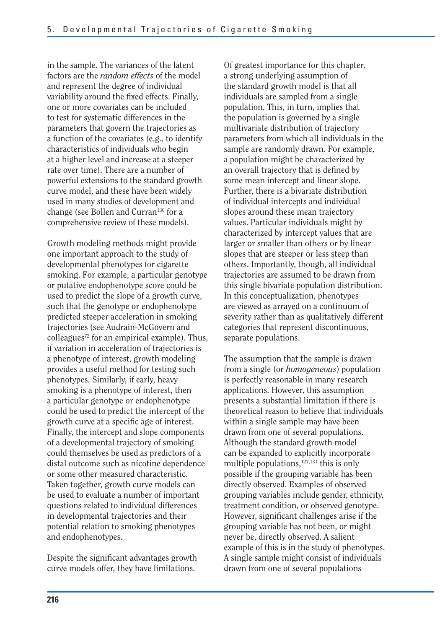in the sample. The variances of the latent factors are the *random effects* of the model and represent the degree of individual variability around the fixed effects. Finally, one or more covariates can be included to test for systematic differences in the parameters that govern the trajectories as a function of the covariates (e.g., to identify characteristics of individuals who begin at a higher level and increase at a steeper rate over time). There are a number of powerful extensions to the standard growth curve model, and these have been widely used in many studies of development and change (see Bollen and Curran<sup>130</sup> for a comprehensive review of these models).

Growth modeling methods might provide one important approach to the study of developmental phenotypes for cigarette smoking. For example, a particular genotype or putative endophenotype score could be used to predict the slope of a growth curve, such that the genotype or endophenotype predicted steeper acceleration in smoking trajectories (see Audrain-McGovern and colleagues<sup> $72$ </sup> for an empirical example). Thus, if variation in acceleration of trajectories is a phenotype of interest, growth modeling provides a useful method for testing such phenotypes. Similarly, if early, heavy smoking is a phenotype of interest, then a particular genotype or endophenotype could be used to predict the intercept of the growth curve at a specific age of interest. Finally, the intercept and slope components of a developmental trajectory of smoking could themselves be used as predictors of a distal outcome such as nicotine dependence or some other measured characteristic. Taken together, growth curve models can be used to evaluate a number of important questions related to individual differences in developmental trajectories and their potential relation to smoking phenotypes and endophenotypes.

Despite the significant advantages growth curve models offer, they have limitations.

Of greatest importance for this chapter, a strong underlying assumption of the standard growth model is that all individuals are sampled from a single population. This, in turn, implies that the population is governed by a single multivariate distribution of trajectory parameters from which all individuals in the sample are randomly drawn. For example, a population might be characterized by an overall trajectory that is defined by some mean intercept and linear slope. Further, there is a bivariate distribution of individual intercepts and individual slopes around these mean trajectory values. Particular individuals might by characterized by intercept values that are larger or smaller than others or by linear slopes that are steeper or less steep than others. Importantly, though, all individual trajectories are assumed to be drawn from this single bivariate population distribution. In this conceptualization, phenotypes are viewed as arrayed on a continuum of severity rather than as qualitatively different categories that represent discontinuous, separate populations.

The assumption that the sample is drawn from a single (or *homogeneous*) population is perfectly reasonable in many research applications. However, this assumption presents a substantial limitation if there is theoretical reason to believe that individuals within a single sample may have been drawn from one of several populations. Although the standard growth model can be expanded to explicitly incorporate multiple populations, $127,131$  this is only possible if the grouping variable has been directly observed. Examples of observed grouping variables include gender, ethnicity, treatment condition, or observed genotype. However, significant challenges arise if the grouping variable has not been, or might never be, directly observed. A salient example of this is in the study of phenotypes. A single sample might consist of individuals drawn from one of several populations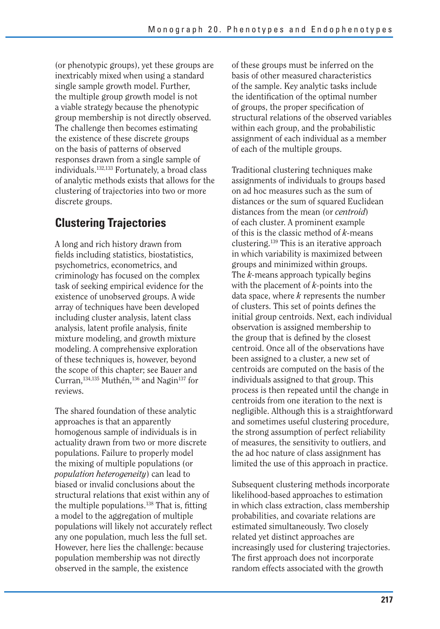(or phenotypic groups), yet these groups are inextricably mixed when using a standard single sample growth model. Further, the multiple group growth model is not a viable strategy because the phenotypic group membership is not directly observed. The challenge then becomes estimating the existence of these discrete groups on the basis of patterns of observed responses drawn from a single sample of individuals.132,133 Fortunately, a broad class of analytic methods exists that allows for the clustering of trajectories into two or more discrete groups.

## **Clustering Trajectories**

A long and rich history drawn from fields including statistics, biostatistics, psychometrics, econometrics, and criminology has focused on the complex task of seeking empirical evidence for the existence of unobserved groups. A wide array of techniques have been developed including cluster analysis, latent class analysis, latent profile analysis, finite mixture modeling, and growth mixture modeling. A comprehensive exploration of these techniques is, however, beyond the scope of this chapter; see Bauer and Curran,<sup>134,135</sup> Muthén,<sup>136</sup> and Nagin<sup>137</sup> for reviews.

The shared foundation of these analytic approaches is that an apparently homogenous sample of individuals is in actuality drawn from two or more discrete populations. Failure to properly model the mixing of multiple populations (or *population heterogeneity*) can lead to biased or invalid conclusions about the structural relations that exist within any of the multiple populations. $138$  That is, fitting a model to the aggregation of multiple populations will likely not accurately reflect any one population, much less the full set. However, here lies the challenge: because population membership was not directly observed in the sample, the existence

of these groups must be inferred on the basis of other measured characteristics of the sample. Key analytic tasks include the identification of the optimal number of groups, the proper specification of structural relations of the observed variables within each group, and the probabilistic assignment of each individual as a member of each of the multiple groups.

Traditional clustering techniques make assignments of individuals to groups based on ad hoc measures such as the sum of distances or the sum of squared Euclidean distances from the mean (or *centroid*) of each cluster. A prominent example of this is the classic method of *k-*means clustering.139 This is an iterative approach in which variability is maximized between groups and minimized within groups. The *k-*means approach typically begins with the placement of *k-*points into the data space, where *k* represents the number of clusters. This set of points defines the initial group centroids. Next, each individual observation is assigned membership to the group that is defined by the closest centroid. Once all of the observations have been assigned to a cluster, a new set of centroids are computed on the basis of the individuals assigned to that group. This process is then repeated until the change in centroids from one iteration to the next is negligible. Although this is a straightforward and sometimes useful clustering procedure, the strong assumption of perfect reliability of measures, the sensitivity to outliers, and the ad hoc nature of class assignment has limited the use of this approach in practice.

Subsequent clustering methods incorporate likelihood-based approaches to estimation in which class extraction, class membership probabilities, and covariate relations are estimated simultaneously. Two closely related yet distinct approaches are increasingly used for clustering trajectories. The first approach does not incorporate random effects associated with the growth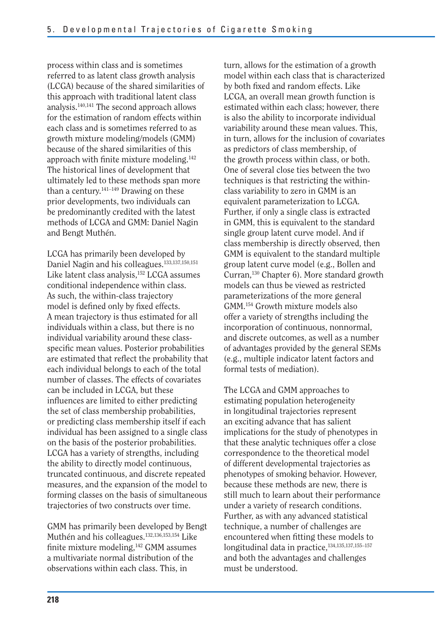process within class and is sometimes referred to as latent class growth analysis (LCGA) because of the shared similarities of this approach with traditional latent class analysis.140,141 The second approach allows for the estimation of random effects within each class and is sometimes referred to as growth mixture modeling/models (GMM) because of the shared similarities of this approach with finite mixture modeling.<sup>142</sup> The historical lines of development that ultimately led to these methods span more than a century. $141-149$  Drawing on these prior developments, two individuals can be predominantly credited with the latest methods of LCGA and GMM: Daniel Nagin and Bengt Muthén.

LCGA has primarily been developed by Daniel Nagin and his colleagues.133,137,150,151 Like latent class analysis,<sup>152</sup> LCGA assumes conditional independence within class. As such, the within-class trajectory model is defined only by fixed effects. A mean trajectory is thus estimated for all individuals within a class, but there is no individual variability around these classspecific mean values. Posterior probabilities are estimated that reflect the probability that each individual belongs to each of the total number of classes. The effects of covariates can be included in LCGA, but these influences are limited to either predicting the set of class membership probabilities, or predicting class membership itself if each individual has been assigned to a single class on the basis of the posterior probabilities. LCGA has a variety of strengths, including the ability to directly model continuous, truncated continuous, and discrete repeated measures, and the expansion of the model to forming classes on the basis of simultaneous trajectories of two constructs over time.

GMM has primarily been developed by Bengt Muthén and his colleagues.132,136,153,154 Like finite mixture modeling,142 GMM assumes a multivariate normal distribution of the observations within each class. This, in

turn, allows for the estimation of a growth model within each class that is characterized by both fixed and random effects. Like LCGA, an overall mean growth function is estimated within each class; however, there is also the ability to incorporate individual variability around these mean values. This, in turn, allows for the inclusion of covariates as predictors of class membership, of the growth process within class, or both. One of several close ties between the two techniques is that restricting the withinclass variability to zero in GMM is an equivalent parameterization to LCGA. Further, if only a single class is extracted in GMM, this is equivalent to the standard single group latent curve model. And if class membership is directly observed, then GMM is equivalent to the standard multiple group latent curve model (e.g., Bollen and Curran,130 Chapter 6). More standard growth models can thus be viewed as restricted parameterizations of the more general GMM.154 Growth mixture models also offer a variety of strengths including the incorporation of continuous, nonnormal, and discrete outcomes, as well as a number of advantages provided by the general SEMs (e.g., multiple indicator latent factors and formal tests of mediation).

The LCGA and GMM approaches to estimating population heterogeneity in longitudinal trajectories represent an exciting advance that has salient implications for the study of phenotypes in that these analytic techniques offer a close correspondence to the theoretical model of different developmental trajectories as phenotypes of smoking behavior. However, because these methods are new, there is still much to learn about their performance under a variety of research conditions. Further, as with any advanced statistical technique, a number of challenges are encountered when fitting these models to longitudinal data in practice,<sup>134,135,137,155-157</sup> and both the advantages and challenges must be understood.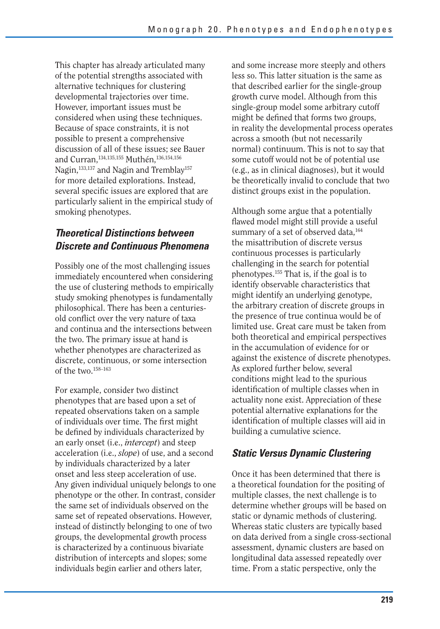This chapter has already articulated many of the potential strengths associated with alternative techniques for clustering developmental trajectories over time. However, important issues must be considered when using these techniques. Because of space constraints, it is not possible to present a comprehensive discussion of all of these issues; see Bauer and Curran,<sup>134,135,155</sup> Muthén,<sup>136,154,156</sup> Nagin,<sup>133,137</sup> and Nagin and Tremblay<sup>157</sup> for more detailed explorations. Instead, several specific issues are explored that are particularly salient in the empirical study of smoking phenotypes.

## *Theoretical Distinctions between Discrete and Continuous Phenomena*

Possibly one of the most challenging issues immediately encountered when considering the use of clustering methods to empirically study smoking phenotypes is fundamentally philosophical. There has been a centuriesold conflict over the very nature of taxa and continua and the intersections between the two. The primary issue at hand is whether phenotypes are characterized as discrete, continuous, or some intersection of the two.158–163

For example, consider two distinct phenotypes that are based upon a set of repeated observations taken on a sample of individuals over time. The first might be defined by individuals characterized by an early onset (i.e., *intercept*) and steep acceleration (i.e., *slope*) of use, and a second by individuals characterized by a later onset and less steep acceleration of use. Any given individual uniquely belongs to one phenotype or the other. In contrast, consider the same set of individuals observed on the same set of repeated observations. However, instead of distinctly belonging to one of two groups, the developmental growth process is characterized by a continuous bivariate distribution of intercepts and slopes; some individuals begin earlier and others later,

and some increase more steeply and others less so. This latter situation is the same as that described earlier for the single-group growth curve model. Although from this single-group model some arbitrary cutoff might be defined that forms two groups, in reality the developmental process operates across a smooth (but not necessarily normal) continuum. This is not to say that some cutoff would not be of potential use (e.g., as in clinical diagnoses), but it would be theoretically invalid to conclude that two distinct groups exist in the population.

Although some argue that a potentially flawed model might still provide a useful summary of a set of observed data,<sup>164</sup> the misattribution of discrete versus continuous processes is particularly challenging in the search for potential phenotypes.155 That is, if the goal is to identify observable characteristics that might identify an underlying genotype, the arbitrary creation of discrete groups in the presence of true continua would be of limited use. Great care must be taken from both theoretical and empirical perspectives in the accumulation of evidence for or against the existence of discrete phenotypes. As explored further below, several conditions might lead to the spurious identification of multiple classes when in actuality none exist. Appreciation of these potential alternative explanations for the identification of multiple classes will aid in building a cumulative science.

## *Static Versus Dynamic Clustering*

Once it has been determined that there is a theoretical foundation for the positing of multiple classes, the next challenge is to determine whether groups will be based on static or dynamic methods of clustering. Whereas static clusters are typically based on data derived from a single cross-sectional assessment, dynamic clusters are based on longitudinal data assessed repeatedly over time. From a static perspective, only the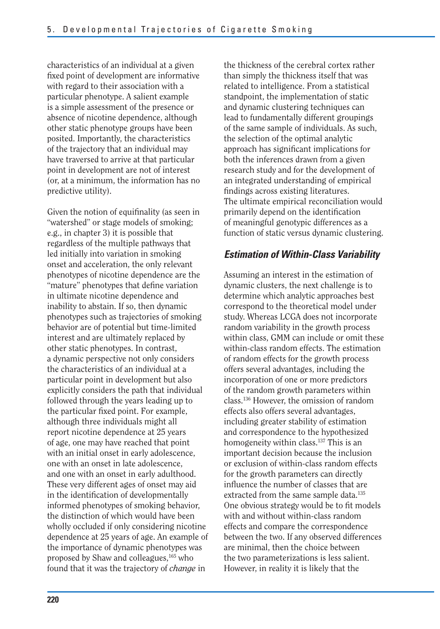characteristics of an individual at a given fixed point of development are informative with regard to their association with a particular phenotype. A salient example is a simple assessment of the presence or absence of nicotine dependence, although other static phenotype groups have been posited. Importantly, the characteristics of the trajectory that an individual may have traversed to arrive at that particular point in development are not of interest (or, at a minimum, the information has no predictive utility).

Given the notion of equifinality (as seen in "watershed" or stage models of smoking; e.g., in chapter 3) it is possible that regardless of the multiple pathways that led initially into variation in smoking onset and acceleration, the only relevant phenotypes of nicotine dependence are the "mature" phenotypes that define variation in ultimate nicotine dependence and inability to abstain. If so, then dynamic phenotypes such as trajectories of smoking behavior are of potential but time-limited interest and are ultimately replaced by other static phenotypes. In contrast, a dynamic perspective not only considers the characteristics of an individual at a particular point in development but also explicitly considers the path that individual followed through the years leading up to the particular fixed point. For example, although three individuals might all report nicotine dependence at 25 years of age, one may have reached that point with an initial onset in early adolescence, one with an onset in late adolescence, and one with an onset in early adulthood. These very different ages of onset may aid in the identification of developmentally informed phenotypes of smoking behavior, the distinction of which would have been wholly occluded if only considering nicotine dependence at 25 years of age. An example of the importance of dynamic phenotypes was proposed by Shaw and colleagues,165 who found that it was the trajectory of *change* in

the thickness of the cerebral cortex rather than simply the thickness itself that was related to intelligence. From a statistical standpoint, the implementation of static and dynamic clustering techniques can lead to fundamentally different groupings of the same sample of individuals. As such, the selection of the optimal analytic approach has significant implications for both the inferences drawn from a given research study and for the development of an integrated understanding of empirical findings across existing literatures. The ultimate empirical reconciliation would primarily depend on the identification of meaningful genotypic differences as a function of static versus dynamic clustering.

#### *Estimation of Within-Class Variability*

Assuming an interest in the estimation of dynamic clusters, the next challenge is to determine which analytic approaches best correspond to the theoretical model under study. Whereas LCGA does not incorporate random variability in the growth process within class, GMM can include or omit these within-class random effects. The estimation of random effects for the growth process offers several advantages, including the incorporation of one or more predictors of the random growth parameters within class.136 However, the omission of random effects also offers several advantages, including greater stability of estimation and correspondence to the hypothesized homogeneity within class.<sup>137</sup> This is an important decision because the inclusion or exclusion of within-class random effects for the growth parameters can directly influence the number of classes that are extracted from the same sample data.<sup>135</sup> One obvious strategy would be to fit models with and without within-class random effects and compare the correspondence between the two. If any observed differences are minimal, then the choice between the two parameterizations is less salient. However, in reality it is likely that the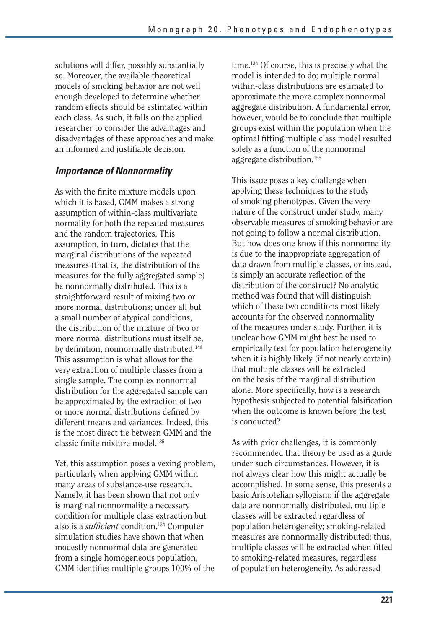solutions will differ, possibly substantially so. Moreover, the available theoretical models of smoking behavior are not well enough developed to determine whether random effects should be estimated within each class. As such, it falls on the applied researcher to consider the advantages and disadvantages of these approaches and make an informed and justifiable decision.

#### *Importance of Nonnormality*

As with the finite mixture models upon which it is based, GMM makes a strong assumption of within-class multivariate normality for both the repeated measures and the random trajectories. This assumption, in turn, dictates that the marginal distributions of the repeated measures (that is, the distribution of the measures for the fully aggregated sample) be nonnormally distributed. This is a straightforward result of mixing two or more normal distributions; under all but a small number of atypical conditions, the distribution of the mixture of two or more normal distributions must itself be, by definition, nonnormally distributed.<sup>148</sup> This assumption is what allows for the very extraction of multiple classes from a single sample. The complex nonnormal distribution for the aggregated sample can be approximated by the extraction of two or more normal distributions defined by different means and variances. Indeed, this is the most direct tie between GMM and the classic finite mixture model.135

Yet, this assumption poses a vexing problem, particularly when applying GMM within many areas of substance-use research. Namely, it has been shown that not only is marginal nonnormality a necessary condition for multiple class extraction but also is a *sufficient* condition.<sup>134</sup> Computer simulation studies have shown that when modestly nonnormal data are generated from a single homogeneous population, GMM identifies multiple groups 100% of the

time.134 Of course, this is precisely what the model is intended to do; multiple normal within-class distributions are estimated to approximate the more complex nonnormal aggregate distribution. A fundamental error, however, would be to conclude that multiple groups exist within the population when the optimal fitting multiple class model resulted solely as a function of the nonnormal aggregate distribution.155

This issue poses a key challenge when applying these techniques to the study of smoking phenotypes. Given the very nature of the construct under study, many observable measures of smoking behavior are not going to follow a normal distribution. But how does one know if this nonnormality is due to the inappropriate aggregation of data drawn from multiple classes, or instead, is simply an accurate reflection of the distribution of the construct? No analytic method was found that will distinguish which of these two conditions most likely accounts for the observed nonnormality of the measures under study. Further, it is unclear how GMM might best be used to empirically test for population heterogeneity when it is highly likely (if not nearly certain) that multiple classes will be extracted on the basis of the marginal distribution alone. More specifically, how is a research hypothesis subjected to potential falsification when the outcome is known before the test is conducted?

As with prior challenges, it is commonly recommended that theory be used as a guide under such circumstances. However, it is not always clear how this might actually be accomplished. In some sense, this presents a basic Aristotelian syllogism: if the aggregate data are nonnormally distributed, multiple classes will be extracted regardless of population heterogeneity; smoking-related measures are nonnormally distributed; thus, multiple classes will be extracted when fitted to smoking-related measures, regardless of population heterogeneity. As addressed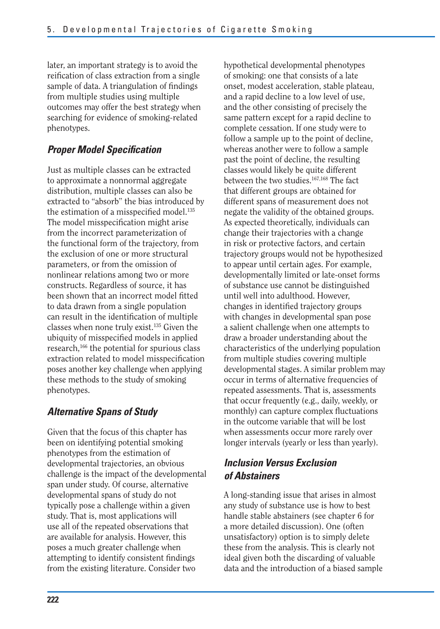later, an important strategy is to avoid the reification of class extraction from a single sample of data. A triangulation of findings from multiple studies using multiple outcomes may offer the best strategy when searching for evidence of smoking-related phenotypes.

## **Proper Model Specification**

Just as multiple classes can be extracted to approximate a nonnormal aggregate distribution, multiple classes can also be extracted to "absorb" the bias introduced by the estimation of a misspecified model. $135$ The model misspecification might arise from the incorrect parameterization of the functional form of the trajectory, from the exclusion of one or more structural parameters, or from the omission of nonlinear relations among two or more constructs. Regardless of source, it has been shown that an incorrect model fitted to data drawn from a single population can result in the identification of multiple classes when none truly exist.135 Given the ubiquity of misspecified models in applied research,166 the potential for spurious class extraction related to model misspecification poses another key challenge when applying these methods to the study of smoking phenotypes.

## *Alternative Spans of Study*

Given that the focus of this chapter has been on identifying potential smoking phenotypes from the estimation of developmental trajectories, an obvious challenge is the impact of the developmental span under study. Of course, alternative developmental spans of study do not typically pose a challenge within a given study. That is, most applications will use all of the repeated observations that are available for analysis. However, this poses a much greater challenge when attempting to identify consistent findings from the existing literature. Consider two

hypothetical developmental phenotypes of smoking: one that consists of a late onset, modest acceleration, stable plateau, and a rapid decline to a low level of use, and the other consisting of precisely the same pattern except for a rapid decline to complete cessation. If one study were to follow a sample up to the point of decline, whereas another were to follow a sample past the point of decline, the resulting classes would likely be quite different between the two studies.<sup>167,168</sup> The fact that different groups are obtained for different spans of measurement does not negate the validity of the obtained groups. As expected theoretically, individuals can change their trajectories with a change in risk or protective factors, and certain trajectory groups would not be hypothesized to appear until certain ages. For example, developmentally limited or late-onset forms of substance use cannot be distinguished until well into adulthood. However, changes in identified trajectory groups with changes in developmental span pose a salient challenge when one attempts to draw a broader understanding about the characteristics of the underlying population from multiple studies covering multiple developmental stages. A similar problem may occur in terms of alternative frequencies of repeated assessments. That is, assessments that occur frequently (e.g., daily, weekly, or monthly) can capture complex fluctuations in the outcome variable that will be lost when assessments occur more rarely over longer intervals (yearly or less than yearly).

## *Inclusion Versus Exclusion of Abstainers*

A long-standing issue that arises in almost any study of substance use is how to best handle stable abstainers (see chapter 6 for a more detailed discussion). One (often unsatisfactory) option is to simply delete these from the analysis. This is clearly not ideal given both the discarding of valuable data and the introduction of a biased sample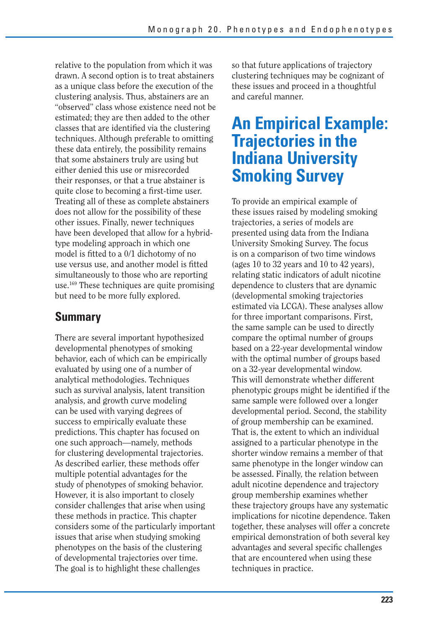relative to the population from which it was drawn. A second option is to treat abstainers as a unique class before the execution of the clustering analysis. Thus, abstainers are an "observed" class whose existence need not be estimated; they are then added to the other classes that are identified via the clustering techniques. Although preferable to omitting these data entirely, the possibility remains that some abstainers truly are using but either denied this use or misrecorded their responses, or that a true abstainer is quite close to becoming a first-time user. Treating all of these as complete abstainers does not allow for the possibility of these other issues. Finally, newer techniques have been developed that allow for a hybridtype modeling approach in which one model is fitted to a 0/1 dichotomy of no use versus use, and another model is fitted simultaneously to those who are reporting use.169 These techniques are quite promising but need to be more fully explored.

## **Summary**

There are several important hypothesized developmental phenotypes of smoking behavior, each of which can be empirically evaluated by using one of a number of analytical methodologies. Techniques such as survival analysis, latent transition analysis, and growth curve modeling can be used with varying degrees of success to empirically evaluate these predictions. This chapter has focused on one such approach—namely, methods for clustering developmental trajectories. As described earlier, these methods offer multiple potential advantages for the study of phenotypes of smoking behavior. However, it is also important to closely consider challenges that arise when using these methods in practice. This chapter considers some of the particularly important issues that arise when studying smoking phenotypes on the basis of the clustering of developmental trajectories over time. The goal is to highlight these challenges

so that future applications of trajectory clustering techniques may be cognizant of these issues and proceed in a thoughtful and careful manner.

# **An Empirical Example: Trajectories in the Indiana University Smoking Survey**

To provide an empirical example of these issues raised by modeling smoking trajectories, a series of models are presented using data from the Indiana University Smoking Survey. The focus is on a comparison of two time windows (ages 10 to 32 years and 10 to 42 years), relating static indicators of adult nicotine dependence to clusters that are dynamic (developmental smoking trajectories estimated via LCGA). These analyses allow for three important comparisons. First, the same sample can be used to directly compare the optimal number of groups based on a 22-year developmental window with the optimal number of groups based on a 32-year developmental window. This will demonstrate whether different phenotypic groups might be identified if the same sample were followed over a longer developmental period. Second, the stability of group membership can be examined. That is, the extent to which an individual assigned to a particular phenotype in the shorter window remains a member of that same phenotype in the longer window can be assessed. Finally, the relation between adult nicotine dependence and trajectory group membership examines whether these trajectory groups have any systematic implications for nicotine dependence. Taken together, these analyses will offer a concrete empirical demonstration of both several key advantages and several specific challenges that are encountered when using these techniques in practice.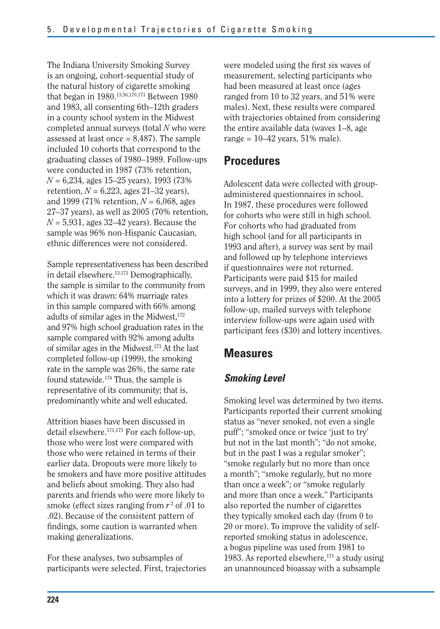The Indiana University Smoking Survey is an ongoing, cohort-sequential study of the natural history of cigarette smoking that began in 1980.13,56,170,171 Between 1980 and 1983, all consenting 6th–12th graders in a county school system in the Midwest completed annual surveys (total *N* who were assessed at least once  $= 8,487$ . The sample included 10 cohorts that correspond to the graduating classes of 1980–1989. Follow-ups were conducted in 1987 (73% retention, *N* = 6,234, ages 15–25 years), 1993 (73% retention,  $N = 6,223$ , ages 21–32 years), and 1999 (71% retention, *N* = 6,068, ages 27–37 years), as well as 2005 (70% retention,  $N = 5,931$ , ages  $32-42$  years). Because the sample was 96% non-Hispanic Caucasian, ethnic differences were not considered.

Sample representativeness has been described in detail elsewhere.13,171 Demographically, the sample is similar to the community from which it was drawn: 64% marriage rates in this sample compared with 66% among adults of similar ages in the Midwest,  $172$ and 97% high school graduation rates in the sample compared with 92% among adults of similar ages in the Midwest.173 At the last completed follow-up (1999), the smoking rate in the sample was 26%, the same rate found statewide.174 Thus, the sample is representative of its community; that is, predominantly white and well educated.

Attrition biases have been discussed in detail elsewhere.171,175 For each follow-up, those who were lost were compared with those who were retained in terms of their earlier data. Dropouts were more likely to be smokers and have more positive attitudes and beliefs about smoking. They also had parents and friends who were more likely to smoke (effect sizes ranging from  $r^2$  of .01 to .02). Because of the consistent pattern of findings, some caution is warranted when making generalizations.

For these analyses, two subsamples of participants were selected. First, trajectories were modeled using the first six waves of measurement, selecting participants who had been measured at least once (ages ranged from 10 to 32 years, and 51% were males). Next, these results were compared with trajectories obtained from considering the entire available data (waves 1–8, age range =  $10-42$  years, 51% male).

## **Procedures**

Adolescent data were collected with groupadministered questionnaires in school. In 1987, these procedures were followed for cohorts who were still in high school. For cohorts who had graduated from high school (and for all participants in 1993 and after), a survey was sent by mail and followed up by telephone interviews if questionnaires were not returned. Participants were paid \$15 for mailed surveys, and in 1999, they also were entered into a lottery for prizes of \$200. At the 2005 follow-up, mailed surveys with telephone interview follow-ups were again used with participant fees (\$30) and lottery incentives.

## **Measures**

## *Smoking Level*

Smoking level was determined by two items. Participants reported their current smoking status as "never smoked, not even a single puff"; "smoked once or twice 'just to try' but not in the last month"; "do not smoke, but in the past I was a regular smoker"; "smoke regularly but no more than once a month"; "smoke regularly, but no more than once a week"; or "smoke regularly and more than once a week." Participants also reported the number of cigarettes they typically smoked each day (from 0 to 20 or more). To improve the validity of selfreported smoking status in adolescence, a bogus pipeline was used from 1981 to 1983. As reported elsewhere, $171$  a study using an unannounced bioassay with a subsample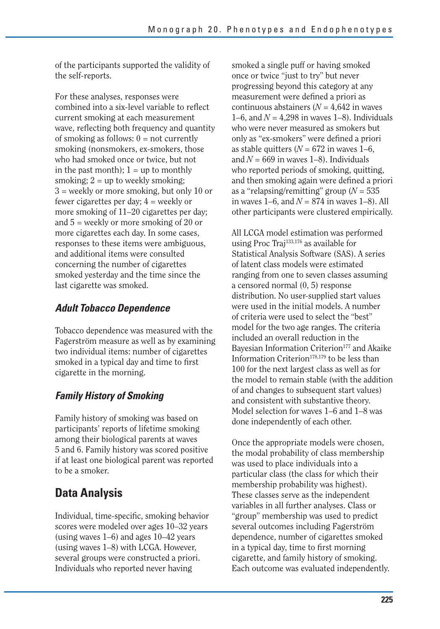of the participants supported the validity of the self-reports.

For these analyses, responses were combined into a six-level variable to reflect current smoking at each measurement wave, reflecting both frequency and quantity of smoking as follows:  $0 = not currently$ smoking (nonsmokers, ex-smokers, those who had smoked once or twice, but not in the past month);  $1 = up$  to monthly smoking;  $2 = \text{up to weekly smoking}$ ; 3 = weekly or more smoking, but only 10 or fewer cigarettes per day; 4 = weekly or more smoking of 11–20 cigarettes per day; and  $5$  = weekly or more smoking of 20 or more cigarettes each day. In some cases, responses to these items were ambiguous, and additional items were consulted concerning the number of cigarettes smoked yesterday and the time since the last cigarette was smoked.

## *Adult Tobacco Dependence*

Tobacco dependence was measured with the Fagerström measure as well as by examining two individual items: number of cigarettes smoked in a typical day and time to first cigarette in the morning.

## *Family History of Smoking*

Family history of smoking was based on participants' reports of lifetime smoking among their biological parents at waves 5 and 6. Family history was scored positive if at least one biological parent was reported to be a smoker.

## **Data Analysis**

Individual, time-specific, smoking behavior scores were modeled over ages 10–32 years (using waves 1–6) and ages 10–42 years (using waves 1–8) with LCGA. However, several groups were constructed a priori. Individuals who reported never having

smoked a single puff or having smoked once or twice "just to try" but never progressing beyond this category at any measurement were defined a priori as continuous abstainers ( $N = 4,642$  in waves 1–6, and  $N = 4,298$  in waves 1–8). Individuals who were never measured as smokers but only as "ex-smokers" were defined a priori as stable quitters  $(N = 672$  in waves 1–6, and  $N = 669$  in waves 1–8). Individuals who reported periods of smoking, quitting, and then smoking again were defined a priori as a "relapsing/remitting" group (*N* = 535 in waves  $1-6$ , and  $N = 874$  in waves  $1-8$ ). All other participants were clustered empirically.

All LCGA model estimation was performed using Proc Traj133,176 as available for Statistical Analysis Software (SAS). A series of latent class models were estimated ranging from one to seven classes assuming a censored normal (0, 5) response distribution. No user-supplied start values were used in the initial models. A number of criteria were used to select the "best" model for the two age ranges. The criteria included an overall reduction in the Bayesian Information Criterion<sup>177</sup> and Akaike Information Criterion $178,179$  to be less than 100 for the next largest class as well as for the model to remain stable (with the addition of and changes to subsequent start values) and consistent with substantive theory. Model selection for waves 1–6 and 1–8 was done independently of each other.

Once the appropriate models were chosen, the modal probability of class membership was used to place individuals into a particular class (the class for which their membership probability was highest). These classes serve as the independent variables in all further analyses. Class or "group" membership was used to predict several outcomes including Fagerström dependence, number of cigarettes smoked in a typical day, time to first morning cigarette, and family history of smoking. Each outcome was evaluated independently.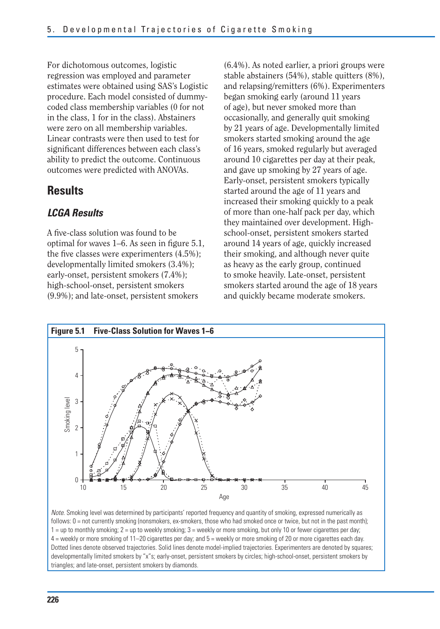For dichotomous outcomes, logistic regression was employed and parameter estimates were obtained using SAS's Logistic procedure. Each model consisted of dummycoded class membership variables (0 for not in the class, 1 for in the class). Abstainers were zero on all membership variables. Linear contrasts were then used to test for significant differences between each class's ability to predict the outcome. Continuous outcomes were predicted with ANOVAs.

## **Results**

#### *LCGA Results*

A five-class solution was found to be optimal for waves  $1-6$ . As seen in figure  $5.1$ , the five classes were experimenters (4.5%); developmentally limited smokers (3.4%); early-onset, persistent smokers (7.4%); high-school-onset, persistent smokers (9.9%); and late-onset, persistent smokers

(6.4%). As noted earlier, a priori groups were stable abstainers (54%), stable quitters (8%), and relapsing/remitters (6%). Experimenters began smoking early (around 11 years of age), but never smoked more than occasionally, and generally quit smoking by 21 years of age. Developmentally limited smokers started smoking around the age of 16 years, smoked regularly but averaged around 10 cigarettes per day at their peak, and gave up smoking by 27 years of age. Early-onset, persistent smokers typically started around the age of 11 years and increased their smoking quickly to a peak of more than one-half pack per day, which they maintained over development. Highschool-onset, persistent smokers started around 14 years of age, quickly increased their smoking, and although never quite as heavy as the early group, continued to smoke heavily. Late-onset, persistent smokers started around the age of 18 years and quickly became moderate smokers.



Note. Smoking level was determined by participants' reported frequency and quantity of smoking, expressed numerically as follows:  $0 =$  not currently smoking (nonsmokers, ex-smokers, those who had smoked once or twice, but not in the past month); 1 = up to monthly smoking; 2 = up to weekly smoking; 3 = weekly or more smoking, but only 10 or fewer cigarettes per day; 4 = weekly or more smoking of 11–20 cigarettes per day; and 5 = weekly or more smoking of 20 or more cigarettes each day. Dotted lines denote observed trajectories. Solid lines denote model-implied trajectories. Experimenters are denoted by squares; developmentally limited smokers by "x"s; early-onset, persistent smokers by circles; high-school-onset, persistent smokers by triangles; and late-onset, persistent smokers by diamonds.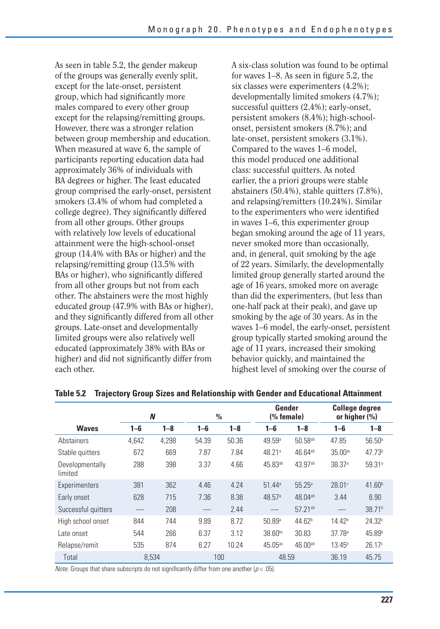As seen in table 5.2, the gender makeup of the groups was generally evenly split, except for the late-onset, persistent group, which had significantly more males compared to every other group except for the relapsing/remitting groups. However, there was a stronger relation between group membership and education. When measured at wave 6, the sample of participants reporting education data had approximately 36% of individuals with BA degrees or higher. The least educated group comprised the early-onset, persistent smokers (3.4% of whom had completed a college degree). They significantly differed from all other groups. Other groups with relatively low levels of educational attainment were the high-school-onset group (14.4% with BAs or higher) and the relapsing/remitting group (13.5% with BAs or higher), who significantly differed from all other groups but not from each other. The abstainers were the most highly educated group (47.9% with BAs or higher), and they significantly differed from all other groups. Late-onset and developmentally limited groups were also relatively well educated (approximately 38% with BAs or higher) and did not significantly differ from each other.

A six-class solution was found to be optimal for waves 1–8. As seen in figure 5.2, the six classes were experimenters (4.2%); developmentally limited smokers (4.7%); successful quitters (2.4%); early-onset, persistent smokers (8.4%); high-schoolonset, persistent smokers (8.7%); and late-onset, persistent smokers (3.1%). Compared to the waves 1–6 model, this model produced one additional class: successful quitters. As noted earlier, the a priori groups were stable abstainers (50.4%), stable quitters (7.8%), and relapsing/remitters (10.24%). Similar to the experimenters who were identified in waves 1–6, this experimenter group began smoking around the age of 11 years, never smoked more than occasionally, and, in general, quit smoking by the age of 22 years. Similarly, the developmentally limited group generally started around the age of 16 years, smoked more on average than did the experimenters, (but less than one-half pack at their peak), and gave up smoking by the age of 30 years. As in the waves 1–6 model, the early-onset, persistent group typically started smoking around the age of 11 years, increased their smoking behavior quickly, and maintained the highest level of smoking over the course of

|                            | N       |         | $\frac{0}{0}$ |         |                      | Gender<br>(% female) |                       | <b>College degree</b><br>or higher $(\%)$ |
|----------------------------|---------|---------|---------------|---------|----------------------|----------------------|-----------------------|-------------------------------------------|
| <b>Waves</b>               | $1 - 6$ | $1 - 8$ | $1 - 6$       | $1 - 8$ | $1 - 6$              | $1 - 8$              | $1 - 6$               | $1 - 8$                                   |
| Abstainers                 | 4.642   | 4,298   | 54.39         | 50.36   | 49.59 <sup>a</sup>   | 50.58 <sup>ab</sup>  | 47.85                 | $56.50^{\circ}$                           |
| Stable quitters            | 672     | 669     | 7.87          | 7.84    | 48.21ª               | 46.64ab              | $35.00$ <sup>ac</sup> | 47.73 <sup>b</sup>                        |
| Developmentally<br>limited | 288     | 398     | 3.37          | 4.66    | 45.83ab              | 43.97ab              | 38.37 <sup>a</sup>    | 59.31 <sup>a</sup>                        |
| Experimenters              | 381     | 362     | 4.46          | 4.24    | $51.44$ <sup>a</sup> | $55.25^{\circ}$      | 28.01c                | 41.60 <sup>b</sup>                        |
| Early onset                | 628     | 715     | 7.36          | 8.38    | 48.57a               | 48.04ab              | 3.44                  | 6.90                                      |
| Successful quitters        |         | 208     |               | 2.44    |                      | 57.21 <sup>ab</sup>  |                       | 38.71 <sup>b</sup>                        |
| High school onset          | 844     | 744     | 9.89          | 8.72    | 50.89a               | 44.62 <sup>b</sup>   | 14.42 <sup>b</sup>    | 24.32c                                    |
| Late onset                 | 544     | 266     | 6.37          | 3.12    | 38.60bc              | 30.83                | 37.78 <sup>a</sup>    | 45.89 <sup>b</sup>                        |
| Relapse/remit              | 535     | 874     | 6.27          | 10.24   | 45.05 <sup>ac</sup>  | 46.00ab              | $13.45^{b}$           | 26.17c                                    |
| Total                      | 8,534   |         |               | 100     | 48.59                |                      | 36.19                 | 45.75                                     |

#### **Table 5.2 Trajectory Group Sizes and Relationship with Gender and Educational Attainment**

Note. Groups that share subscripts do not significantly differ from one another ( $p < .05$ ).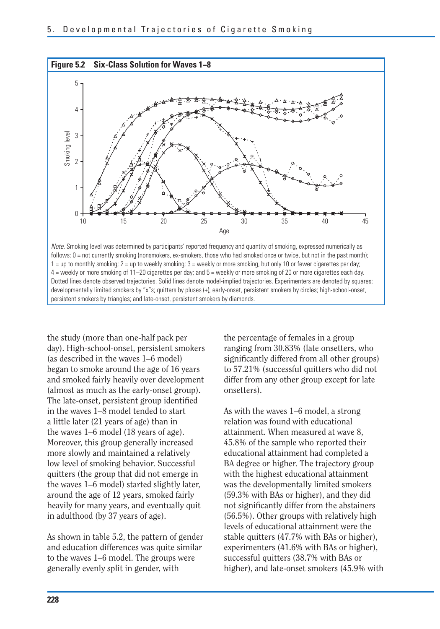

Note. Smoking level was determined by participants' reported frequency and quantity of smoking, expressed numerically as follows:  $0 =$  not currently smoking (nonsmokers, ex-smokers, those who had smoked once or twice, but not in the past month); 1 = up to monthly smoking; 2 = up to weekly smoking; 3 = weekly or more smoking, but only 10 or fewer cigarettes per day; 4 = weekly or more smoking of 11–20 cigarettes per day; and 5 = weekly or more smoking of 20 or more cigarettes each day. Dotted lines denote observed trajectories. Solid lines denote model-implied trajectories. Experimenters are denoted by squares; developmentally limited smokers by "x"s; quitters by pluses (+); early-onset, persistent smokers by circles; high-school-onset, persistent smokers by triangles; and late-onset, persistent smokers by diamonds.

the study (more than one-half pack per day). High-school-onset, persistent smokers (as described in the waves 1–6 model) began to smoke around the age of 16 years and smoked fairly heavily over development (almost as much as the early-onset group). The late-onset, persistent group identified in the waves 1–8 model tended to start a little later (21 years of age) than in the waves 1–6 model (18 years of age). Moreover, this group generally increased more slowly and maintained a relatively low level of smoking behavior. Successful quitters (the group that did not emerge in the waves 1–6 model) started slightly later, around the age of 12 years, smoked fairly heavily for many years, and eventually quit in adulthood (by 37 years of age).

As shown in table 5.2, the pattern of gender and education differences was quite similar to the waves 1–6 model. The groups were generally evenly split in gender, with

the percentage of females in a group ranging from 30.83% (late onsetters, who significantly differed from all other groups) to 57.21% (successful quitters who did not differ from any other group except for late onsetters).

As with the waves 1–6 model, a strong relation was found with educational attainment. When measured at wave 8, 45.8% of the sample who reported their educational attainment had completed a BA degree or higher. The trajectory group with the highest educational attainment was the developmentally limited smokers (59.3% with BAs or higher), and they did not significantly differ from the abstainers (56.5%). Other groups with relatively high levels of educational attainment were the stable quitters (47.7% with BAs or higher), experimenters (41.6% with BAs or higher), successful quitters (38.7% with BAs or higher), and late-onset smokers (45.9% with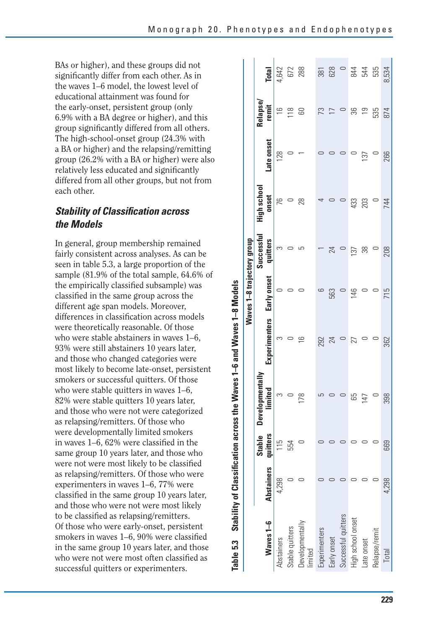BAs or higher), and these groups did not significantly differ from each other. As in the waves 1–6 model, the lowest level of educational attainment was found for the early-onset, persistent group (only 6.9% with a BA degree or higher), and this group significantly differed from all others. The high-school-onset group (24.3% with a BA or higher) and the relapsing/remitting group (26.2% with a BA or higher) were also relatively less educated and significantly differed from all other groups, but not from each other.

#### **Stability of Classification across** *the Models*

In general, group membership remained fairly consistent across analyses. As can be seen in table 5.3, a large proportion of the sample (81.9% of the total sample, 64.6% of the empirically classified subsample) was classified in the same group across the different age span models. Moreover, differences in classification across models were theoretically reasonable. Of those who were stable abstainers in waves 1–6, 93% were still abstainers 10 years later, and those who changed categories were most likely to become late-onset, persistent smokers or successful quitters. Of those who were stable quitters in waves 1–6. 82% were stable quitters 10 years later, and those who were not were categorized as relapsing/remitters. Of those who were developmentally limited smokers in waves 1–6, 62% were classified in the same group 10 years later, and those who were not were most likely to be classified as relapsing/remitters. Of those who were experimenters in waves 1–6, 77% were classified in the same group 10 years later, and those who were not were most likely to be classified as relapsing/remitters. Of those who were early-onset, persistent smokers in waves  $1-6$ ,  $90\%$  were classified in the same group 10 years later, and those who were not were most often classified as successful quitters or experimenters.

| $\ddot{\phantom{1}}$                      |
|-------------------------------------------|
|                                           |
| -6 and Waves                              |
|                                           |
|                                           |
| s the Waves<br>i                          |
|                                           |
|                                           |
|                                           |
|                                           |
|                                           |
| <b>Stability of Classification across</b> |
| Table 5.3                                 |

|                            | <b>Total</b>                      |               | 4,642<br>672<br>288 |                            | 381           | 628            | $\cup$              | 844               | 544            | 535           | 8,534 |
|----------------------------|-----------------------------------|---------------|---------------------|----------------------------|---------------|----------------|---------------------|-------------------|----------------|---------------|-------|
|                            | <b>Relapse</b><br>remit           | $\frac{1}{2}$ | 118                 | 60                         | 73            | $\overline{1}$ | $\circ$             | အ                 | $\overline{0}$ | 535           | 874   |
|                            | Late onset                        | 128           |                     |                            |               |                |                     |                   | 137            |               | 266   |
|                            | High school<br>onset              | 76            |                     | 28                         | ↴             |                |                     | 433               | 203            |               | 744   |
|                            | Successful<br>quitters            | S             |                     |                            |               | 24             |                     | 137               | 88             |               | 208   |
| Waves 1-8 trajectory group | Early onset                       |               |                     |                            |               | 563            |                     | 146               |                |               | 715   |
|                            | Experimenters                     | S             |                     | $\frac{6}{1}$              | 292           | 24             |                     | 27                |                |               | 362   |
|                            | <b>Developmentally</b><br>limited | ᡴ             |                     | 178                        |               |                |                     | 65                | 147            |               | 398   |
|                            | <b>itters</b><br>Stable           | 115           | 554                 |                            |               |                |                     |                   |                |               | 669   |
|                            | Abstainers qu                     | 4,298         |                     |                            |               |                |                     |                   |                |               | 4,298 |
|                            | Waves 1-6                         | Abstainers    | stable quitters     | Jevelopmentally<br>limited | -xperimenters | Early onset    | successful quitters | High school onset | Late onset     | Relapse/remit | Total |
|                            |                                   |               |                     |                            |               |                |                     |                   |                |               |       |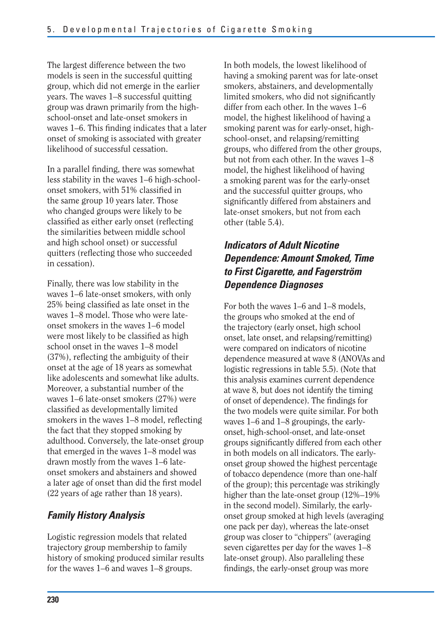The largest difference between the two models is seen in the successful quitting group, which did not emerge in the earlier years. The waves 1–8 successful quitting group was drawn primarily from the highschool-onset and late-onset smokers in waves 1–6. This finding indicates that a later onset of smoking is associated with greater likelihood of successful cessation.

In a parallel finding, there was somewhat less stability in the waves 1–6 high-schoolonset smokers, with 51% classified in the same group 10 years later. Those who changed groups were likely to be classified as either early onset (reflecting the similarities between middle school and high school onset) or successful quitters (reflecting those who succeeded in cessation).

Finally, there was low stability in the waves 1–6 late-onset smokers, with only 25% being classified as late onset in the waves 1–8 model. Those who were lateonset smokers in the waves 1–6 model were most likely to be classified as high school onset in the waves 1–8 model (37%), reflecting the ambiguity of their onset at the age of 18 years as somewhat like adolescents and somewhat like adults. Moreover, a substantial number of the waves 1–6 late-onset smokers (27%) were classified as developmentally limited smokers in the waves  $1-8$  model, reflecting the fact that they stopped smoking by adulthood. Conversely, the late-onset group that emerged in the waves 1–8 model was drawn mostly from the waves 1–6 lateonset smokers and abstainers and showed a later age of onset than did the first model (22 years of age rather than 18 years).

## *Family History Analysis*

Logistic regression models that related trajectory group membership to family history of smoking produced similar results for the waves 1–6 and waves 1–8 groups.

In both models, the lowest likelihood of having a smoking parent was for late-onset smokers, abstainers, and developmentally limited smokers, who did not significantly differ from each other. In the waves 1–6 model, the highest likelihood of having a smoking parent was for early-onset, highschool-onset, and relapsing/remitting groups, who differed from the other groups, but not from each other. In the waves 1–8 model, the highest likelihood of having a smoking parent was for the early-onset and the successful quitter groups, who significantly differed from abstainers and late-onset smokers, but not from each other (table 5.4).

## *Indicators of Adult Nicotine Dependence: Amount Smoked, Time to First Cigarette, and Fagerström Dependence Diagnoses*

For both the waves 1–6 and 1–8 models, the groups who smoked at the end of the trajectory (early onset, high school onset, late onset, and relapsing/remitting) were compared on indicators of nicotine dependence measured at wave 8 (ANOVAs and logistic regressions in table 5.5). (Note that this analysis examines current dependence at wave 8, but does not identify the timing of onset of dependence). The findings for the two models were quite similar. For both waves 1–6 and 1–8 groupings, the earlyonset, high-school-onset, and late-onset groups significantly differed from each other in both models on all indicators. The earlyonset group showed the highest percentage of tobacco dependence (more than one-half of the group); this percentage was strikingly higher than the late-onset group (12%–19% in the second model). Similarly, the earlyonset group smoked at high levels (averaging one pack per day), whereas the late-onset group was closer to "chippers" (averaging seven cigarettes per day for the waves 1–8 late-onset group). Also paralleling these findings, the early-onset group was more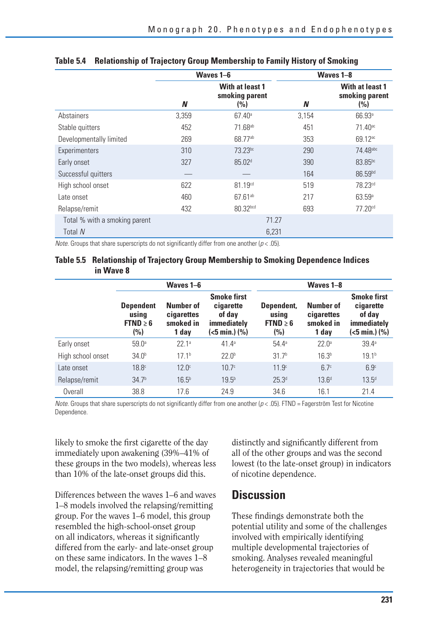|                               |       | Waves 1-6                                |       | Waves 1-8                                |
|-------------------------------|-------|------------------------------------------|-------|------------------------------------------|
|                               | N     | With at least 1<br>smoking parent<br>(%) | N     | With at least 1<br>smoking parent<br>(%) |
| Abstainers                    | 3,359 | $67.40^{\circ}$                          | 3,154 | 66.93a                                   |
| Stable quitters               | 452   | 71.68 <sup>ab</sup>                      | 451   | 71.40 <sup>ac</sup>                      |
| Developmentally limited       | 269   | 68.77ab                                  | 353   | 69.12 <sup>ac</sup>                      |
| Experimenters                 | 310   | 73.23bc                                  | 290   | 74.48abc                                 |
| Early onset                   | 327   | 85.02 <sup>d</sup>                       | 390   | 83.85bc                                  |
| Successful quitters           |       |                                          | 164   | 86.59bd                                  |
| High school onset             | 622   | 81.19 <sup>cd</sup>                      | 519   | 78.23cd                                  |
| Late onset                    | 460   | $67.61^{ab}$                             | 217   | 63.59a                                   |
| Relapse/remit                 | 432   | 80.32bcd                                 | 693   | 77.20cd                                  |
| Total % with a smoking parent |       | 71.27                                    |       |                                          |
| Total N                       |       | 6,231                                    |       |                                          |

#### **Table 5.4 Relationship of Trajectory Group Membership to Family History of Smoking**

*Note.* Groups that share superscripts do not significantly differ from one another ( $p < .05$ ).

#### **Table 5.5 Relationship of Trajectory Group Membership to Smoking Dependence Indices in Wave 8**

|                   | Waves 1-6                                            |                                               |                                                                           | Waves 1-8                                   |                                                      |                                                                                 |
|-------------------|------------------------------------------------------|-----------------------------------------------|---------------------------------------------------------------------------|---------------------------------------------|------------------------------------------------------|---------------------------------------------------------------------------------|
|                   | <b>Dependent</b><br>using<br>FTND $\geq 6$<br>$(\%)$ | Number of<br>cigarettes<br>smoked in<br>1 day | <b>Smoke first</b><br>cigarette<br>of day<br>immediately<br>(<5 min.) (%) | Dependent,<br>using<br>$FTND \geq 6$<br>(%) | <b>Number of</b><br>cigarettes<br>smoked in<br>1 day | <b>Smoke first</b><br>cigarette<br>of day<br>immediately<br>$(<5$ min.) $(\% )$ |
| Early onset       | 59.0 <sup>a</sup>                                    | 22.1a                                         | 41.4 <sup>a</sup>                                                         | $54.4^{\circ}$                              | 22.0 <sup>a</sup>                                    | 39.4a                                                                           |
| High school onset | 34.0 <sup>b</sup>                                    | 17.1 <sup>b</sup>                             | 22.0 <sup>b</sup>                                                         | 31.7 <sup>b</sup>                           | 16.3 <sup>b</sup>                                    | 19.1 <sup>b</sup>                                                               |
| Late onset        | 18.8 <sup>c</sup>                                    | 12.0 <sup>c</sup>                             | 10.7 <sup>c</sup>                                                         | 11.9 <sup>c</sup>                           | 6.7 <sup>c</sup>                                     | 6.9 <sup>c</sup>                                                                |
| Relapse/remit     | 34.7 <sup>b</sup>                                    | 16.5 <sup>b</sup>                             | 19.5 <sup>b</sup>                                                         | 25.3 <sup>d</sup>                           | 13.6 <sup>d</sup>                                    | $13.5^{d}$                                                                      |
| Overall           | 38.8                                                 | 17.6                                          | 24.9                                                                      | 34.6                                        | 16.1                                                 | 21.4                                                                            |

*Note.* Groups that share superscripts do not significantly differ from one another ( $p < .05$ ). FTND = Fagerström Test for Nicotine Dependence.

likely to smoke the first cigarette of the day immediately upon awakening (39%–41% of these groups in the two models), whereas less than 10% of the late-onset groups did this.

Differences between the waves 1–6 and waves 1–8 models involved the relapsing/remitting group. For the waves 1–6 model, this group resembled the high-school-onset group on all indicators, whereas it significantly differed from the early- and late-onset group on these same indicators. In the waves 1–8 model, the relapsing/remitting group was

distinctly and significantly different from all of the other groups and was the second lowest (to the late-onset group) in indicators of nicotine dependence.

## **Discussion**

These findings demonstrate both the potential utility and some of the challenges involved with empirically identifying multiple developmental trajectories of smoking. Analyses revealed meaningful heterogeneity in trajectories that would be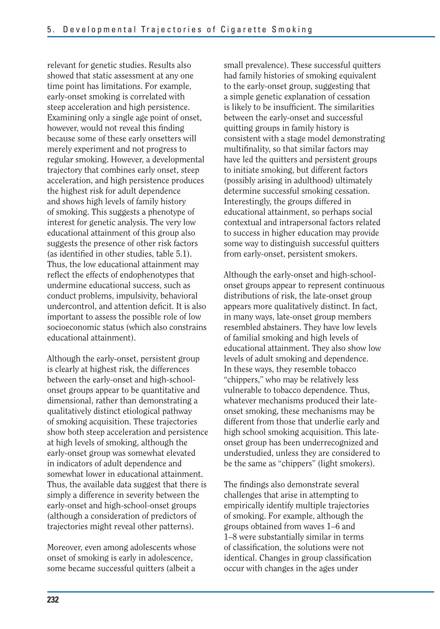relevant for genetic studies. Results also showed that static assessment at any one time point has limitations. For example, early-onset smoking is correlated with steep acceleration and high persistence. Examining only a single age point of onset, however, would not reveal this finding because some of these early onsetters will merely experiment and not progress to regular smoking. However, a developmental trajectory that combines early onset, steep acceleration, and high persistence produces the highest risk for adult dependence and shows high levels of family history of smoking. This suggests a phenotype of interest for genetic analysis. The very low educational attainment of this group also suggests the presence of other risk factors (as identified in other studies, table 5.1). Thus, the low educational attainment may reflect the effects of endophenotypes that undermine educational success, such as conduct problems, impulsivity, behavioral undercontrol, and attention deficit. It is also important to assess the possible role of low socioeconomic status (which also constrains educational attainment).

Although the early-onset, persistent group is clearly at highest risk, the differences between the early-onset and high-schoolonset groups appear to be quantitative and dimensional, rather than demonstrating a qualitatively distinct etiological pathway of smoking acquisition. These trajectories show both steep acceleration and persistence at high levels of smoking, although the early-onset group was somewhat elevated in indicators of adult dependence and somewhat lower in educational attainment. Thus, the available data suggest that there is simply a difference in severity between the early-onset and high-school-onset groups (although a consideration of predictors of trajectories might reveal other patterns).

Moreover, even among adolescents whose onset of smoking is early in adolescence, some became successful quitters (albeit a small prevalence). These successful quitters had family histories of smoking equivalent to the early-onset group, suggesting that a simple genetic explanation of cessation is likely to be insufficient. The similarities between the early-onset and successful quitting groups in family history is consistent with a stage model demonstrating multifinality, so that similar factors may have led the quitters and persistent groups to initiate smoking, but different factors (possibly arising in adulthood) ultimately determine successful smoking cessation. Interestingly, the groups differed in educational attainment, so perhaps social contextual and intrapersonal factors related to success in higher education may provide some way to distinguish successful quitters from early-onset, persistent smokers.

Although the early-onset and high-schoolonset groups appear to represent continuous distributions of risk, the late-onset group appears more qualitatively distinct. In fact, in many ways, late-onset group members resembled abstainers. They have low levels of familial smoking and high levels of educational attainment. They also show low levels of adult smoking and dependence. In these ways, they resemble tobacco "chippers," who may be relatively less vulnerable to tobacco dependence. Thus, whatever mechanisms produced their lateonset smoking, these mechanisms may be different from those that underlie early and high school smoking acquisition. This lateonset group has been underrecognized and understudied, unless they are considered to be the same as "chippers" (light smokers).

The findings also demonstrate several challenges that arise in attempting to empirically identify multiple trajectories of smoking. For example, although the groups obtained from waves 1–6 and 1–8 were substantially similar in terms of classification, the solutions were not identical. Changes in group classification occur with changes in the ages under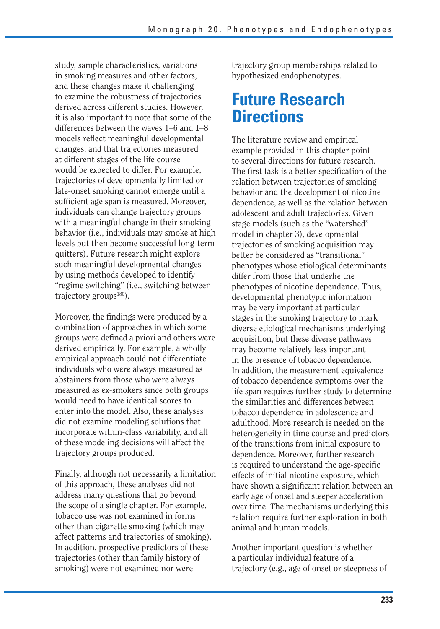study, sample characteristics, variations in smoking measures and other factors, and these changes make it challenging to examine the robustness of trajectories derived across different studies. However, it is also important to note that some of the differences between the waves 1–6 and 1–8 models reflect meaningful developmental changes, and that trajectories measured at different stages of the life course would be expected to differ. For example, trajectories of developmentally limited or late-onset smoking cannot emerge until a sufficient age span is measured. Moreover, individuals can change trajectory groups with a meaningful change in their smoking behavior (i.e., individuals may smoke at high levels but then become successful long-term quitters). Future research might explore such meaningful developmental changes by using methods developed to identify "regime switching" (i.e., switching between trajectory groups $180$ ).

Moreover, the findings were produced by a combination of approaches in which some groups were defined a priori and others were derived empirically. For example, a wholly empirical approach could not differentiate individuals who were always measured as abstainers from those who were always measured as ex-smokers since both groups would need to have identical scores to enter into the model. Also, these analyses did not examine modeling solutions that incorporate within-class variability, and all of these modeling decisions will affect the trajectory groups produced.

Finally, although not necessarily a limitation of this approach, these analyses did not address many questions that go beyond the scope of a single chapter. For example, tobacco use was not examined in forms other than cigarette smoking (which may affect patterns and trajectories of smoking). In addition, prospective predictors of these trajectories (other than family history of smoking) were not examined nor were

trajectory group memberships related to hypothesized endophenotypes.

# **Future Research Directions**

The literature review and empirical example provided in this chapter point to several directions for future research. The first task is a better specification of the relation between trajectories of smoking behavior and the development of nicotine dependence, as well as the relation between adolescent and adult trajectories. Given stage models (such as the "watershed" model in chapter 3), developmental trajectories of smoking acquisition may better be considered as "transitional" phenotypes whose etiological determinants differ from those that underlie the phenotypes of nicotine dependence. Thus, developmental phenotypic information may be very important at particular stages in the smoking trajectory to mark diverse etiological mechanisms underlying acquisition, but these diverse pathways may become relatively less important in the presence of tobacco dependence. In addition, the measurement equivalence of tobacco dependence symptoms over the life span requires further study to determine the similarities and differences between tobacco dependence in adolescence and adulthood. More research is needed on the heterogeneity in time course and predictors of the transitions from initial exposure to dependence. Moreover, further research is required to understand the age-specific effects of initial nicotine exposure, which have shown a significant relation between an early age of onset and steeper acceleration over time. The mechanisms underlying this relation require further exploration in both animal and human models.

Another important question is whether a particular individual feature of a trajectory (e.g., age of onset or steepness of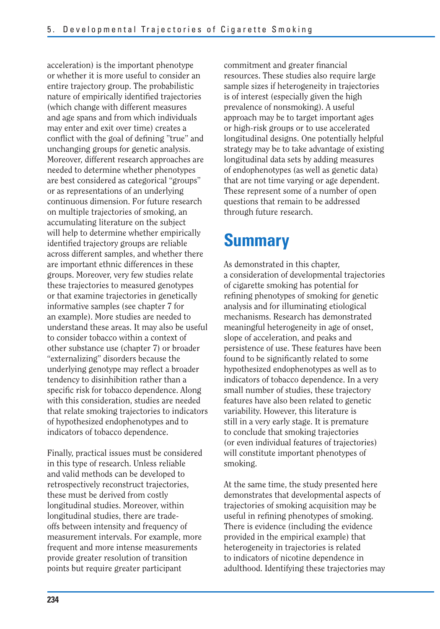acceleration) is the important phenotype or whether it is more useful to consider an entire trajectory group. The probabilistic nature of empirically identified trajectories (which change with different measures and age spans and from which individuals may enter and exit over time) creates a conflict with the goal of defining "true" and unchanging groups for genetic analysis. Moreover, different research approaches are needed to determine whether phenotypes are best considered as categorical "groups" or as representations of an underlying continuous dimension. For future research on multiple trajectories of smoking, an accumulating literature on the subject will help to determine whether empirically identified trajectory groups are reliable across different samples, and whether there are important ethnic differences in these groups. Moreover, very few studies relate these trajectories to measured genotypes or that examine trajectories in genetically informative samples (see chapter 7 for an example). More studies are needed to understand these areas. It may also be useful to consider tobacco within a context of other substance use (chapter 7) or broader "externalizing" disorders because the underlying genotype may reflect a broader tendency to disinhibition rather than a specific risk for tobacco dependence. Along with this consideration, studies are needed that relate smoking trajectories to indicators of hypothesized endophenotypes and to indicators of tobacco dependence.

Finally, practical issues must be considered in this type of research. Unless reliable and valid methods can be developed to retrospectively reconstruct trajectories, these must be derived from costly longitudinal studies. Moreover, within longitudinal studies, there are tradeoffs between intensity and frequency of measurement intervals. For example, more frequent and more intense measurements provide greater resolution of transition points but require greater participant

commitment and greater financial resources. These studies also require large sample sizes if heterogeneity in trajectories is of interest (especially given the high prevalence of nonsmoking). A useful approach may be to target important ages or high-risk groups or to use accelerated longitudinal designs. One potentially helpful strategy may be to take advantage of existing longitudinal data sets by adding measures of endophenotypes (as well as genetic data) that are not time varying or age dependent. These represent some of a number of open questions that remain to be addressed through future research.

# **Summary**

As demonstrated in this chapter, a consideration of developmental trajectories of cigarette smoking has potential for refining phenotypes of smoking for genetic analysis and for illuminating etiological mechanisms. Research has demonstrated meaningful heterogeneity in age of onset, slope of acceleration, and peaks and persistence of use. These features have been found to be significantly related to some hypothesized endophenotypes as well as to indicators of tobacco dependence. In a very small number of studies, these trajectory features have also been related to genetic variability. However, this literature is still in a very early stage. It is premature to conclude that smoking trajectories (or even individual features of trajectories) will constitute important phenotypes of smoking.

At the same time, the study presented here demonstrates that developmental aspects of trajectories of smoking acquisition may be useful in refining phenotypes of smoking. There is evidence (including the evidence provided in the empirical example) that heterogeneity in trajectories is related to indicators of nicotine dependence in adulthood. Identifying these trajectories may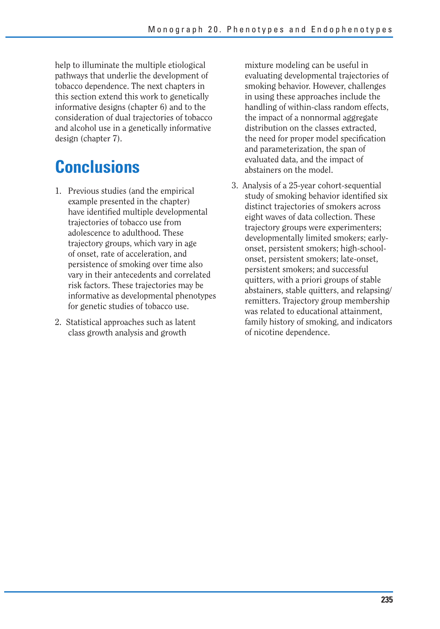help to illuminate the multiple etiological pathways that underlie the development of tobacco dependence. The next chapters in this section extend this work to genetically informative designs (chapter 6) and to the consideration of dual trajectories of tobacco and alcohol use in a genetically informative design (chapter 7).

# **Conclusions**

- 1. Previous studies (and the empirical example presented in the chapter) have identified multiple developmental trajectories of tobacco use from adolescence to adulthood. These trajectory groups, which vary in age of onset, rate of acceleration, and persistence of smoking over time also vary in their antecedents and correlated risk factors. These trajectories may be informative as developmental phenotypes for genetic studies of tobacco use.
- 2. Statistical approaches such as latent class growth analysis and growth

mixture modeling can be useful in evaluating developmental trajectories of smoking behavior. However, challenges in using these approaches include the handling of within-class random effects, the impact of a nonnormal aggregate distribution on the classes extracted, the need for proper model specification and parameterization, the span of evaluated data, and the impact of abstainers on the model.

3. Analysis of a 25-year cohort-sequential study of smoking behavior identified six distinct trajectories of smokers across eight waves of data collection. These trajectory groups were experimenters; developmentally limited smokers; earlyonset, persistent smokers; high-schoolonset, persistent smokers; late-onset, persistent smokers; and successful quitters, with a priori groups of stable abstainers, stable quitters, and relapsing/ remitters. Trajectory group membership was related to educational attainment, family history of smoking, and indicators of nicotine dependence.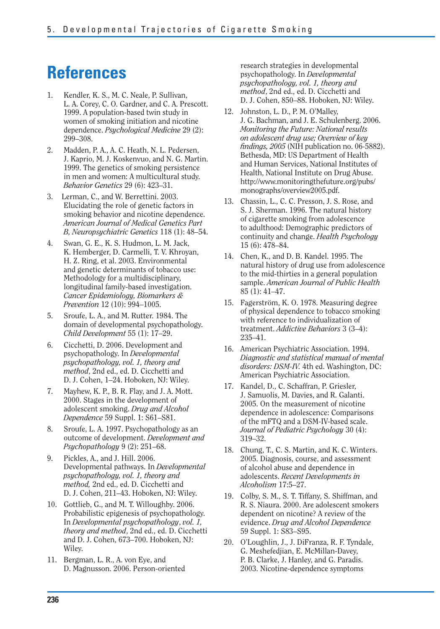# **References**

- 1. Kendler, K. S., M. C. Neale, P. Sullivan, L. A. Corey, C. O. Gardner, and C. A. Prescott. 1999. A population-based twin study in women of smoking initiation and nicotine dependence. *Psychological Medicine* 29 (2): 299–308.
- 2. Madden, P. A., A. C. Heath, N. L. Pedersen, J. Kaprio, M. J. Koskenvuo, and N. G. Martin. 1999. The genetics of smoking persistence in men and women: A multicultural study. *Behavior Genetics* 29 (6): 423–31.
- 3. Lerman, C., and W. Berrettini. 2003. Elucidating the role of genetic factors in smoking behavior and nicotine dependence. *American Journal of Medical Genetics Part B, Neuropsychiatric Genetics* 118 (1): 48–54.
- 4. Swan, G. E., K. S. Hudmon, L. M. Jack, K. Hemberger, D. Carmelli, T. V. Khroyan, H. Z. Ring, et al. 2003. Environmental and genetic determinants of tobacco use: Methodology for a multidisciplinary, longitudinal family-based investigation. *Cancer Epidemiology, Biomarkers & Prevention* 12 (10): 994–1005.
- 5. Sroufe, L. A., and M. Rutter. 1984. The domain of developmental psychopathology. *Child Development* 55 (1): 17–29.
- 6. Cicchetti, D. 2006. Development and psychopathology. In *Developmental psychopathology, vol. 1, theory and method*, 2nd ed., ed. D. Cicchetti and D. J. Cohen, 1–24. Hoboken, NJ: Wiley.
- 7. Mayhew, K. P., B. R. Flay, and J. A. Mott. 2000. Stages in the development of adolescent smoking. *Drug and Alcohol Dependence* 59 Suppl. 1: S61–S81.
- 8. Sroufe, L. A. 1997. Psychopathology as an outcome of development. *Development and Psychopathology* 9 (2): 251–68.
- 9. Pickles, A., and J. Hill. 2006. Developmental pathways. In *Developmental psychopathology, vol. 1, theory and method,* 2nd ed., ed. D. Cicchetti and D. J. Cohen, 211–43. Hoboken, NJ: Wiley.
- 10. Gottlieb, G., and M. T. Willoughby. 2006. Probabilistic epigenesis of psychopathology. In *Developmental psychopathology*, *vol. 1, theory and method*, 2nd ed., ed. D. Cicchetti and D. J. Cohen, 673–700. Hoboken, NJ: Wiley.
- 11. Bergman, L. R., A. von Eye, and D. Magnusson. 2006. Person-oriented

research strategies in developmental psychopathology. In *Developmental psychopathology, vol. 1, theory and method*, 2nd ed., ed. D. Cicchetti and D. J. Cohen, 850–88. Hoboken, NJ: Wiley.

- 12. Johnston, L. D., P. M. O'Malley, J. G. Bachman, and J. E. Schulenberg. 2006. *Monitoring the Future: National results on adolescent drug use; Overview of key fi ndings, 2005* (NIH publication no. 06-5882). Bethesda, MD: US Department of Health and Human Services, National Institutes of Health, National Institute on Drug Abuse. http://www.monitoringthefuture.org/pubs/ monographs/overview2005.pdf.
- 13. Chassin, L., C. C. Presson, J. S. Rose, and S. J. Sherman. 1996. The natural history of cigarette smoking from adolescence to adulthood: Demographic predictors of continuity and change. *Health Psychology*  15 (6): 478–84.
- 14. Chen, K., and D. B. Kandel. 1995. The natural history of drug use from adolescence to the mid-thirties in a general population sample. *American Journal of Public Health*  85 (1): 41–47.
- 15. Fagerström, K. O. 1978. Measuring degree of physical dependence to tobacco smoking with reference to individualization of treatment. *Addictive Behaviors* 3 (3–4): 235–41.
- 16. American Psychiatric Association. 1994. *Diagnostic and statistical manual of mental disorders: DSM-IV.* 4th ed. Washington, DC: American Psychiatric Association.
- 17. Kandel, D., C. Schaffran, P. Griesler, J. Samuolis, M. Davies, and R. Galanti. 2005. On the measurement of nicotine dependence in adolescence: Comparisons of the mFTQ and a DSM-IV-based scale. *Journal of Pediatric Psychology* 30 (4): 319–32.
- 18. Chung, T., C. S. Martin, and K. C. Winters. 2005. Diagnosis, course, and assessment of alcohol abuse and dependence in adolescents. *Recent Developments in Alcoholism* 17:5–27.
- 19. Colby, S. M., S. T. Tiffany, S. Shiffman, and R. S. Niaura. 2000. Are adolescent smokers dependent on nicotine? A review of the evidence. *Drug and Alcohol Dependence*  59 Suppl. 1: S83–S95.
- 20. O'Loughlin, J., J. DiFranza, R. F. Tyndale, G. Meshefedjian, E. McMillan-Davey, P. B. Clarke, J. Hanley, and G. Paradis. 2003. Nicotine-dependence symptoms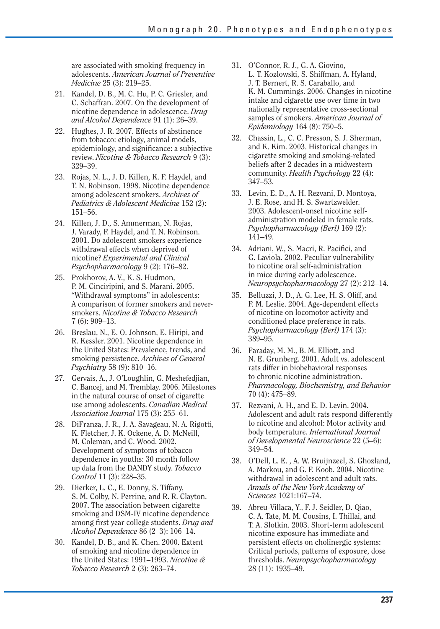are associated with smoking frequency in adolescents. *American Journal of Preventive Medicine* 25 (3): 219–25.

- 21. Kandel, D. B., M. C. Hu, P. C. Griesler, and C. Schaffran. 2007. On the development of nicotine dependence in adolescence. *Drug and Alcohol Dependence* 91 (1): 26–39.
- 22. Hughes, J. R. 2007. Effects of abstinence from tobacco: etiology, animal models, epidemiology, and significance: a subjective review. *Nicotine & Tobacco Research* 9 (3): 329–39.
- 23. Rojas, N. L., J. D. Killen, K. F. Haydel, and T. N. Robinson. 1998. Nicotine dependence among adolescent smokers. *Archives of Pediatrics & Adolescent Medicine* 152 (2): 151–56.
- 24. Killen, J. D., S. Ammerman, N. Rojas, J. Varady, F. Haydel, and T. N. Robinson. 2001. Do adolescent smokers experience withdrawal effects when deprived of nicotine? *Experimental and Clinical Psychopharmacology* 9 (2): 176–82.
- 25. Prokhorov, A. V., K. S. Hudmon, P. M. Cinciripini, and S. Marani. 2005. "Withdrawal symptoms" in adolescents: A comparison of former smokers and neversmokers. *Nicotine & Tobacco Research* 7 (6): 909–13.
- 26. Breslau, N., E. O. Johnson, E. Hiripi, and R. Kessler. 2001. Nicotine dependence in the United States: Prevalence, trends, and smoking persistence. *Archives of General Psychiatry* 58 (9): 810–16.
- 27. Gervais, A., J. O'Loughlin, G. Meshefedjian, C. Bancej, and M. Tremblay. 2006. Milestones in the natural course of onset of cigarette use among adolescents. *Canadian Medical Association Journal* 175 (3): 255–61.
- 28. DiFranza, J. R., J. A. Savageau, N. A. Rigotti, K. Fletcher, J. K. Ockene, A. D. McNeill, M. Coleman, and C. Wood. 2002. Development of symptoms of tobacco dependence in youths: 30 month follow up data from the DANDY study. *Tobacco Control* 11 (3): 228–35.
- 29. Dierker, L. C., E. Donny, S. Tiffany, S. M. Colby, N. Perrine, and R. R. Clayton. 2007. The association between cigarette smoking and DSM-IV nicotine dependence among first year college students. *Drug and Alcohol Dependence* 86 (2–3): 106–14.
- 30. Kandel, D. B., and K. Chen. 2000. Extent of smoking and nicotine dependence in the United States: 1991–1993. *Nicotine & Tobacco Research* 2 (3): 263–74.
- 31. O'Connor, R. J., G. A. Giovino, L. T. Kozlowski, S. Shiffman, A. Hyland, J. T. Bernert, R. S. Caraballo, and K. M. Cummings. 2006. Changes in nicotine intake and cigarette use over time in two nationally representative cross-sectional samples of smokers. *American Journal of Epidemiology* 164 (8): 750–5.
- 32. Chassin, L., C. C. Presson, S. J. Sherman, and K. Kim. 2003. Historical changes in cigarette smoking and smoking-related beliefs after 2 decades in a midwestern community. *Health Psychology* 22 (4): 347–53.
- 33. Levin, E. D., A. H. Rezvani, D. Montova, J. E. Rose, and H. S. Swartzwelder. 2003. Adolescent-onset nicotine selfadministration modeled in female rats. *Psychopharmacology (Berl)* 169 (2): 141–49.
- 34. Adriani, W., S. Macri, R. Pacifici, and G. Laviola. 2002. Peculiar vulnerability to nicotine oral self-administration in mice during early adolescence. *Neuropsychopharmacology* 27 (2): 212–14.
- 35. Belluzzi, J. D., A. G. Lee, H. S. Oliff, and F. M. Leslie. 2004. Age-dependent effects of nicotine on locomotor activity and conditioned place preference in rats. *Psychopharmacology (Berl)* 174 (3): 389–95.
- 36. Faraday, M. M., B. M. Elliott, and N. E. Grunberg. 2001. Adult vs. adolescent rats differ in biobehavioral responses to chronic nicotine administration. *Pharmacology, Biochemistry, and Behavior*  70 (4): 475–89.
- 37. Rezvani, A. H., and E. D. Levin. 2004. Adolescent and adult rats respond differently to nicotine and alcohol: Motor activity and body temperature. *International Journal of Developmental Neuroscience* 22 (5–6): 349–54.
- 38. O'Dell, L. E. , A. W. Bruijnzeel, S. Ghozland, A. Markou, and G. F. Koob. 2004. Nicotine withdrawal in adolescent and adult rats. *Annals of the New York Academy of Sciences* 1021:167–74.
- 39. Abreu-Villaca, Y., F. J. Seidler, D. Qiao, C. A. Tate, M. M. Cousins, I. Thillai, and T. A. Slotkin. 2003. Short-term adolescent nicotine exposure has immediate and persistent effects on cholinergic systems: Critical periods, patterns of exposure, dose thresholds. *Neuropsychopharmacology*  28 (11): 1935–49.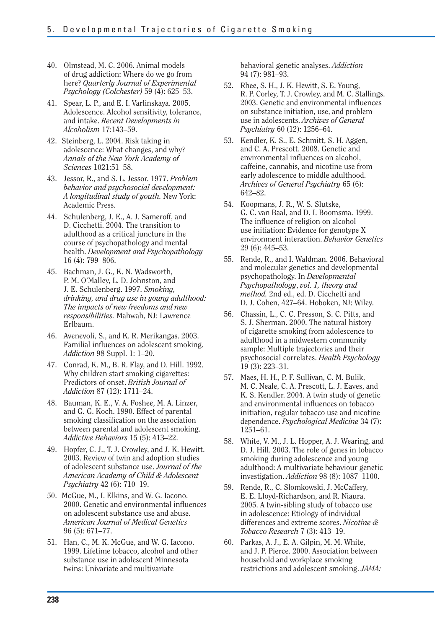- 40. Olmstead, M. C. 2006. Animal models of drug addiction: Where do we go from here? *Quarterly Journal of Experimental Psychology (Colchester)* 59 (4): 625–53.
- 41. Spear, L. P., and E. I. Varlinskaya. 2005. Adolescence. Alcohol sensitivity, tolerance, and intake. *Recent Developments in Alcoholism* 17:143–59.
- 42. Steinberg, L. 2004. Risk taking in adolescence: What changes, and why? *Annals of the New York Academy of Sciences* 1021:51–58.
- 43. Jessor, R., and S. L. Jessor. 1977. *Problem behavior and psychosocial development: A longitudinal study of youth.* New York: Academic Press.
- 44. Schulenberg, J. E., A. J. Sameroff, and D. Cicchetti. 2004. The transition to adulthood as a critical juncture in the course of psychopathology and mental health. *Development and Psychopathology*  16 (4): 799–806.
- 45. Bachman, J. G., K. N. Wadsworth, P. M. O'Malley, L. D. Johnston, and J. E. Schulenberg. 1997. *Smoking, drinking, and drug use in young adulthood: The impacts of new freedoms and new responsibilities.* Mahwah, NJ: Lawrence Erlbaum.
- 46. Avenevoli, S., and K. R. Merikangas. 2003. Familial influences on adolescent smoking. *Addiction* 98 Suppl. 1: 1–20.
- 47. Conrad, K. M., B. R. Flay, and D. Hill. 1992. Why children start smoking cigarettes: Predictors of onset. *British Journal of Addiction* 87 (12): 1711–24.
- 48. Bauman, K. E., V. A. Foshee, M. A. Linzer, and G. G. Koch. 1990. Effect of parental smoking classification on the association between parental and adolescent smoking. *Addictive Behaviors* 15 (5): 413–22.
- 49. Hopfer, C. J., T. J. Crowley, and J. K. Hewitt. 2003. Review of twin and adoption studies of adolescent substance use. *Journal of the American Academy of Child & Adolescent Psychiatry* 42 (6): 710–19.
- 50. McGue, M., I. Elkins, and W. G. Iacono. 2000. Genetic and environmental influences on adolescent substance use and abuse. *American Journal of Medical Genetics*  96 (5): 671–77.
- 51. Han, C., M. K. McGue, and W. G. Iacono. 1999. Lifetime tobacco, alcohol and other substance use in adolescent Minnesota twins: Univariate and multivariate

behavioral genetic analyses. *Addiction*  94 (7): 981–93.

- 52. Rhee, S. H., J. K. Hewitt, S. E. Young, R. P. Corley, T. J. Crowley, and M. C. Stallings. 2003. Genetic and environmental influences on substance initiation, use, and problem use in adolescents. *Archives of General Psychiatry* 60 (12): 1256–64.
- 53. Kendler, K. S., E. Schmitt, S. H. Aggen, and C. A. Prescott. 2008. Genetic and environmental influences on alcohol, caffeine, cannabis, and nicotine use from early adolescence to middle adulthood. *Archives of General Psychiatry* 65 (6): 642–82.
- 54. Koopmans, J. R., W. S. Slutske, G. C. van Baal, and D. I. Boomsma. 1999. The influence of religion on alcohol use initiation: Evidence for genotype X environment interaction. *Behavior Genetics*  29 (6): 445–53.
- 55. Rende, R., and I. Waldman. 2006. Behavioral and molecular genetics and developmental psychopathology. In *Developmental Psychopathology*, *vol. 1, theory and method,* 2nd ed., ed. D. Cicchetti and D. J. Cohen, 427–64. Hoboken, NJ: Wiley.
- 56. Chassin, L., C. C. Presson, S. C. Pitts, and S. J. Sherman. 2000. The natural history of cigarette smoking from adolescence to adulthood in a midwestern community sample: Multiple trajectories and their psychosocial correlates. *Health Psychology*  19 (3): 223–31.
- 57. Maes, H. H., P. F. Sullivan, C. M. Bulik, M. C. Neale, C. A. Prescott, L. J. Eaves, and K. S. Kendler. 2004. A twin study of genetic and environmental influences on tobacco initiation, regular tobacco use and nicotine dependence. *Psychological Medicine* 34 (7): 1251–61.
- 58. White, V. M., J. L. Hopper, A. J. Wearing, and D. J. Hill. 2003. The role of genes in tobacco smoking during adolescence and young adulthood: A multivariate behaviour genetic investigation. *Addiction* 98 (8): 1087–1100.
- 59. Rende, R., C. Slomkowski, J. McCaffery, E. E. Lloyd-Richardson, and R. Niaura. 2005. A twin-sibling study of tobacco use in adolescence: Etiology of individual differences and extreme scores. *Nicotine & Tobacco Research* 7 (3): 413–19.
- 60. Farkas, A. J., E. A. Gilpin, M. M. White, and J. P. Pierce. 2000. Association between household and workplace smoking restrictions and adolescent smoking. *JAMA:*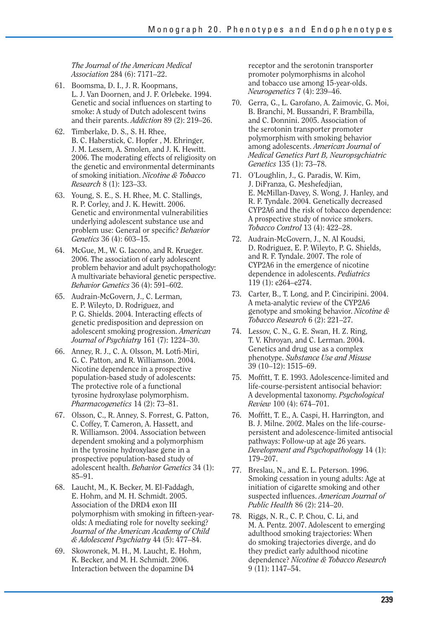*The Journal of the American Medical Association* 284 (6): 7171–22.

- 61. Boomsma, D. I., J. R. Koopmans, L. J. Van Doornen, and J. F. Orlebeke. 1994. Genetic and social influences on starting to smoke: A study of Dutch adolescent twins and their parents. *Addiction* 89 (2): 219–26.
- 62. Timberlake, D. S., S. H. Rhee, B. C. Haberstick, C. Hopfer , M. Ehringer, J. M. Lessem, A. Smolen, and J. K. Hewitt. 2006. The moderating effects of religiosity on the genetic and environmental determinants of smoking initiation. *Nicotine & Tobacco Research* 8 (1): 123–33.
- 63. Young, S. E., S. H. Rhee, M. C. Stallings, R. P. Corley, and J. K. Hewitt. 2006. Genetic and environmental vulnerabilities underlying adolescent substance use and problem use: General or specific? *Behavior Genetics* 36 (4): 603–15.
- 64. McGue, M., W. G. Iacono, and R. Krueger. 2006. The association of early adolescent problem behavior and adult psychopathology: A multivariate behavioral genetic perspective. *Behavior Genetics* 36 (4): 591–602.
- 65. Audrain-McGovern, J., C. Lerman, E. P. Wileyto, D. Rodriguez, and P. G. Shields. 2004. Interacting effects of genetic predisposition and depression on adolescent smoking progression. *American Journal of Psychiatry* 161 (7): 1224–30.
- 66. Anney, R. J., C. A. Olsson, M. Lotfi-Miri, G. C. Patton, and R. Williamson. 2004. Nicotine dependence in a prospective population-based study of adolescents: The protective role of a functional tyrosine hydroxylase polymorphism. *Pharmacogenetics* 14 (2): 73–81.
- 67. Olsson, C., R. Anney, S. Forrest, G. Patton, C. Coffey, T. Cameron, A. Hassett, and R. Williamson. 2004. Association between dependent smoking and a polymorphism in the tyrosine hydroxylase gene in a prospective population-based study of adolescent health. *Behavior Genetics* 34 (1): 85–91.
- 68. Laucht, M., K. Becker, M. El-Faddagh, E. Hohm, and M. H. Schmidt. 2005. Association of the DRD4 exon III polymorphism with smoking in fifteen-yearolds: A mediating role for novelty seeking? *Journal of the American Academy of Child & Adolescent Psychiatry* 44 (5): 477–84.
- 69. Skowronek, M. H., M. Laucht, E. Hohm, K. Becker, and M. H. Schmidt. 2006. Interaction between the dopamine D4

receptor and the serotonin transporter promoter polymorphisms in alcohol and tobacco use among 15-year-olds. *Neurogenetics* 7 (4): 239–46.

- 70. Gerra, G., L. Garofano, A. Zaimovic, G. Moi, B. Branchi, M. Bussandri, F. Brambilla, and C. Donnini. 2005. Association of the serotonin transporter promoter polymorphism with smoking behavior among adolescents. *American Journal of Medical Genetics Part B, Neuropsychiatric Genetics* 135 (1): 73–78.
- 71. O'Loughlin, J., G. Paradis, W. Kim, J. DiFranza, G. Meshefedjian, E. McMillan-Davey, S. Wong, J. Hanley, and R. F. Tyndale. 2004. Genetically decreased CYP2A6 and the risk of tobacco dependence: A prospective study of novice smokers. *Tobacco Control* 13 (4): 422–28.
- 72. Audrain-McGovern, J., N. Al Koudsi, D. Rodriguez, E. P. Wileyto, P. G. Shields, and R. F. Tyndale. 2007. The role of CYP2A6 in the emergence of nicotine dependence in adolescents. *Pediatrics*  119 (1): e264–e274.
- 73. Carter, B., T. Long, and P. Cinciripini. 2004. A meta-analytic review of the CYP2A6 genotype and smoking behavior. *Nicotine & Tobacco Research* 6 (2): 221–27.
- 74. Lessov, C. N., G. E. Swan, H. Z. Ring, T. V. Khroyan, and C. Lerman. 2004. Genetics and drug use as a complex phenotype. *Substance Use and Misuse*  39 (10–12): 1515–69.
- 75. Moffitt, T. E. 1993. Adolescence-limited and life-course-persistent antisocial behavior: A developmental taxonomy. *Psychological Review* 100 (4): 674–701.
- 76. Moffitt, T. E., A. Caspi, H. Harrington, and B. J. Milne. 2002. Males on the life-coursepersistent and adolescence-limited antisocial pathways: Follow-up at age 26 years. *Development and Psychopathology* 14 (1): 179–207.
- 77. Breslau, N., and E. L. Peterson. 1996. Smoking cessation in young adults: Age at initiation of cigarette smoking and other suspected influences. *American Journal of Public Health* 86 (2): 214–20.
- 78. Riggs, N. R., C. P. Chou, C. Li, and M. A. Pentz. 2007. Adolescent to emerging adulthood smoking trajectories: When do smoking trajectories diverge, and do they predict early adulthood nicotine dependence? *Nicotine & Tobacco Research*  9 (11): 1147–54.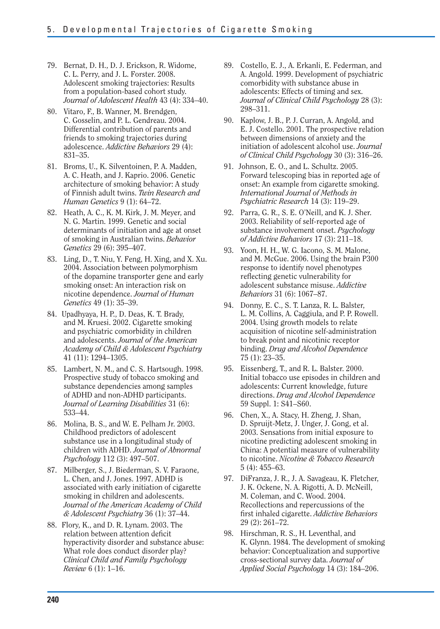- 79. Bernat, D. H., D. J. Erickson, R. Widome, C. L. Perry, and J. L. Forster. 2008. Adolescent smoking trajectories: Results from a population-based cohort study. *Journal of Adolescent Health* 43 (4): 334–40.
- 80. Vitaro, F., B. Wanner, M. Brendgen, C. Gosselin, and P. L. Gendreau. 2004. Differential contribution of parents and friends to smoking trajectories during adolescence. *Addictive Behaviors* 29 (4): 831–35.
- 81. Broms, U., K. Silventoinen, P. A. Madden, A. C. Heath, and J. Kaprio. 2006. Genetic architecture of smoking behavior: A study of Finnish adult twins. *Twin Research and Human Genetics* 9 (1): 64–72.
- 82. Heath, A. C., K. M. Kirk, J. M. Meyer, and N. G. Martin. 1999. Genetic and social determinants of initiation and age at onset of smoking in Australian twins. *Behavior Genetics* 29 (6): 395–407.
- 83. Ling, D., T. Niu, Y. Feng, H. Xing, and X. Xu. 2004. Association between polymorphism of the dopamine transporter gene and early smoking onset: An interaction risk on nicotine dependence. *Journal of Human Genetics* 49 (1): 35–39.
- 84. Upadhyaya, H. P., D. Deas, K. T. Brady, and M. Kruesi. 2002. Cigarette smoking and psychiatric comorbidity in children and adolescents. *Journal of the American Academy of Child & Adolescent Psychiatry*  41 (11): 1294–1305.
- 85. Lambert, N. M., and C. S. Hartsough. 1998. Prospective study of tobacco smoking and substance dependencies among samples of ADHD and non-ADHD participants. *Journal of Learning Disabilities* 31 (6): 533–44.
- 86. Molina, B. S., and W. E. Pelham Jr. 2003. Childhood predictors of adolescent substance use in a longitudinal study of children with ADHD. *Journal of Abnormal Psychology* 112 (3): 497–507.
- 87. Milberger, S., J. Biederman, S. V. Faraone, L. Chen, and J. Jones. 1997. ADHD is associated with early initiation of cigarette smoking in children and adolescents. *Journal of the American Academy of Child & Adolescent Psychiatry* 36 (1): 37–44.
- 88. Flory, K., and D. R. Lynam. 2003. The relation between attention deficit hyperactivity disorder and substance abuse: What role does conduct disorder play? *Clinical Child and Family Psychology Review* 6 (1): 1–16.
- 89. Costello, E. J., A. Erkanli, E. Federman, and A. Angold. 1999. Development of psychiatric comorbidity with substance abuse in adolescents: Effects of timing and sex. *Journal of Clinical Child Psychology* 28 (3): 298–311.
- 90. Kaplow, J. B., P. J. Curran, A. Angold, and E. J. Costello. 2001. The prospective relation between dimensions of anxiety and the initiation of adolescent alcohol use. *Journal of Clinical Child Psychology* 30 (3): 316–26.
- 91. Johnson, E. O., and L. Schultz. 2005. Forward telescoping bias in reported age of onset: An example from cigarette smoking. *International Journal of Methods in Psychiatric Research* 14 (3): 119–29.
- 92. Parra, G. R., S. E. O'Neill, and K. J. Sher. 2003. Reliability of self-reported age of substance involvement onset. *Psychology of Addictive Behaviors* 17 (3): 211–18.
- 93. Yoon, H. H., W. G. Iacono, S. M. Malone, and M. McGue. 2006. Using the brain P300 response to identify novel phenotypes reflecting genetic vulnerability for adolescent substance misuse. *Addictive Behaviors* 31 (6): 1067–87.
- 94. Donny, E. C., S. T. Lanza, R. L. Balster, L. M. Collins, A. Caggiula, and P. P. Rowell. 2004. Using growth models to relate acquisition of nicotine self-administration to break point and nicotinic receptor binding. *Drug and Alcohol Dependence*  75 (1): 23–35.
- 95. Eissenberg, T., and R. L. Balster. 2000. Initial tobacco use episodes in children and adolescents: Current knowledge, future directions. *Drug and Alcohol Dependence*  59 Suppl. 1: S41–S60.
- 96. Chen, X., A. Stacy, H. Zheng, J. Shan, D. Spruijt-Metz, J. Unger, J. Gong, et al. 2003. Sensations from initial exposure to nicotine predicting adolescent smoking in China: A potential measure of vulnerability to nicotine. *Nicotine & Tobacco Research*  5 (4): 455–63.
- 97. DiFranza, J. R., J. A. Savageau, K. Fletcher, J. K. Ockene, N. A. Rigotti, A. D. McNeill, M. Coleman, and C. Wood. 2004. Recollections and repercussions of the first inhaled cigarette. *Addictive Behaviors*  29 (2): 261–72.
- 98. Hirschman, R. S., H. Leventhal, and K. Glynn. 1984. The development of smoking behavior: Conceptualization and supportive cross-sectional survey data. *Journal of Applied Social Psychology* 14 (3): 184–206.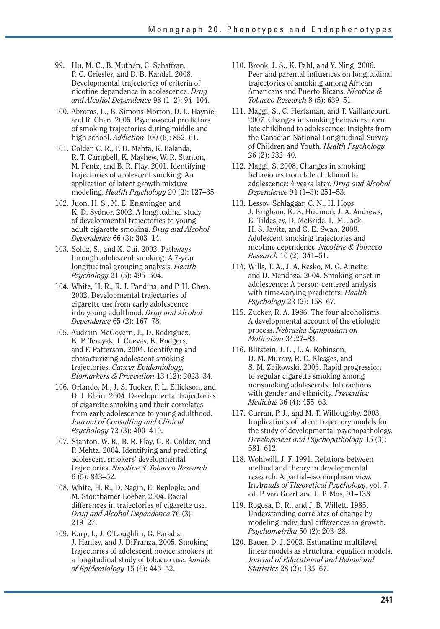- 99. Hu, M. C., B. Muthén, C. Schaffran, P. C. Griesler, and D. B. Kandel. 2008. Developmental trajectories of criteria of nicotine dependence in adolescence. *Drug and Alcohol Dependence* 98 (1–2): 94–104.
- 100. Abroms, L., B. Simons-Morton, D. L. Haynie, and R. Chen. 2005. Psychosocial predictors of smoking trajectories during middle and high school. *Addiction* 100 (6): 852–61.
- 101. Colder, C. R., P. D. Mehta, K. Balanda, R. T. Campbell, K. Mayhew, W. R. Stanton, M. Pentz, and B. R. Flay. 2001. Identifying trajectories of adolescent smoking: An application of latent growth mixture modeling. *Health Psychology* 20 (2): 127–35.
- 102. Juon, H. S., M. E. Ensminger, and K. D. Sydnor. 2002. A longitudinal study of developmental trajectories to young adult cigarette smoking. *Drug and Alcohol Dependence* 66 (3): 303–14.
- 103. Soldz, S., and X. Cui. 2002. Pathways through adolescent smoking: A 7-year longitudinal grouping analysis. *Health Psychology* 21 (5): 495–504.
- 104. White, H. R., R. J. Pandina, and P. H. Chen. 2002. Developmental trajectories of cigarette use from early adolescence into young adulthood. *Drug and Alcohol Dependence* 65 (2): 167–78.
- 105. Audrain-McGovern, J., D. Rodriguez, K. P. Tercyak, J. Cuevas, K. Rodgers, and F. Patterson. 2004. Identifying and characterizing adolescent smoking trajectories. *Cancer Epidemiology, Biomarkers & Prevention* 13 (12): 2023–34.
- 106. Orlando, M., J. S. Tucker, P. L. Ellickson, and D. J. Klein. 2004. Developmental trajectories of cigarette smoking and their correlates from early adolescence to young adulthood. *Journal of Consulting and Clinical Psychology* 72 (3): 400–410.
- 107. Stanton, W. R., B. R. Flay, C. R. Colder, and P. Mehta. 2004. Identifying and predicting adolescent smokers' developmental trajectories. *Nicotine & Tobacco Research*  6 (5): 843–52.
- 108. White, H. R., D. Nagin, E. Replogle, and M. Stouthamer-Loeber. 2004. Racial differences in trajectories of cigarette use. *Drug and Alcohol Dependence* 76 (3): 219–27.
- 109. Karp, I., J. O'Loughlin, G. Paradis, J. Hanley, and J. DiFranza. 2005. Smoking trajectories of adolescent novice smokers in a longitudinal study of tobacco use. *Annals of Epidemiology* 15 (6): 445–52.
- 110. Brook, J. S., K. Pahl, and Y. Ning. 2006. Peer and parental influences on longitudinal trajectories of smoking among African Americans and Puerto Ricans. *Nicotine & Tobacco Research* 8 (5): 639–51.
- 111. Maggi, S., C. Hertzman, and T. Vaillancourt. 2007. Changes in smoking behaviors from late childhood to adolescence: Insights from the Canadian National Longitudinal Survey of Children and Youth. *Health Psychology*  26 (2): 232–40.
- 112. Maggi, S. 2008. Changes in smoking behaviours from late childhood to adolescence: 4 years later. *Drug and Alcohol Dependence* 94 (1–3): 251–53.
- 113. Lessov-Schlaggar, C. N., H. Hops, J. Brigham, K. S. Hudmon, J. A. Andrews, E. Tildesley, D. McBride, L. M. Jack, H. S. Javitz, and G. E. Swan. 2008. Adolescent smoking trajectories and nicotine dependence. *Nicotine & Tobacco Research* 10 (2): 341–51.
- 114. Wills, T. A., J. A. Resko, M. G. Ainette, and D. Mendoza. 2004. Smoking onset in adolescence: A person-centered analysis with time-varying predictors. *Health Psychology* 23 (2): 158–67.
- 115. Zucker, R. A. 1986. The four alcoholisms: A developmental account of the etiologic process. *Nebraska Symposium on Motivation* 34:27–83.
- 116. Blitstein, J. L., L. A. Robinson, D. M. Murray, R. C. Klesges, and S. M. Zbikowski. 2003. Rapid progression to regular cigarette smoking among nonsmoking adolescents: Interactions with gender and ethnicity. *Preventive Medicine* 36 (4): 455–63.
- 117. Curran, P. J., and M. T. Willoughby. 2003. Implications of latent trajectory models for the study of developmental psychopathology. *Development and Psychopathology* 15 (3): 581–612.
- 118. Wohlwill, J. F. 1991. Relations between method and theory in developmental research: A partial–isomorphism view. In *Annals of Theoretical Psychology*, vol. 7, ed. P. van Geert and L. P. Mos, 91–138.
- 119. Rogosa, D. R., and J. B. Willett. 1985. Understanding correlates of change by modeling individual differences in growth. *Psychometrika* 50 (2): 203–28.
- 120. Bauer, D. J. 2003. Estimating multilevel linear models as structural equation models. *Journal of Educational and Behavioral Statistics* 28 (2): 135–67.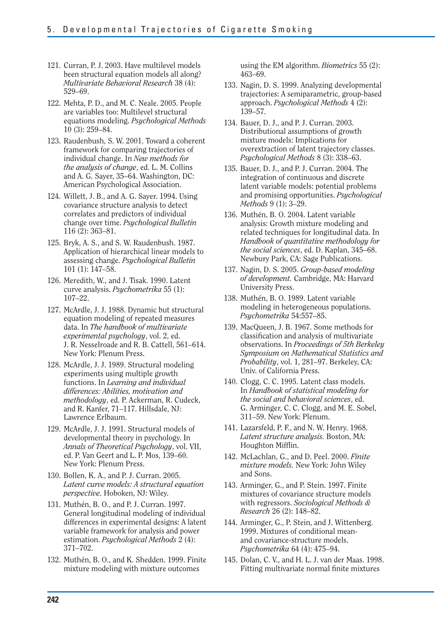- 121. Curran, P. J. 2003. Have multilevel models been structural equation models all along? *Multivariate Behavioral Research* 38 (4): 529–69.
- 122. Mehta, P. D., and M. C. Neale. 2005. People are variables too: Multilevel structural equations modeling. *Psychological Methods*  10 (3): 259–84.
- 123. Raudenbush, S. W. 2001. Toward a coherent framework for comparing trajectories of individual change. In *New methods for the analysis of change*, ed. L. M. Collins and A. G. Sayer, 35–64. Washington, DC: American Psychological Association.
- 124. Willett, J. B., and A. G. Sayer. 1994. Using covariance structure analysis to detect correlates and predictors of individual change over time. *Psychological Bulletin*  116 (2): 363–81.
- 125. Bryk, A. S., and S. W. Raudenbush. 1987. Application of hierarchical linear models to assessing change. *Psychological Bulletin*  101 (1): 147–58.
- 126. Meredith, W., and J. Tisak. 1990. Latent curve analysis. *Psychometrika* 55 (1): 107–22.
- 127. McArdle, J. J. 1988. Dynamic but structural equation modeling of repeated measures data. In *The handbook of multivariate experimental psychology*, vol. 2, ed. J. R. Nesselroade and R. B. Cattell, 561–614. New York: Plenum Press.
- 128. McArdle, J. J. 1989. Structural modeling experiments using multiple growth functions. In *Learning and individual differences: Abilities, motivation and methodology*, ed. P. Ackerman, R. Cudeck, and R. Kanfer, 71–117. Hillsdale, NJ: Lawrence Erlbaum.
- 129. McArdle, J. J. 1991. Structural models of developmental theory in psychology. In *Annals of Theoretical Psychology*, vol. VII, ed. P. Van Geert and L. P. Mos, 139–60. New York: Plenum Press.
- 130. Bollen, K. A., and P. J. Curran. 2005. *Latent curve models: A structural equation perspective.* Hoboken, NJ: Wiley.
- 131. Muthén, B. O., and P. J. Curran. 1997. General longitudinal modeling of individual differences in experimental designs: A latent variable framework for analysis and power estimation. *Psychological Methods* 2 (4): 371–702.
- 132. Muthén, B. O., and K. Shedden. 1999. Finite mixture modeling with mixture outcomes

using the EM algorithm. *Biometrics* 55 (2): 463–69.

- 133. Nagin, D. S. 1999. Analyzing developmental trajectories: A semiparametric, group-based approach. *Psychological Methods* 4 (2): 139–57.
- 134. Bauer, D. J., and P. J. Curran. 2003. Distributional assumptions of growth mixture models: Implications for overextraction of latent trajectory classes. *Psychological Methods* 8 (3): 338–63.
- 135. Bauer, D. J., and P. J. Curran. 2004. The integration of continuous and discrete latent variable models: potential problems and promising opportunities. *Psychological Methods* 9 (1): 3–29.
- 136. Muthén, B. O. 2004. Latent variable analysis: Growth mixture modeling and related techniques for longitudinal data. In *Handbook of quantitative methodology for the social sciences*, ed. D. Kaplan, 345–68. Newbury Park, CA: Sage Publications.
- 137. Nagin, D. S. 2005. *Group-based modeling of development.* Cambridge, MA: Harvard University Press.
- 138. Muthén, B. O. 1989. Latent variable modeling in heterogeneous populations. *Psychometrika* 54:557–85.
- 139. MacQueen, J. B. 1967. Some methods for classification and analysis of multivariate observations. In *Proceedings of 5th Berkeley Symposium on Mathematical Statistics and Probability*, vol. 1, 281–97. Berkeley, CA: Univ. of California Press.
- 140. Clogg, C. C. 1995. Latent class models. In *Handbook of statistical modeling for the social and behavioral sciences*, ed. G. Arminger, C. C. Clogg, and M. E. Sobel, 311–59. New York: Plenum.
- 141. Lazarsfeld, P. F., and N. W. Henry. 1968. *Latent structure analysis.* Boston, MA: Houghton Mifflin.
- 142. McLachlan, G., and D. Peel. 2000. *Finite mixture models.* New York: John Wiley and Sons.
- 143. Arminger, G., and P. Stein. 1997. Finite mixtures of covariance structure models with regressors. *Sociological Methods & Research* 26 (2): 148–82.
- 144. Arminger, G., P. Stein, and J. Wittenberg. 1999. Mixtures of conditional meanand covariance-structure models. *Psychometrika* 64 (4): 475–94.
- 145. Dolan, C. V., and H. L. J. van der Maas. 1998. Fitting multivariate normal finite mixtures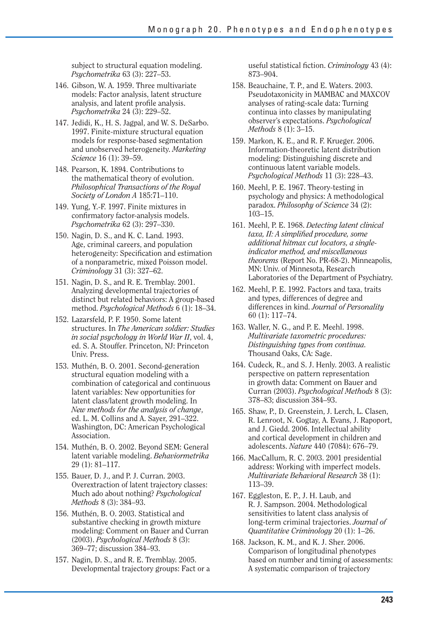subject to structural equation modeling. *Psychometrika* 63 (3): 227–53.

- 146. Gibson, W. A. 1959. Three multivariate models: Factor analysis, latent structure analysis, and latent profile analysis. *Psychometrika* 24 (3): 229–52.
- 147. Jedidi, K., H. S. Jagpal, and W. S. DeSarbo. 1997. Finite-mixture structural equation models for response-based segmentation and unobserved heterogeneity. *Marketing Science* 16 (1): 39–59.
- 148. Pearson, K. 1894. Contributions to the mathematical theory of evolution. *Philosophical Transactions of the Royal Society of London A* 185:71–110.
- 149. Yung, Y.-F. 1997. Finite mixtures in confirmatory factor-analysis models. *Psychometrika* 62 (3): 297–330.
- 150. Nagin, D. S., and K. C. Land. 1993. Age, criminal careers, and population heterogeneity: Specification and estimation of a nonparametric, mixed Poisson model. *Criminology* 31 (3): 327–62.
- 151. Nagin, D. S., and R. E. Tremblay. 2001. Analyzing developmental trajectories of distinct but related behaviors: A group-based method. *Psychological Methods* 6 (1): 18–34.
- 152. Lazarsfeld, P. F. 1950. Some latent structures. In *The American soldier: Studies in social psychology in World War II*, vol. 4, ed. S. A. Stouffer. Princeton, NJ: Princeton Univ. Press.
- 153. Muthén, B. O. 2001. Second-generation structural equation modeling with a combination of categorical and continuous latent variables: New opportunities for latent class/latent growth modeling. In *New methods for the analysis of change*, ed. L. M. Collins and A. Sayer, 291–322. Washington, DC: American Psychological Association.
- 154. Muthén, B. O. 2002. Beyond SEM: General latent variable modeling. *Behaviormetrika*  29 (1): 81–117.
- 155. Bauer, D. J., and P. J. Curran. 2003. Overextraction of latent trajectory classes: Much ado about nothing? *Psychological Methods* 8 (3): 384–93.
- 156. Muthén, B. O. 2003. Statistical and substantive checking in growth mixture modeling: Comment on Bauer and Curran (2003). *Psychological Methods* 8 (3): 369–77; discussion 384–93.
- 157. Nagin, D. S., and R. E. Tremblay. 2005. Developmental trajectory groups: Fact or a

useful statistical fiction. *Criminology* 43 (4): 873–904.

- 158. Beauchaine, T. P., and E. Waters. 2003. Pseudotaxonicity in MAMBAC and MAXCOV analyses of rating-scale data: Turning continua into classes by manipulating observer's expectations. *Psychological Methods* 8 (1): 3–15.
- 159. Markon, K. E., and R. F. Krueger. 2006. Information-theoretic latent distribution modeling: Distinguishing discrete and continuous latent variable models. *Psychological Methods* 11 (3): 228–43.
- 160. Meehl, P. E. 1967. Theory-testing in psychology and physics: A methodological paradox. *Philosophy of Science* 34 (2): 103–15.
- 161. Meehl, P. E. 1968. *Detecting latent clinical taxa, II: A simplified procedure, some additional hitmax cut locators, a singleindicator method, and miscellaneous theorems* (Report No. PR-68-2). Minneapolis, MN: Univ. of Minnesota, Research Laboratories of the Department of Psychiatry.
- 162. Meehl, P. E. 1992. Factors and taxa, traits and types, differences of degree and differences in kind. *Journal of Personality*  60 (1): 117–74.
- 163. Waller, N. G., and P. E. Meehl. 1998. *Multivariate taxometric procedures: Distinguishing types from continua.*  Thousand Oaks, CA: Sage.
- 164. Cudeck, R., and S. J. Henly. 2003. A realistic perspective on pattern representation in growth data: Comment on Bauer and Curran (2003). *Psychological Methods* 8 (3): 378–83; discussion 384–93.
- 165. Shaw, P., D. Greenstein, J. Lerch, L. Clasen, R. Lenroot, N. Gogtay, A. Evans, J. Rapoport, and J. Giedd. 2006. Intellectual ability and cortical development in children and adolescents. *Nature* 440 (7084): 676–79.
- 166. MacCallum, R. C. 2003. 2001 presidential address: Working with imperfect models. *Multivariate Behavioral Research* 38 (1): 113–39.
- 167. Eggleston, E. P., J. H. Laub, and R. J. Sampson. 2004. Methodological sensitivities to latent class analysis of long-term criminal trajectories. *Journal of Quantitative Criminology* 20 (1): 1–26.
- 168. Jackson, K. M., and K. J. Sher. 2006. Comparison of longitudinal phenotypes based on number and timing of assessments: A systematic comparison of trajectory